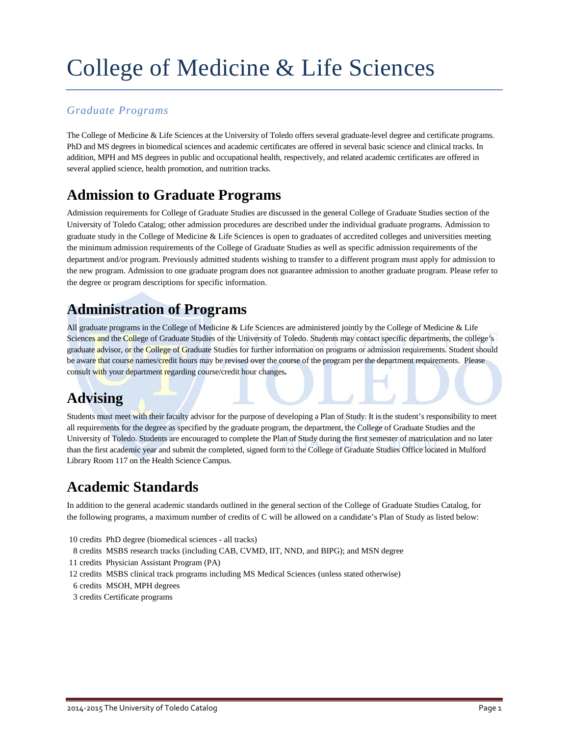# College of Medicine & Life Sciences

### *Graduate Programs*

The College of Medicine & Life Sciences at the University of Toledo offers several graduate-level degree and certificate programs. PhD and MS degrees in biomedical sciences and academic certificates are offered in several basic science and clinical tracks. In addition, MPH and MS degrees in public and occupational health, respectively, and related academic certificates are offered in several applied science, health promotion, and nutrition tracks.

## **Admission to Graduate Programs**

Admission requirements for College of Graduate Studies are discussed in the general College of Graduate Studies section of the University of Toledo Catalog; other admission procedures are described under the individual graduate programs. Admission to graduate study in the College of Medicine & Life Sciences is open to graduates of accredited colleges and universities meeting the minimum admission requirements of the College of Graduate Studies as well as specific admission requirements of the department and/or program. Previously admitted students wishing to transfer to a different program must apply for admission to the new program. Admission to one graduate program does not guarantee admission to another graduate program. Please refer to the degree or program descriptions for specific information.

### **Administration of Programs**

All graduate programs in the College of Medicine & Life Sciences are administered jointly by the College of Medicine & Life Sciences and the College of Graduate Studies of the University of Toledo. Students may contact specific departments, the college's graduate advisor, or the College of Graduate Studies for further information on programs or admission requirements. Student should be aware that course names/credit hours may be revised over the course of the program per the department requirements. Please consult with your department regarding course/credit hour changes**.**

## **Advising**

Students must meet with their faculty advisor for the purpose of developing a Plan of Study. It is the student's responsibility to meet all requirements for the degree as specified by the graduate program, the department, the College of Graduate Studies and the University of Toledo. Students are encouraged to complete the Plan of Study during the first semester of matriculation and no later than the first academic year and submit the completed, signed form to the College of Graduate Studies Office located in Mulford Library Room 117 on the Health Science Campus.

## **Academic Standards**

In addition to the general academic standards outlined in the general section of the College of Graduate Studies Catalog, for the following programs, a maximum number of credits of C will be allowed on a candidate's Plan of Study as listed below:

- 10 credits PhD degree (biomedical sciences all tracks)
- 8 credits MSBS research tracks (including CAB, CVMD, IIT, NND, and BIPG); and MSN degree
- 11 credits Physician Assistant Program (PA)
- 12 credits MSBS clinical track programs including MS Medical Sciences (unless stated otherwise)
- 6 credits MSOH, MPH degrees
- 3 credits Certificate programs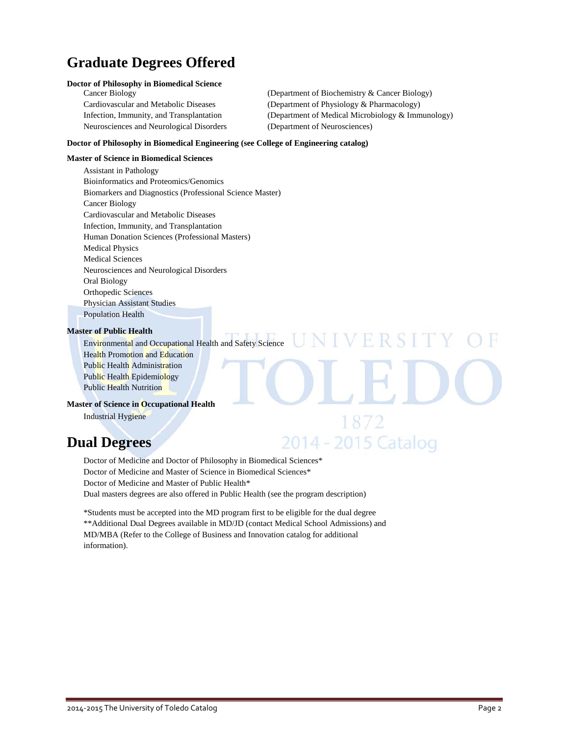## **Graduate Degrees Offered**

### **Doctor of Philosophy in Biomedical Science**

Neurosciences and Neurological Disorders (Department of Neurosciences)

Cancer Biology (Department of Biochemistry & Cancer Biology) Cardiovascular and Metabolic Diseases (Department of Physiology & Pharmacology) Infection, Immunity, and Transplantation (Department of Medical Microbiology & Immunology)

VERSI

1872

2014 - 2015 Catalog

### **Doctor of Philosophy in Biomedical Engineering (see College of Engineering catalog)**

### **Master of Science in Biomedical Sciences**

Assistant in Pathology Bioinformatics and Proteomics/Genomics Biomarkers and Diagnostics (Professional Science Master) Cancer Biology Cardiovascular and Metabolic Diseases Infection, Immunity, and Transplantation Human Donation Sciences (Professional Masters) Medical Physics Medical Sciences Neurosciences and Neurological Disorders Oral Biology Orthopedic Sciences Physician Assistant Studies Population Health

### **Master of Public Health**

Environmental and Occupational Health and Safety Science Health Promotion and Education Public Health Administration Public Health Epidemiology Public Health Nutrition

### **Master of Science in Occupational Health**

Industrial Hygiene

### **Dual Degrees**

Doctor of Medicine and Doctor of Philosophy in Biomedical Sciences\* Doctor of Medicine and Master of Science in Biomedical Sciences\* Doctor of Medicine and Master of Public Health\* Dual masters degrees are also offered in Public Health (see the program description)

\*Students must be accepted into the MD program first to be eligible for the dual degree \*\*Additional Dual Degrees available in MD/JD (contact Medical School Admissions) and MD/MBA (Refer to the College of Business and Innovation catalog for additional information).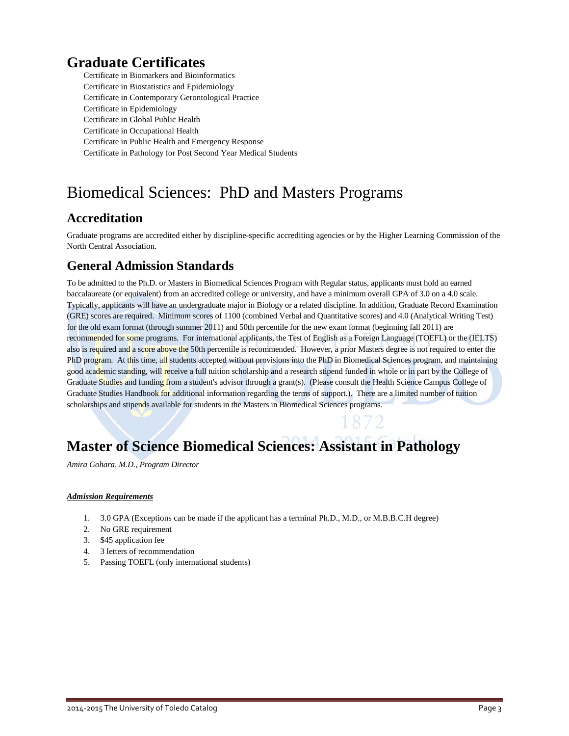## **Graduate Certificates**

Certificate in Biomarkers and Bioinformatics Certificate in Biostatistics and Epidemiology Certificate in Contemporary Gerontological Practice Certificate in Epidemiology Certificate in Global Public Health Certificate in Occupational Health Certificate in Public Health and Emergency Response Certificate in Pathology for Post Second Year Medical Students

## Biomedical Sciences: PhD and Masters Programs

### **Accreditation**

Graduate programs are accredited either by discipline-specific accrediting agencies or by the Higher Learning Commission of the North Central Association.

### **General Admission Standards**

To be admitted to the Ph.D. or Masters in Biomedical Sciences Program with Regular status, applicants must hold an earned baccalaureate (or equivalent) from an accredited college or university, and have a minimum overall GPA of 3.0 on a 4.0 scale. Typically, applicants will have an undergraduate major in Biology or a related discipline. In addition, Graduate Record Examination (GRE) scores are required. Minimum scores of 1100 (combined Verbal and Quantitative scores) and 4.0 (Analytical Writing Test) for the old exam format (through summer 2011) and 50th percentile for the new exam format (beginning fall 2011) are recommended for some programs. For international applicants, the Test of English as a Foreign Language (TOEFL) or the (IELTS) also is required and a score above the 50th percentile is recommended. However, a prior Masters degree is not required to enter the PhD program. At this time, all students accepted without provisions into the PhD in Biomedical Sciences program, and maintaining good academic standing, will receive a full tuition scholarship and a research stipend funded in whole or in part by the College of Graduate Studies and funding from a student's advisor through a grant(s). (Please consult the Health Science Campus College of Graduate Studies Handbook for additional information regarding the terms of support.). There are a limited number of tuition scholarships and stipends available for students in the Masters in Biomedical Sciences programs.

## **Master of Science Biomedical Sciences: Assistant in Pathology**

*Amira Gohara, M.D., Program Director*

### *Admission Requirements*

- 1. 3.0 GPA (Exceptions can be made if the applicant has a terminal Ph.D., M.D., or M.B.B.C.H degree)
- 2. No GRE requirement
- 3. \$45 application fee
- 4. 3 letters of recommendation
- 5. Passing TOEFL (only international students)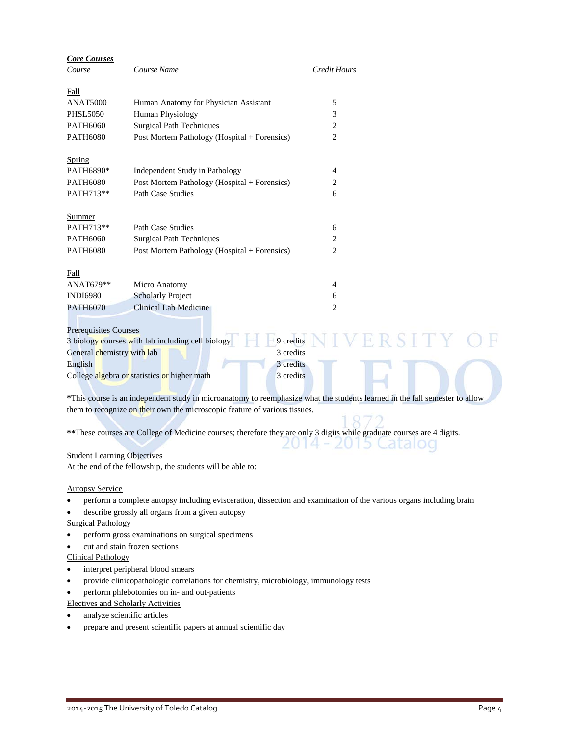| <b>Core Courses</b>                |                                                                                                                             |                     |  |
|------------------------------------|-----------------------------------------------------------------------------------------------------------------------------|---------------------|--|
| Course                             | Course Name                                                                                                                 | <b>Credit Hours</b> |  |
| Fall                               |                                                                                                                             |                     |  |
| <b>ANAT5000</b>                    | Human Anatomy for Physician Assistant                                                                                       | 5                   |  |
| <b>PHSL5050</b>                    | Human Physiology                                                                                                            | 3                   |  |
| <b>PATH6060</b>                    | <b>Surgical Path Techniques</b>                                                                                             | $\overline{c}$      |  |
| <b>PATH6080</b>                    | Post Mortem Pathology (Hospital + Forensics)                                                                                | $\overline{2}$      |  |
| Spring                             |                                                                                                                             |                     |  |
| PATH6890*                          | Independent Study in Pathology                                                                                              | 4                   |  |
| <b>PATH6080</b>                    | Post Mortem Pathology (Hospital + Forensics)                                                                                | 2                   |  |
| PATH713**                          | <b>Path Case Studies</b>                                                                                                    | 6                   |  |
| Summer                             |                                                                                                                             |                     |  |
| PATH713**                          | Path Case Studies                                                                                                           | 6                   |  |
| <b>PATH6060</b>                    | <b>Surgical Path Techniques</b>                                                                                             | 2                   |  |
| <b>PATH6080</b>                    | Post Mortem Pathology (Hospital + Forensics)                                                                                | $\overline{c}$      |  |
| Fall                               |                                                                                                                             |                     |  |
| ANAT679**                          | Micro Anatomy                                                                                                               | 4                   |  |
| <b>INDI6980</b>                    | <b>Scholarly Project</b>                                                                                                    | 6                   |  |
| <b>PATH6070</b>                    | <b>Clinical Lab Medicine</b>                                                                                                | $\overline{c}$      |  |
| <b>Prerequisites Courses</b>       |                                                                                                                             |                     |  |
|                                    | 3 biology courses with lab including cell biology                                                                           | 9 credits           |  |
| General chemistry with lab         |                                                                                                                             | 3 credits           |  |
| English                            |                                                                                                                             | 3 credits           |  |
|                                    | College algebra or statistics or higher math                                                                                | 3 credits           |  |
|                                    | *This course is an independent study in microanatomy to reemphasize what the students learned in the fall semester to allow |                     |  |
|                                    | them to recognize on their own the microscopic feature of various tissues.                                                  |                     |  |
|                                    |                                                                                                                             |                     |  |
|                                    | ** These courses are College of Medicine courses; therefore they are only 3 digits while graduate courses are 4 digits.     |                     |  |
| <b>Student Learning Objectives</b> |                                                                                                                             |                     |  |
|                                    | At the end of the fellowship, the students will be able to:                                                                 |                     |  |

### Autopsy Service

- perform a complete autopsy including evisceration, dissection and examination of the various organs including brain
- describe grossly all organs from a given autopsy

### Surgical Pathology

- perform gross examinations on surgical specimens
- cut and stain frozen sections

### Clinical Pathology

- interpret peripheral blood smears
- provide clinicopathologic correlations for chemistry, microbiology, immunology tests
- perform phlebotomies on in- and out-patients

Electives and Scholarly Activities

- analyze scientific articles
- prepare and present scientific papers at annual scientific day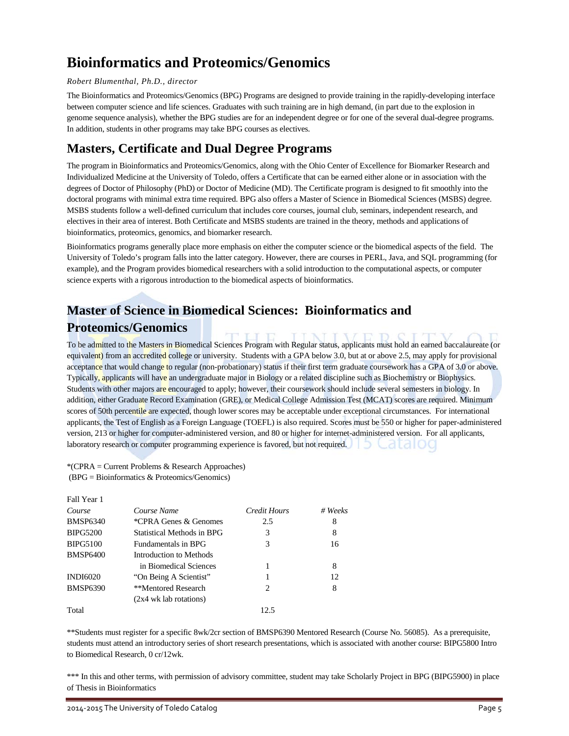## **Bioinformatics and Proteomics/Genomics**

### *Robert Blumenthal, Ph.D., director*

The Bioinformatics and Proteomics/Genomics (BPG) Programs are designed to provide training in the rapidly-developing interface between computer science and life sciences. Graduates with such training are in high demand, (in part due to the explosion in genome sequence analysis), whether the BPG studies are for an independent degree or for one of the several dual-degree programs. In addition, students in other programs may take BPG courses as electives.

### **Masters, Certificate and Dual Degree Programs**

The program in Bioinformatics and Proteomics/Genomics, along with the Ohio Center of Excellence for Biomarker Research and Individualized Medicine at the University of Toledo, offers a Certificate that can be earned either alone or in association with the degrees of Doctor of Philosophy (PhD) or Doctor of Medicine (MD). The Certificate program is designed to fit smoothly into the doctoral programs with minimal extra time required. BPG also offers a Master of Science in Biomedical Sciences (MSBS) degree. MSBS students follow a well-defined curriculum that includes core courses, journal club, seminars, independent research, and electives in their area of interest. Both Certificate and MSBS students are trained in the theory, methods and applications of bioinformatics, proteomics, genomics, and biomarker research.

Bioinformatics programs generally place more emphasis on either the computer science or the biomedical aspects of the field. The University of Toledo's program falls into the latter category. However, there are courses in PERL, Java, and SQL programming (for example), and the Program provides biomedical researchers with a solid introduction to the computational aspects, or computer science experts with a rigorous introduction to the biomedical aspects of bioinformatics.

### **Master of Science in Biomedical Sciences: Bioinformatics and Proteomics/Genomics**

To be admitted to the Masters in Biomedical Sciences Program with Regular status, applicants must hold an earned baccalaureate (or equivalent) from an accredited college or university. Students with a GPA below 3.0, but at or above 2.5, may apply for provisional acceptance that would change to regular (non-probationary) status if their first term graduate coursework has a GPA of 3.0 or above. Typically, applicants will have an undergraduate major in Biology or a related discipline such as Biochemistry or Biophysics. Students with other majors are encouraged to apply; however, their coursework should include several semesters in biology. In addition, either Graduate Record Examination (GRE), or Medical College Admission Test (MCAT) scores are required. Minimum scores of 50th percentile are expected, though lower scores may be acceptable under exceptional circumstances. For international applicants, the Test of English as a Foreign Language (TOEFL) is also required. Scores must be 550 or higher for paper-administered version, 213 or higher for computer-administered version, and 80 or higher for internet-administered version. For all applicants, laboratory research or computer programming experience is favored, but not required.

\*(CPRA = Current Problems & Research Approaches) (BPG = Bioinformatics & Proteomics/Genomics)

| Fall Year 1     |                            |                               |             |
|-----------------|----------------------------|-------------------------------|-------------|
| Course          | Course Name                | Credit Hours                  | $# \nWeeks$ |
| <b>BMSP6340</b> | *CPRA Genes & Genomes      | 2.5                           | 8           |
| <b>BIPG5200</b> | Statistical Methods in BPG | 3                             | 8           |
| <b>BIPG5100</b> | <b>Fundamentals in BPG</b> | 3                             | 16          |
| <b>BMSP6400</b> | Introduction to Methods    |                               |             |
|                 | in Biomedical Sciences     |                               | 8           |
| <b>INDI6020</b> | "On Being A Scientist"     |                               | 12.         |
| <b>BMSP6390</b> | **Mentored Research        | $\mathfrak{D}_{\mathfrak{p}}$ | 8           |
|                 | $(2x4)$ wk lab rotations)  |                               |             |
| Total           |                            | 12.5                          |             |

\*\*Students must register for a specific 8wk/2cr section of BMSP6390 Mentored Research (Course No. 56085). As a prerequisite, students must attend an introductory series of short research presentations, which is associated with another course: BIPG5800 Intro to Biomedical Research, 0 cr/12wk.

\*\*\* In this and other terms, with permission of advisory committee, student may take Scholarly Project in BPG (BIPG5900) in place of Thesis in Bioinformatics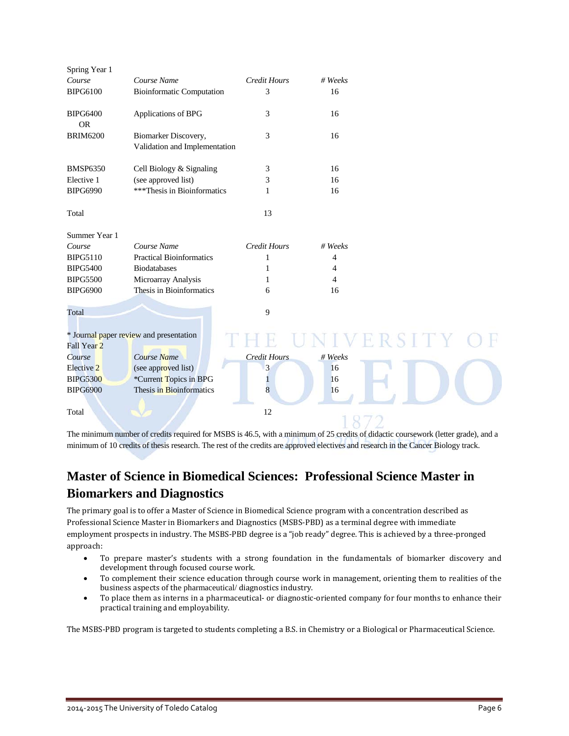| Spring Year 1                   |                                               |                     |                |         |
|---------------------------------|-----------------------------------------------|---------------------|----------------|---------|
| Course                          | Course Name                                   | Credit Hours        | # Weeks        |         |
| <b>BIPG6100</b>                 | <b>Bioinformatic Computation</b>              | 3                   | 16             |         |
| <b>BIPG6400</b><br><b>OR</b>    | Applications of BPG                           | 3                   | 16             |         |
| <b>BRIM6200</b>                 | Biomarker Discovery,                          | 3                   | 16             |         |
|                                 | Validation and Implementation                 |                     |                |         |
| <b>BMSP6350</b>                 | Cell Biology & Signaling                      | 3                   | 16             |         |
| Elective 1                      | (see approved list)                           | 3                   | 16             |         |
| <b>BIPG6990</b>                 | ***Thesis in Bioinformatics                   | 1                   | 16             |         |
| Total                           |                                               | 13                  |                |         |
| Summer Year 1                   |                                               |                     |                |         |
| Course                          | Course Name                                   | <b>Credit Hours</b> | # Weeks        |         |
| <b>BIPG5110</b>                 | <b>Practical Bioinformatics</b>               | 1                   | $\overline{4}$ |         |
| <b>BIPG5400</b>                 | <b>Biodatabases</b>                           | 1                   | 4              |         |
| <b>BIPG5500</b>                 | Microarray Analysis                           | 1                   | 4              |         |
| <b>BIPG6900</b>                 | Thesis in Bioinformatics                      | 6                   | 16             |         |
| Total                           |                                               | 9                   |                |         |
|                                 | * Journal paper review and presentation       |                     |                | IVERSIT |
| Fall Year <sub>2</sub>          | Course Name                                   | <b>Credit Hours</b> | # Weeks        |         |
| Course<br>Elective <sub>2</sub> |                                               |                     | 16             |         |
| <b>BIPG5300</b>                 | (see approved list)<br>*Current Topics in BPG | 3                   | 16             |         |
| <b>BIPG6900</b>                 | Thesis in Bioinformatics                      | 1<br>8              | 16             |         |
|                                 |                                               |                     |                |         |
| Total                           |                                               | 12                  |                |         |
|                                 |                                               |                     |                |         |

The minimum number of credits required for MSBS is 46.5, with a minimum of 25 credits of didactic coursework (letter grade), and a minimum of 10 credits of thesis research. The rest of the credits are approved electives and research in the Cancer Biology track.

## **Master of Science in Biomedical Sciences: Professional Science Master in Biomarkers and Diagnostics**

The primary goal is to offer a Master of Science in Biomedical Science program with a concentration described as Professional Science Master in Biomarkers and Diagnostics (MSBS-PBD) as a terminal degree with immediate employment prospects in industry. The MSBS-PBD degree is a "job ready" degree. This is achieved by a three-pronged approach:

- To prepare master's students with a strong foundation in the fundamentals of biomarker discovery and development through focused course work.
- To complement their science education through course work in management, orienting them to realities of the business aspects of the pharmaceutical/ diagnostics industry.
- To place them as interns in a pharmaceutical- or diagnostic-oriented company for four months to enhance their practical training and employability.

The MSBS-PBD program is targeted to students completing a B.S. in Chemistry or a Biological or Pharmaceutical Science.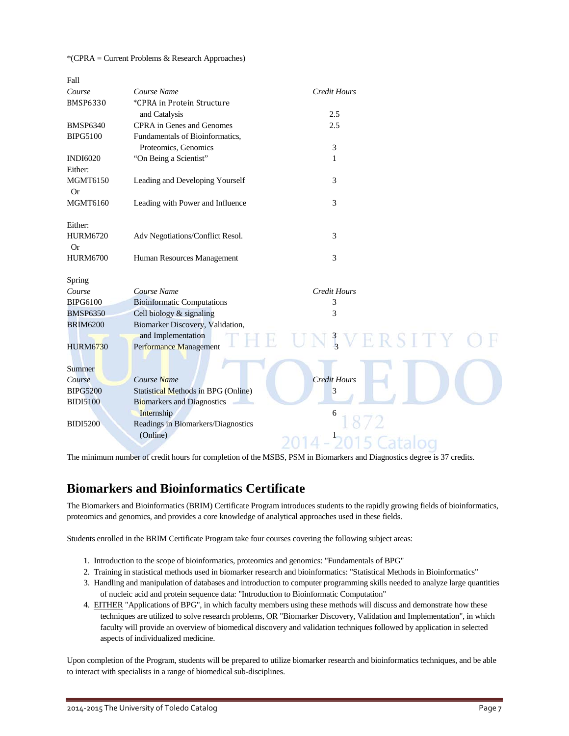#### \*(CPRA = Current Problems & Research Approaches)

| Fall            |                                            |                        |  |
|-----------------|--------------------------------------------|------------------------|--|
| Course          | Course Name                                | <b>Credit Hours</b>    |  |
| <b>BMSP6330</b> | *CPRA in Protein Structure                 |                        |  |
|                 | and Catalysis                              | 2.5                    |  |
| <b>BMSP6340</b> | <b>CPRA</b> in Genes and Genomes           | 2.5                    |  |
| <b>BIPG5100</b> | Fundamentals of Bioinformatics,            |                        |  |
|                 | Proteomics, Genomics                       | 3                      |  |
| <b>INDI6020</b> | "On Being a Scientist"                     | 1                      |  |
| Either:         |                                            |                        |  |
| <b>MGMT6150</b> | Leading and Developing Yourself            | 3                      |  |
| Or              |                                            |                        |  |
| <b>MGMT6160</b> | Leading with Power and Influence           | 3                      |  |
|                 |                                            |                        |  |
| Either:         |                                            |                        |  |
| <b>HURM6720</b> | Adv Negotiations/Conflict Resol.           | 3                      |  |
| <b>Or</b>       |                                            |                        |  |
| <b>HURM6700</b> | Human Resources Management                 | 3                      |  |
|                 |                                            |                        |  |
| Spring          |                                            |                        |  |
| Course          | Course Name                                | Credit Hours           |  |
| <b>BIPG6100</b> | <b>Bioinformatic Computations</b>          | 3                      |  |
| <b>BMSP6350</b> | Cell biology & signaling                   | 3                      |  |
| <b>BRIM6200</b> | Biomarker Discovery, Validation,           |                        |  |
|                 | and Implementation                         | $\frac{3}{2}$<br>ERSIT |  |
| <b>HURM6730</b> | Performance Management                     |                        |  |
|                 |                                            |                        |  |
| Summer          |                                            |                        |  |
| Course          | Course Name                                | <b>Credit Hours</b>    |  |
| <b>BIPG5200</b> | <b>Statistical Methods in BPG (Online)</b> | 3                      |  |
| <b>BIDI5100</b> | <b>Biomarkers and Diagnostics</b>          |                        |  |
|                 | Internship                                 | 6                      |  |
| <b>BIDI5200</b> | Readings in Biomarkers/Diagnostics         |                        |  |
|                 | (Online)                                   |                        |  |
|                 |                                            |                        |  |

The minimum number of credit hours for completion of the MSBS, PSM in Biomarkers and Diagnostics degree is 37 credits.

### **Biomarkers and Bioinformatics Certificate**

The Biomarkers and Bioinformatics (BRIM) Certificate Program introduces students to the rapidly growing fields of bioinformatics, proteomics and genomics, and provides a core knowledge of analytical approaches used in these fields.

Students enrolled in the BRIM Certificate Program take four courses covering the following subject areas:

- 1. Introduction to the scope of bioinformatics, proteomics and genomics: "Fundamentals of BPG"
- 2. Training in statistical methods used in biomarker research and bioinformatics: "Statistical Methods in Bioinformatics"
- 3. Handling and manipulation of databases and introduction to computer programming skills needed to analyze large quantities of nucleic acid and protein sequence data: "Introduction to Bioinformatic Computation"
- 4. EITHER "Applications of BPG", in which faculty members using these methods will discuss and demonstrate how these techniques are utilized to solve research problems, OR "Biomarker Discovery, Validation and Implementation", in which faculty will provide an overview of biomedical discovery and validation techniques followed by application in selected aspects of individualized medicine.

Upon completion of the Program, students will be prepared to utilize biomarker research and bioinformatics techniques, and be able to interact with specialists in a range of biomedical sub-disciplines.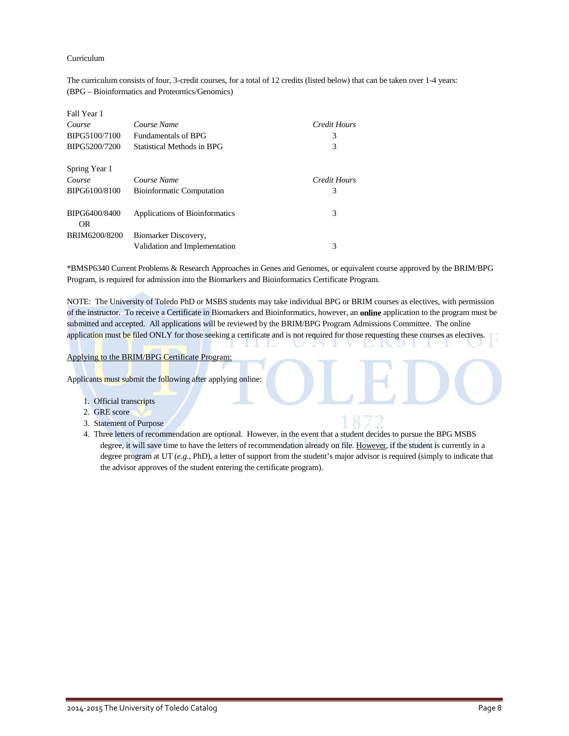#### Curriculum

The curriculum consists of four, 3-credit courses, for a total of 12 credits (listed below) that can be taken over 1-4 years: (BPG – Bioinformatics and Proteomics/Genomics)

| Fall Year 1          |                                  |              |
|----------------------|----------------------------------|--------------|
| Course               | Course Name                      | Credit Hours |
| BIPG5100/7100        | <b>Fundamentals of BPG</b>       | 3            |
| BIPG5200/7200        | Statistical Methods in BPG       | 3            |
| Spring Year 1        |                                  |              |
| Course               | Course Name                      | Credit Hours |
| BIPG6100/8100        | <b>Bioinformatic Computation</b> | 3            |
| BIPG6400/8400<br>OR. | Applications of Bioinformatics   | 3            |
| BRIM6200/8200        | Biomarker Discovery,             |              |
|                      | Validation and Implementation    | 3            |

\*BMSP6340 Current Problems & Research Approaches in Genes and Genomes, or equivalent course approved by the BRIM/BPG Program, is required for admission into the Biomarkers and Bioinformatics Certificate Program.

NOTE: The University of Toledo PhD or MSBS students may take individual BPG or BRIM courses as electives, with permission of the instructor. To receive a Certificate in Biomarkers and Bioinformatics, however, an **online** application to the program must be submitted and accepted. All applications will be reviewed by the BRIM/BPG Program Admissions Committee. The online application must be filed ONLY for those seeking a certificate and is not required for those requesting these courses as electives.

#### Applying to the BRIM/BPG Certificate Program:

Applicants must submit the following after applying online:

- 1. Official transcripts
- 2. GRE score
- 3. Statement of Purpose
- 4. Three letters of recommendation are optional. However, in the event that a student decides to pursue the BPG MSBS degree, it will save time to have the letters of recommendation already on file. However, if the student is currently in a degree program at UT (*e.g.*, PhD), a letter of support from the student's major advisor is required (simply to indicate that the advisor approves of the student entering the certificate program).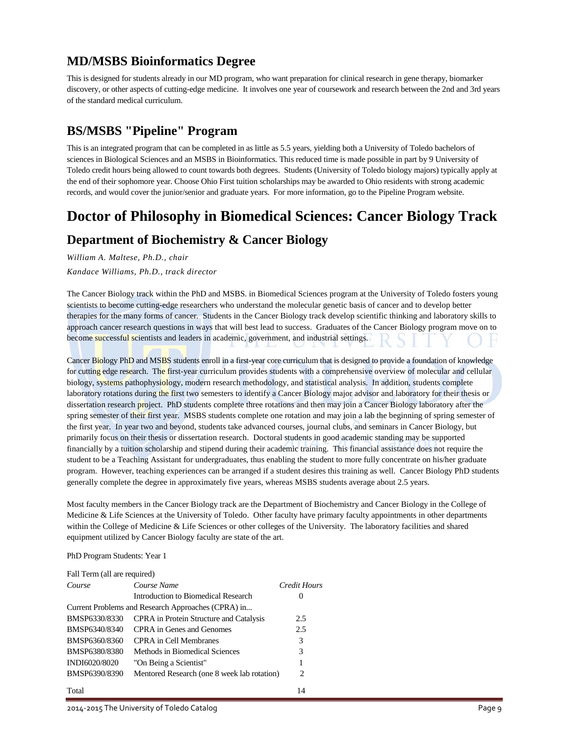### **MD/MSBS Bioinformatics Degree**

This is designed for students already in our MD program, who want preparation for clinical research in gene therapy, biomarker discovery, or other aspects of cutting-edge medicine. It involves one year of coursework and research between the 2nd and 3rd years of the standard medical curriculum.

### **BS/MSBS "Pipeline" Program**

This is an integrated program that can be completed in as little as 5.5 years, yielding both a University of Toledo bachelors of sciences in Biological Sciences and an MSBS in Bioinformatics. This reduced time is made possible in part by 9 University of Toledo credit hours being allowed to count towards both degrees. Students (University of Toledo biology majors) typically apply at the end of their sophomore year. Choose Ohio First tuition scholarships may be awarded to Ohio residents with strong academic records, and would cover the junior/senior and graduate years. For more information, go to th[e Pipeline Program](http://www.utoledo.edu/med/depts/bioinfo/FindlayPipeline.html) website.

### **Doctor of Philosophy in Biomedical Sciences: Cancer Biology Track**

### **Department of Biochemistry & Cancer Biology**

*William A. Maltese, Ph.D., chair Kandace Williams, Ph.D., track director*

The Cancer Biology track within the PhD and MSBS. in Biomedical Sciences program at the University of Toledo fosters young scientists to become cutting-edge researchers who understand the molecular genetic basis of cancer and to develop better therapies for the many forms of cancer. Students in the Cancer Biology track develop scientific thinking and laboratory skills to approach cancer research questions in ways that will best lead to success. Graduates of the Cancer Biology program move on to become successful scientists and leaders in academic, government, and industrial settings.

Cancer Biology PhD and MSBS students enroll in a first-year core curriculum that is designed to provide a foundation of knowledge for cutting edge research. The first-year curriculum provides students with a comprehensive overview of molecular and cellular biology, systems pathophysiology, modern research methodology, and statistical analysis. In addition, students complete laboratory rotations during the first two semesters to identify a Cancer Biology major advisor and laboratory for their thesis or dissertation research project. PhD students complete three rotations and then may join a Cancer Biology laboratory after the spring semester of their first year. MSBS students complete one rotation and may join a lab the beginning of spring semester of the first year. In year two and beyond, students take advanced courses, journal clubs, and seminars in Cancer Biology, but primarily focus on their thesis or dissertation research. Doctoral students in good academic standing may be supported financially by a tuition scholarship and stipend during their academic training. This financial assistance does not require the student to be a Teaching Assistant for undergraduates, thus enabling the student to more fully concentrate on his/her graduate program. However, teaching experiences can be arranged if a student desires this training as well. Cancer Biology PhD students generally complete the degree in approximately five years, whereas MSBS students average about 2.5 years.

Most faculty members in the Cancer Biology track are the Department of Biochemistry and Cancer Biology in the College of Medicine & Life Sciences at the University of Toledo. Other faculty have primary faculty appointments in other departments within the College of Medicine & Life Sciences or other colleges of the University. The laboratory facilities and shared equipment utilized by Cancer Biology faculty are state of the art.

### PhD Program Students: Year 1

| Course        | Course Name                                        | Credit Hours |
|---------------|----------------------------------------------------|--------------|
|               | Introduction to Biomedical Research                | $\theta$     |
|               | Current Problems and Research Approaches (CPRA) in |              |
| BMSP6330/8330 | <b>CPRA</b> in Protein Structure and Catalysis     | 2.5          |
| BMSP6340/8340 | CPRA in Genes and Genomes                          | 2.5          |
| BMSP6360/8360 | CPRA in Cell Membranes                             | 3            |
| BMSP6380/8380 | Methods in Biomedical Sciences                     | 3            |
| INDI6020/8020 | "On Being a Scientist"                             | 1            |
| BMSP6390/8390 | Mentored Research (one 8 week lab rotation)        | 2            |
| Total         |                                                    | 14           |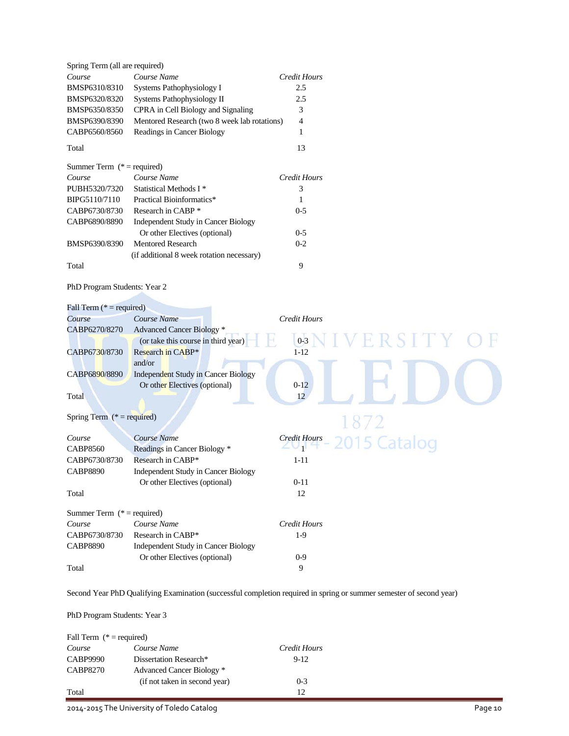| Spring Term (all are required) |                                              |                |
|--------------------------------|----------------------------------------------|----------------|
| Course                         | Course Name                                  | Credit Hours   |
| BMSP6310/8310                  | Systems Pathophysiology I                    | 2.5            |
| BMSP6320/8320                  | Systems Pathophysiology II                   | 2.5            |
| BMSP6350/8350                  | CPRA in Cell Biology and Signaling           | 3              |
| BMSP6390/8390                  | Mentored Research (two 8 week lab rotations) | $\overline{4}$ |
| CABP6560/8560                  | Readings in Cancer Biology                   |                |
|                                |                                              |                |

#### Total 13

| Summer Term $(*)$ = required) |                                           |              |
|-------------------------------|-------------------------------------------|--------------|
| Course                        | Course Name                               | Credit Hours |
| PUBH5320/7320                 | Statistical Methods I <sup>*</sup>        | 3            |
| BIPG5110/7110                 | Practical Bioinformatics*                 |              |
| CABP6730/8730                 | Research in CABP *                        | $0 - 5$      |
| CABP6890/8890                 | Independent Study in Cancer Biology       |              |
|                               | Or other Electives (optional)             | $0 - 5$      |
| BMSP6390/8390                 | Mentored Research                         | $0 - 2$      |
|                               | (if additional 8 week rotation necessary) |              |
| Total                         |                                           | 9            |

### PhD Program Students: Year 2

| Fall Term ( $* =$ required)  |                                            |                     |
|------------------------------|--------------------------------------------|---------------------|
| Course                       | Course Name                                | <b>Credit Hours</b> |
| CABP6270/8270                | <b>Advanced Cancer Biology</b> *           |                     |
|                              | (or take this course in third year)        | ERSITY<br>$0 - 3$   |
| CABP6730/8730                | Research in CABP*                          | $1 - 12$            |
|                              | and/or                                     |                     |
| CABP6890/8890                | <b>Independent Study in Cancer Biology</b> |                     |
|                              | Or other Electives (optional)              | $0-12$              |
| Total                        |                                            | 12                  |
|                              |                                            |                     |
| Spring Term $(* = required)$ |                                            | 1872                |
| Course                       | Course Name                                | <b>Credit Hours</b> |
| <b>CABP8560</b>              | Readings in Cancer Biology *               | 2015 Catalog        |
| CABP6730/8730                | Research in CABP*                          | $1 - 11$            |
| <b>CABP8890</b>              | <b>Independent Study in Cancer Biology</b> |                     |
|                              | Or other Electives (optional)              | $0 - 11$            |
| Total                        |                                            | 12                  |
|                              |                                            |                     |
| Summer Term $(* = required)$ |                                            |                     |
| Course                       | Course Name                                | <b>Credit Hours</b> |
| CABP6730/8730                | Research in CABP*                          | $1-9$               |
| <b>CABP8890</b>              | Independent Study in Cancer Biology        |                     |
|                              | Or other Electives (optional)              | $0 - 9$             |
| Total                        |                                            | 9                   |
|                              |                                            |                     |

Second Year PhD Qualifying Examination (successful completion required in spring or summer semester of second year)

PhD Program Students: Year 3

| Fall Term $(* = required)$ |                               |              |
|----------------------------|-------------------------------|--------------|
| Course                     | Course Name                   | Credit Hours |
| <b>CABP9990</b>            | Dissertation Research*        | $9-12$       |
| <b>CABP8270</b>            | Advanced Cancer Biology *     |              |
|                            | (if not taken in second year) | $0 - 3$      |
| Total                      |                               | 12           |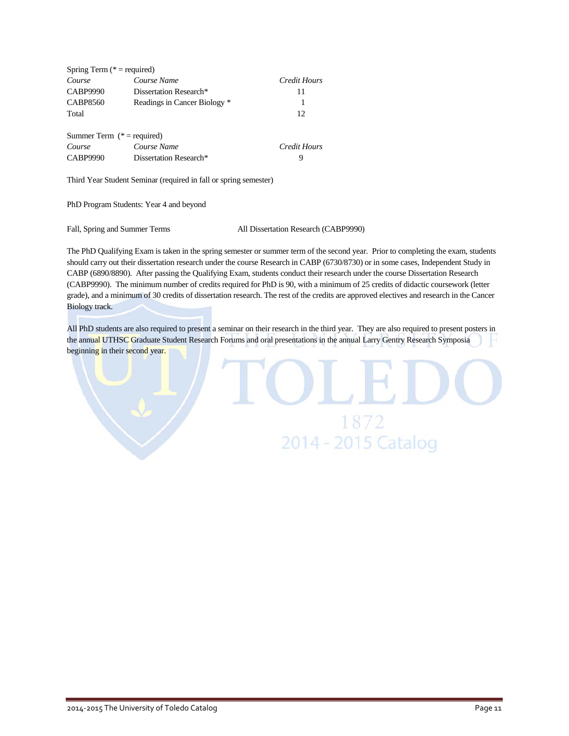| Spring Term ( $* =$ required) |                              |              |
|-------------------------------|------------------------------|--------------|
| Course                        | Course Name                  | Credit Hours |
| <b>CABP9990</b>               | Dissertation Research*       | 11           |
| <b>CABP8560</b>               | Readings in Cancer Biology * | 1            |
| Total                         |                              | 12           |
| Summer Term $(* = required)$  |                              |              |
| Course                        | Course Name                  | Credit Hours |
| <b>CABP9990</b>               | Dissertation Research*       | 9            |

Third Year Student Seminar (required in fall or spring semester)

PhD Program Students: Year 4 and beyond

Fall, Spring and Summer Terms All Dissertation Research (CABP9990)

The PhD Qualifying Exam is taken in the spring semester or summer term of the second year. Prior to completing the exam, students should carry out their dissertation research under the course Research in CABP (6730/8730) or in some cases, Independent Study in CABP (6890/8890). After passing the Qualifying Exam, students conduct their research under the course Dissertation Research (CABP9990). The minimum number of credits required for PhD is 90, with a minimum of 25 credits of didactic coursework (letter grade), and a minimum of 30 credits of dissertation research. The rest of the credits are approved electives and research in the Cancer Biology track.

All PhD students are also required to present a seminar on their research in the third year. They are also required to present posters in the annual UTHSC Graduate Student Research Forums and oral presentations in the annual Larry Gentry Research Symposia beginning in their second year.

1872

2014 - 2015 Catalog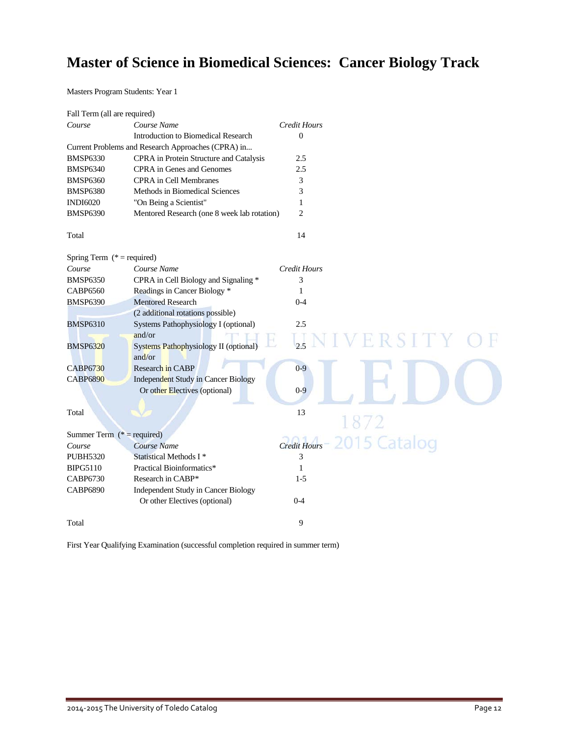## **Master of Science in Biomedical Sciences: Cancer Biology Track**

Masters Program Students: Year 1

| Fall Term (all are required) |                                                        |                     |              |
|------------------------------|--------------------------------------------------------|---------------------|--------------|
| Course                       | Course Name                                            | <b>Credit Hours</b> |              |
|                              | Introduction to Biomedical Research                    | $\Omega$            |              |
|                              | Current Problems and Research Approaches (CPRA) in     |                     |              |
| <b>BMSP6330</b>              | CPRA in Protein Structure and Catalysis                | 2.5                 |              |
| <b>BMSP6340</b>              | CPRA in Genes and Genomes                              | 2.5                 |              |
| <b>BMSP6360</b>              | <b>CPRA</b> in Cell Membranes                          | 3                   |              |
| <b>BMSP6380</b>              | Methods in Biomedical Sciences                         | 3                   |              |
| <b>INDI6020</b>              | "On Being a Scientist"                                 | 1                   |              |
| <b>BMSP6390</b>              | Mentored Research (one 8 week lab rotation)            | $\overline{c}$      |              |
| Total                        |                                                        | 14                  |              |
| Spring Term $(* = required)$ |                                                        |                     |              |
| Course                       | Course Name                                            | <b>Credit Hours</b> |              |
| <b>BMSP6350</b>              | CPRA in Cell Biology and Signaling *                   | 3                   |              |
| CABP6560                     | Readings in Cancer Biology *                           | 1                   |              |
| <b>BMSP6390</b>              | <b>Mentored Research</b>                               | $0 - 4$             |              |
|                              | (2 additional rotations possible)                      |                     |              |
| <b>BMSP6310</b>              | Systems Pathophysiology I (optional)                   | 2.5                 |              |
|                              | and/or                                                 |                     |              |
| <b>BMSP6320</b>              | <b>Systems Pathophysiology II (optional)</b><br>and/or | 2.5                 | R S I T      |
| <b>CABP6730</b>              | Research in CABP                                       | $0 - 9$             |              |
| <b>CABP6890</b>              | <b>Independent Study in Cancer Biology</b>             |                     |              |
|                              | Or other Electives (optional)                          | $0-9$               |              |
| Total                        |                                                        | 13                  |              |
|                              |                                                        |                     | 1872         |
| Summer Term $(* = required)$ |                                                        |                     |              |
| Course                       | Course Name                                            | Credit Hours        | 2015 Catalog |
| <b>PUBH5320</b>              | Statistical Methods I*                                 | 3                   |              |
| <b>BIPG5110</b>              | Practical Bioinformatics*                              | 1                   |              |
| <b>CABP6730</b>              | Research in CABP*                                      | $1 - 5$             |              |
| <b>CABP6890</b>              | <b>Independent Study in Cancer Biology</b>             |                     |              |
|                              | Or other Electives (optional)                          | $0 - 4$             |              |
| Total                        |                                                        | 9                   |              |

First Year Qualifying Examination (successful completion required in summer term)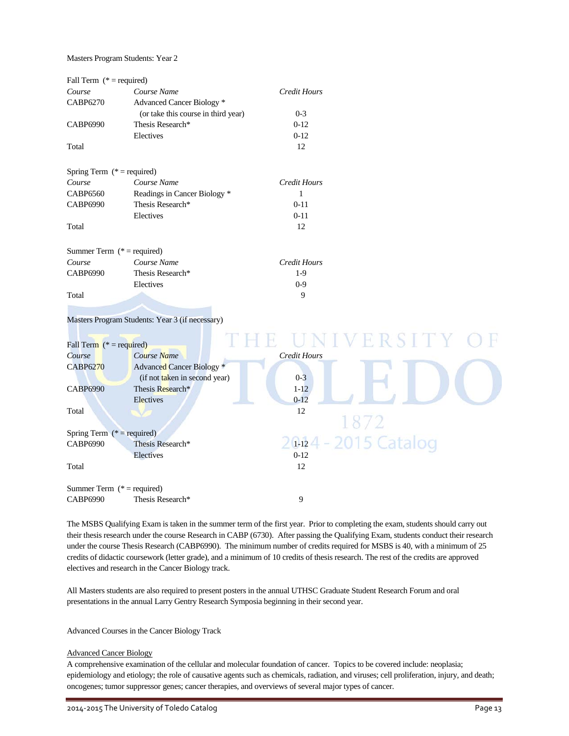Masters Program Students: Year 2

| Fall Term $(* = required)$   |                                     |              |
|------------------------------|-------------------------------------|--------------|
| Course                       | Course Name                         | Credit Hours |
| CABP6270                     | Advanced Cancer Biology *           |              |
|                              | (or take this course in third year) | $0 - 3$      |
| CABP6990                     | Thesis Research*                    | $0-12$       |
|                              | Electives                           | $0-12$       |
| Total                        |                                     | 12           |
| Spring Term $(* = required)$ |                                     |              |
| Course                       | Course Name                         | Credit Hours |
| CABP6560                     | Readings in Cancer Biology *        | 1            |
| <b>CABP6990</b>              | Thesis Research*                    | $0 - 11$     |
|                              | Electives                           | $0 - 11$     |
| Total                        |                                     | 12           |
| Summer Term $(* = required)$ |                                     |              |
| Course                       | Course Name                         | Credit Hours |
| CABP6990                     | Thesis Research*                    | $1-9$        |
|                              | Electives                           | $0 - 9$      |
| Total                        |                                     | 9            |

#### Masters Program Students: Year 3 (if necessary)

| Fall Term $(* = required)$                       |                               |              | NIVERSITY                    |
|--------------------------------------------------|-------------------------------|--------------|------------------------------|
| Course                                           | Course Name                   | Credit Hours |                              |
| <b>CABP6270</b>                                  | Advanced Cancer Biology *     |              |                              |
|                                                  | (if not taken in second year) | $0 - 3$      |                              |
| <b>CABP6990</b>                                  | Thesis Research*              | $1 - 12$     |                              |
|                                                  | Electives                     | $0 - 12$     |                              |
| Total                                            |                               | 12           |                              |
| Spring Term ( $*$ = required)<br><b>CABP6990</b> | Thesis Research*<br>Electives | $0-12$       | 1872<br>20124 - 2015 Catalog |
| Total                                            |                               | 12           |                              |
| Summer Term $(* = required)$<br><b>CABP6990</b>  | Thesis Research*              | 9            |                              |

The MSBS Qualifying Exam is taken in the summer term of the first year. Prior to completing the exam, students should carry out their thesis research under the course Research in CABP (6730). After passing the Qualifying Exam, students conduct their research under the course Thesis Research (CABP6990). The minimum number of credits required for MSBS is 40, with a minimum of 25 credits of didactic coursework (letter grade), and a minimum of 10 credits of thesis research. The rest of the credits are approved electives and research in the Cancer Biology track.

All Masters students are also required to present posters in the annual UTHSC Graduate Student Research Forum and oral presentations in the annual Larry Gentry Research Symposia beginning in their second year.

Advanced Courses in the Cancer Biology Track

#### Advanced Cancer Biology

A comprehensive examination of the cellular and molecular foundation of cancer. Topics to be covered include: neoplasia; epidemiology and etiology; the role of causative agents such as chemicals, radiation, and viruses; cell proliferation, injury, and death; oncogenes; tumor suppressor genes; cancer therapies, and overviews of several major types of cancer.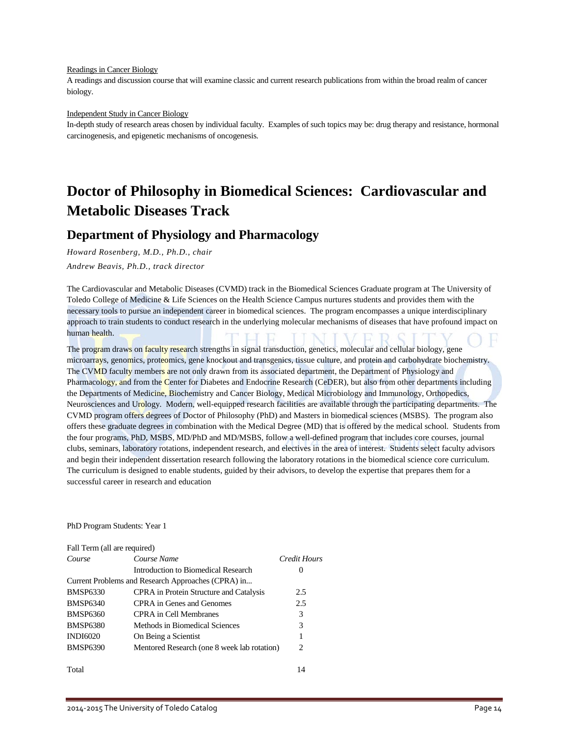#### Readings in Cancer Biology

A readings and discussion course that will examine classic and current research publications from within the broad realm of cancer biology.

#### Independent Study in Cancer Biology

In-depth study of research areas chosen by individual faculty. Examples of such topics may be: drug therapy and resistance, hormonal carcinogenesis, and epigenetic mechanisms of oncogenesis.

## **Doctor of Philosophy in Biomedical Sciences: Cardiovascular and Metabolic Diseases Track**

### **Department of Physiology and Pharmacology**

*Howard Rosenberg, M.D., Ph.D., chair*

*Andrew Beavis, Ph.D., track director*

The Cardiovascular and Metabolic Diseases (CVMD) track in the Biomedical Sciences Graduate program at The University of Toledo College of Medicine & Life Sciences on the Health Science Campus nurtures students and provides them with the necessary tools to pursue an independent career in biomedical sciences. The program encompasses a unique interdisciplinary approach to train students to conduct research in the underlying molecular mechanisms of diseases that have profound impact on human health.

The program draws on faculty research strengths in signal transduction, genetics, molecular and cellular biology, gene microarrays, genomics, proteomics, gene knockout and transgenics, tissue culture, and protein and carbohydrate biochemistry. The CVMD faculty members are not only drawn from its associated department, the Department of Physiology and Pharmacology, and from the Center for Diabetes and Endocrine Research (CeDER), but also from other departments including the Departments of Medicine, Biochemistry and Cancer Biology, Medical Microbiology and Immunology, Orthopedics, Neurosciences and Urology. Modern, well-equipped research facilities are available through the participating departments. The CVMD program offers degrees of Doctor of Philosophy (PhD) and Masters in biomedical sciences (MSBS). The program also offers these graduate degrees in combination with the Medical Degree (MD) that is offered by the medical school. Students from the four programs, PhD, MSBS, MD/PhD and MD/MSBS, follow a well-defined program that includes core courses, journal clubs, seminars, laboratory rotations, independent research, and electives in the area of interest. Students select faculty advisors and begin their independent dissertation research following the laboratory rotations in the biomedical science core curriculum. The curriculum is designed to enable students, guided by their advisors, to develop the expertise that prepares them for a successful career in research and education

#### PhD Program Students: Year 1

| Fall Term (all are required) |                                                    |          |
|------------------------------|----------------------------------------------------|----------|
| Course                       | Credit Hours                                       |          |
|                              | Introduction to Biomedical Research                | $\theta$ |
|                              | Current Problems and Research Approaches (CPRA) in |          |
| <b>BMSP6330</b>              | CPRA in Protein Structure and Catalysis            | 2.5      |
| <b>BMSP6340</b>              | CPRA in Genes and Genomes                          | 2.5      |
| <b>BMSP6360</b>              | CPRA in Cell Membranes                             | 3        |
| <b>BMSP6380</b>              | Methods in Biomedical Sciences                     | 3        |
| <b>INDI6020</b>              | On Being a Scientist                               |          |
| <b>BMSP6390</b>              | Mentored Research (one 8 week lab rotation)        | 2        |
|                              |                                                    |          |

Total 14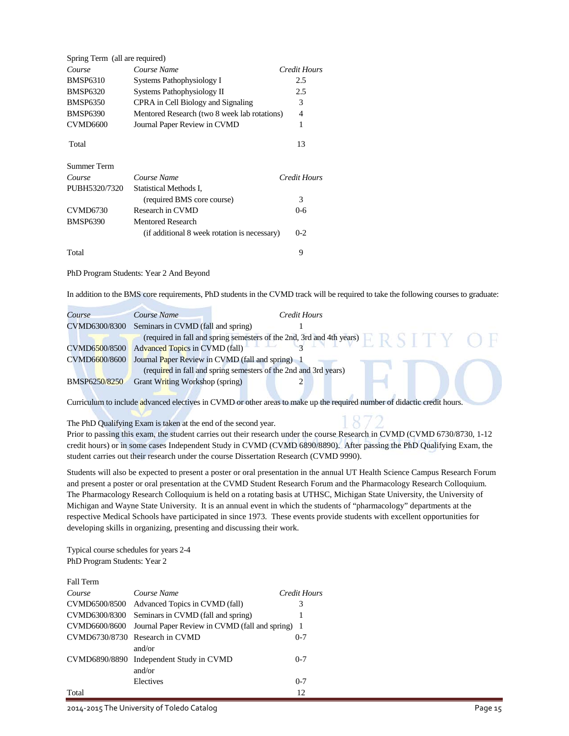| Spring Term (all are required) |                                              |              |
|--------------------------------|----------------------------------------------|--------------|
| Course                         | Course Name                                  | Credit Hours |
| <b>BMSP6310</b>                | Systems Pathophysiology I                    | 2.5          |
| <b>BMSP6320</b>                | Systems Pathophysiology II                   | 2.5          |
| <b>BMSP6350</b>                | CPRA in Cell Biology and Signaling           | 3            |
| <b>BMSP6390</b>                | Mentored Research (two 8 week lab rotations) | 4            |
| <b>CVMD6600</b>                | Journal Paper Review in CVMD                 | 1            |
| Total                          |                                              | 13           |
| Summer Term                    |                                              |              |
| Course                         | Course Name                                  | Credit Hours |
| PUBH5320/7320                  | Statistical Methods I,                       |              |
|                                | (required BMS core course)                   | 3            |
| <b>CVMD6730</b>                | Research in CVMD                             | $0 - 6$      |
| <b>BMSP6390</b>                | Mentored Research                            |              |
|                                | (if additional 8 week rotation is necessary) | $0 - 2$      |
| Total                          |                                              | 9            |

PhD Program Students: Year 2 And Beyond

In addition to the BMS core requirements, PhD students in the CVMD track will be required to take the following courses to graduate:

| Course        | Course Name                        | Credit Hours                                                          |  |
|---------------|------------------------------------|-----------------------------------------------------------------------|--|
| CVMD6300/8300 | Seminars in CVMD (fall and spring) |                                                                       |  |
|               |                                    | (required in fall and spring semesters of the 2nd, 3rd and 4th years) |  |
| CVMD6500/8500 | Advanced Topics in CVMD (fall)     |                                                                       |  |
| CVMD6600/8600 |                                    | Journal Paper Review in CVMD (fall and spring)                        |  |
|               |                                    | (required in fall and spring semesters of the 2nd and 3rd years)      |  |
| BMSP6250/8250 | Grant Writing Workshop (spring)    |                                                                       |  |

Curriculum to include advanced electives in CVMD or other areas to make up the required number of didactic credit hours.

The PhD Qualifying Exam is taken at the end of the second year.

Prior to passing this exam, the student carries out their research under the course Research in CVMD (CVMD 6730/8730, 1-12 credit hours) or in some cases Independent Study in CVMD (CVMD 6890/8890). After passing the PhD Qualifying Exam, the student carries out their research under the course Dissertation Research (CVMD 9990).

Students will also be expected to present a poster or oral presentation in the annual UT Health Science Campus Research Forum and present a poster or oral presentation at the CVMD Student Research Forum and the Pharmacology Research Colloquium. The Pharmacology Research Colloquium is held on a rotating basis at UTHSC, Michigan State University, the University of Michigan and Wayne State University. It is an annual event in which the students of "pharmacology" departments at the respective Medical Schools have participated in since 1973. These events provide students with excellent opportunities for developing skills in organizing, presenting and discussing their work.

Typical course schedules for years 2-4 PhD Program Students: Year 2

| × |  |
|---|--|
|---|--|

| Course | Course Name                                                    | Credit Hours |
|--------|----------------------------------------------------------------|--------------|
|        | CVMD6500/8500 Advanced Topics in CVMD (fall)                   | 3            |
|        | CVMD6300/8300 Seminars in CVMD (fall and spring)               |              |
|        | CVMD6600/8600 Journal Paper Review in CVMD (fall and spring) 1 |              |
|        | CVMD6730/8730 Research in CVMD                                 | $0 - 7$      |
|        | and/or                                                         |              |
|        | CVMD6890/8890 Independent Study in CVMD                        | $0 - 7$      |
|        | and/or                                                         |              |
|        | Electives                                                      | $0 - 7$      |
| Total  |                                                                | 12           |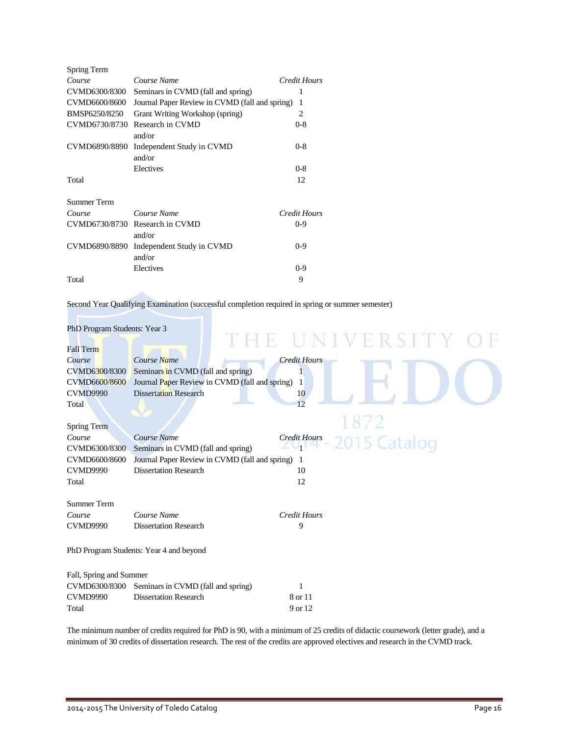| Spring Term        |                                                |              |
|--------------------|------------------------------------------------|--------------|
| Course             | Course Name                                    | Credit Hours |
| CVMD6300/8300      | Seminars in CVMD (fall and spring)             | 1            |
| CVMD6600/8600      | Journal Paper Review in CVMD (fall and spring) | 1            |
| BMSP6250/8250      | Grant Writing Workshop (spring)                | 2            |
| CVMD6730/8730      | Research in CVMD<br>and/or                     | $0 - 8$      |
| CVMD6890/8890      | Independent Study in CVMD<br>and/or            | $0 - 8$      |
|                    | Electives                                      | $0 - 8$      |
| Total              |                                                | 12           |
| <b>Summer Term</b> |                                                |              |
| Course             | Course Name                                    | Credit Hours |
| CVMD6730/8730      | Research in CVMD<br>and/or                     | $0 - 9$      |
| CVMD6890/8890      | Independent Study in CVMD<br>and/or            | $0 - 9$      |
|                    | Electives                                      | $0 - 9$      |
| Total              |                                                | 9            |

Second Year Qualifying Examination (successful completion required in spring or summer semester)

| PhD Program Students: Year 3 |                                                |                     |                |
|------------------------------|------------------------------------------------|---------------------|----------------|
| <b>Fall Term</b>             |                                                |                     | THE UNIVERSITY |
| Course                       | Course Name                                    | <b>Credit Hours</b> |                |
| CVMD6300/8300                | Seminars in CVMD (fall and spring)             |                     |                |
| CVMD6600/8600                | Journal Paper Review in CVMD (fall and spring) | 1                   |                |
| <b>CVMD9990</b>              | <b>Dissertation Research</b>                   | 10                  |                |
| Total                        |                                                | 12                  |                |
|                              |                                                |                     |                |
| Spring Term                  |                                                |                     |                |
| Course                       | Course Name                                    | <b>Credit Hours</b> |                |
| CVMD6300/8300                | Seminars in CVMD (fall and spring)             | ZU I                | 2015 Catalog   |
| CVMD6600/8600                | Journal Paper Review in CVMD (fall and spring) | -1                  |                |
| <b>CVMD9990</b>              | <b>Dissertation Research</b>                   | 10                  |                |
| Total                        |                                                | 12                  |                |
|                              |                                                |                     |                |
| <b>Summer Term</b>           |                                                |                     |                |
| Course                       | Course Name                                    | <b>Credit Hours</b> |                |
| <b>CVMD9990</b>              | <b>Dissertation Research</b>                   | 9                   |                |
|                              |                                                |                     |                |
|                              | PhD Program Students: Year 4 and beyond        |                     |                |
|                              |                                                |                     |                |
| Fall, Spring and Summer      |                                                |                     |                |
| CVMD6300/8300                | Seminars in CVMD (fall and spring)             | 1                   |                |
| <b>CVMD9990</b>              | <b>Dissertation Research</b>                   | 8 or 11             |                |
| Total                        |                                                | 9 or 12             |                |

The minimum number of credits required for PhD is 90, with a minimum of 25 credits of didactic coursework (letter grade), and a minimum of 30 credits of dissertation research. The rest of the credits are approved electives and research in the CVMD track.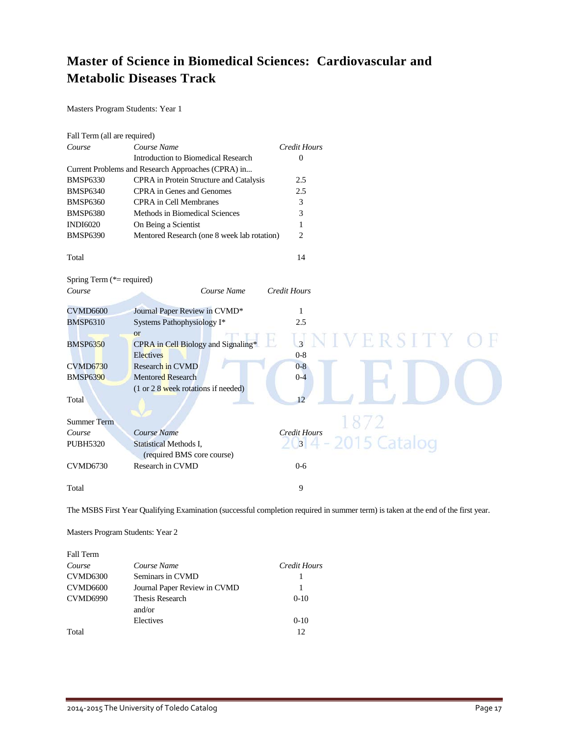## **Master of Science in Biomedical Sciences: Cardiovascular and Metabolic Diseases Track**

Masters Program Students: Year 1

| Fall Term (all are required) |                                                    |                     |              |
|------------------------------|----------------------------------------------------|---------------------|--------------|
| Course                       | Course Name                                        | <b>Credit Hours</b> |              |
|                              | <b>Introduction to Biomedical Research</b>         | $\mathbf{0}$        |              |
|                              | Current Problems and Research Approaches (CPRA) in |                     |              |
| <b>BMSP6330</b>              | CPRA in Protein Structure and Catalysis            | 2.5                 |              |
| <b>BMSP6340</b>              | CPRA in Genes and Genomes                          | 2.5                 |              |
| <b>BMSP6360</b>              | <b>CPRA</b> in Cell Membranes                      | 3                   |              |
| <b>BMSP6380</b>              | Methods in Biomedical Sciences                     | 3                   |              |
| <b>INDI6020</b>              | On Being a Scientist                               | 1                   |              |
| <b>BMSP6390</b>              | Mentored Research (one 8 week lab rotation)        | $\overline{c}$      |              |
| Total                        |                                                    | 14                  |              |
| Spring Term (*= required)    |                                                    |                     |              |
| Course                       | Course Name                                        | <b>Credit Hours</b> |              |
| <b>CVMD6600</b>              | Journal Paper Review in CVMD*                      | 1                   |              |
| <b>BMSP6310</b>              | Systems Pathophysiology I*                         | 2.5                 |              |
|                              | <b>or</b>                                          |                     |              |
| <b>BMSP6350</b>              | CPRA in Cell Biology and Signaling*                | 3                   |              |
|                              | Electives                                          | $0 - 8$             |              |
| <b>CVMD6730</b>              | Research in CVMD                                   | $0 - 8$             |              |
| <b>BMSP6390</b>              | <b>Mentored Research</b>                           | $0 - 4$             |              |
|                              | $(1 or 2 8$ week rotations if needed)              |                     |              |
| Total                        |                                                    | 12                  |              |
|                              |                                                    |                     |              |
| <b>Summer Term</b>           |                                                    |                     | 1872         |
| Course                       | Course Name                                        | <b>Credit Hours</b> |              |
| <b>PUBH5320</b>              | Statistical Methods I,                             | $3^{\prime}$        | 2015 Catalog |
|                              | (required BMS core course)                         |                     |              |
| <b>CVMD6730</b>              | Research in CVMD                                   | $0 - 6$             |              |
| Total                        |                                                    | 9                   |              |

The MSBS First Year Qualifying Examination (successful completion required in summer term) is taken at the end of the first year.

Masters Program Students: Year 2

| Fall Term       |                              |              |
|-----------------|------------------------------|--------------|
| Course          | Course Name                  | Credit Hours |
| CVMD6300        | Seminars in CVMD             |              |
| <b>CVMD6600</b> | Journal Paper Review in CVMD |              |
| CVMD6990        | Thesis Research              | $0-10$       |
|                 | and/or                       |              |
|                 | Electives                    | $0-10$       |
| Total           |                              | 12           |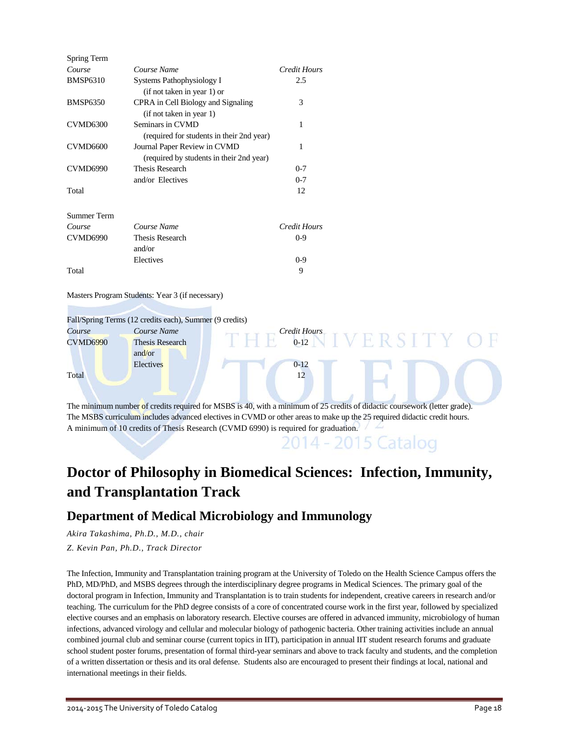| Spring Term          |                                                                           |               |
|----------------------|---------------------------------------------------------------------------|---------------|
| Course               | Course Name                                                               | Credit Hours  |
| <b>BMSP6310</b>      | Systems Pathophysiology I<br>(if not taken in year 1) or                  | 2.5           |
| <b>BMSP6350</b>      | CPRA in Cell Biology and Signaling<br>(if not taken in year 1)            | 3             |
| <b>CVMD6300</b>      | Seminars in CVMD                                                          | 1             |
| CVMD <sub>6600</sub> | (required for students in their 2nd year)<br>Journal Paper Review in CVMD | 1             |
| <b>CVMD6990</b>      | (required by students in their 2nd year)<br>Thesis Research               | $0 - 7$       |
| Total                | and/or Electives                                                          | $0 - 7$<br>12 |
| Summer Term          |                                                                           |               |
| Course               | Course Name                                                               | Credit Hours  |
| <b>CVMD6990</b>      | Thesis Research<br>and/or                                                 | $0 - 9$       |
|                      | Electives                                                                 | $0-9$         |
| Total                |                                                                           | 9             |

Masters Program Students: Year 3 (if necessary)

Fall/Spring Terms (12 credits each), Summer (9 credits)

| Course          | Course Name     | Credit Hours                                                                                                               |  |
|-----------------|-----------------|----------------------------------------------------------------------------------------------------------------------------|--|
| <b>CVMD6990</b> | Thesis Research | $0 - 12$                                                                                                                   |  |
|                 | and/or          |                                                                                                                            |  |
|                 | Electives       | $0 - 12$                                                                                                                   |  |
| Total           |                 | 12                                                                                                                         |  |
|                 |                 |                                                                                                                            |  |
|                 |                 |                                                                                                                            |  |
|                 |                 | The minimum number of credits required for MSBS is 40, with a minimum of 25 credits of didactic coursework (letter grade). |  |

The MSBS curriculum includes advanced electives in CVMD or other areas to make up the 25 required didactic credit hours. A minimum of 10 credits of Thesis Research (CVMD 6990) is required for graduation.

## **Doctor of Philosophy in Biomedical Sciences: Infection, Immunity, and Transplantation Track**

### **Department of Medical Microbiology and Immunology**

*Akira Takashima, Ph.D., M.D., chair*

*Z. Kevin Pan, Ph.D., Track Director*

The Infection, Immunity and Transplantation training program at the University of Toledo on the Health Science Campus offers the PhD, MD/PhD, and MSBS degrees through the interdisciplinary degree programs in Medical Sciences. The primary goal of the doctoral program in Infection, Immunity and Transplantation is to train students for independent, creative careers in research and/or teaching. The curriculum for the PhD degree consists of a core of concentrated course work in the first year, followed by specialized elective courses and an emphasis on laboratory research. Elective courses are offered in advanced immunity, microbiology of human infections, advanced virology and cellular and molecular biology of pathogenic bacteria. Other training activities include an annual combined journal club and seminar course (current topics in IIT), participation in annual IIT student research forums and graduate school student poster forums, presentation of formal third-year seminars and above to track faculty and students, and the completion of a written dissertation or thesis and its oral defense. Students also are encouraged to present their findings at local, national and international meetings in their fields.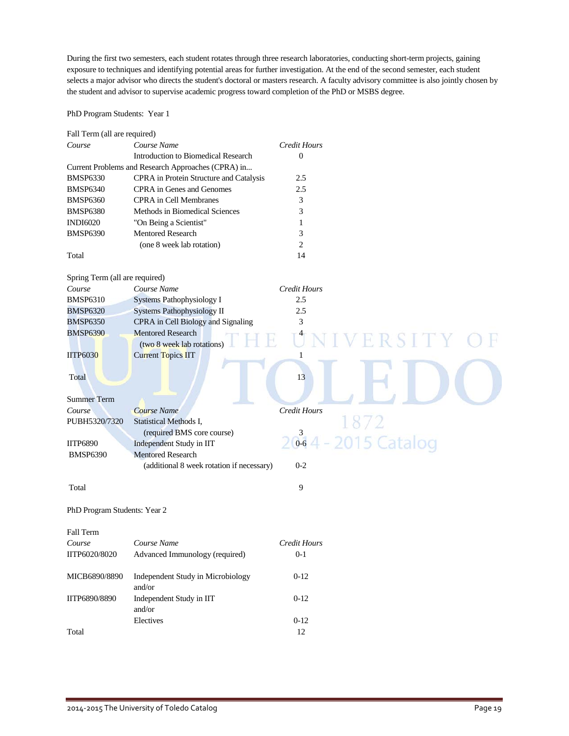During the first two semesters, each student rotates through three research laboratories, conducting short-term projects, gaining exposure to techniques and identifying potential areas for further investigation. At the end of the second semester, each student selects a major advisor who directs the student's doctoral or masters research. A faculty advisory committee is also jointly chosen by the student and advisor to supervise academic progress toward completion of the PhD or MSBS degree.

### PhD Program Students: Year 1

| Fall Term (all are required)   |                                                    |                       |
|--------------------------------|----------------------------------------------------|-----------------------|
| Course                         | Course Name                                        | Credit Hours          |
|                                | Introduction to Biomedical Research                | $\mathbf{0}$          |
|                                | Current Problems and Research Approaches (CPRA) in |                       |
| <b>BMSP6330</b>                | CPRA in Protein Structure and Catalysis            | 2.5                   |
| <b>BMSP6340</b>                | CPRA in Genes and Genomes                          | 2.5                   |
| <b>BMSP6360</b>                | <b>CPRA</b> in Cell Membranes                      | 3                     |
| <b>BMSP6380</b>                | Methods in Biomedical Sciences                     | 3                     |
| <b>INDI6020</b>                | "On Being a Scientist"                             | 1                     |
| <b>BMSP6390</b>                | Mentored Research                                  | 3                     |
|                                | (one 8 week lab rotation)                          | $\overline{c}$        |
| Total                          |                                                    | 14                    |
| Spring Term (all are required) |                                                    |                       |
| Course                         | Course Name                                        | Credit Hours          |
| <b>BMSP6310</b>                | Systems Pathophysiology I                          | 2.5                   |
| <b>BMSP6320</b>                | Systems Pathophysiology II                         | 2.5                   |
| <b>BMSP6350</b>                | CPRA in Cell Biology and Signaling                 | 3                     |
| <b>BMSP6390</b>                | <b>Mentored Research</b>                           |                       |
|                                | (two 8 week lab rotations)                         |                       |
| <b>IITP6030</b>                | <b>Current Topics IIT</b>                          | 1                     |
|                                |                                                    |                       |
| Total                          |                                                    | 13                    |
|                                |                                                    |                       |
| <b>Summer Term</b>             |                                                    |                       |
| Course                         | <b>Course Name</b>                                 | Credit Hours          |
| PUBH5320/7320                  | Statistical Methods I,                             |                       |
|                                | (required BMS core course)                         | 3                     |
| <b>IITP6890</b>                | Independent Study in IIT                           | 2015 Catalog<br>$0-6$ |
| <b>BMSP6390</b>                | <b>Mentored Research</b>                           |                       |
|                                | (additional 8 week rotation if necessary)          | $0 - 2$               |
| Total                          |                                                    | 9                     |
| PhD Program Students: Year 2   |                                                    |                       |
| Fall Term                      |                                                    |                       |
| Course                         | Course Name                                        | Credit Hours          |
| IITP6020/8020                  | Advanced Immunology (required)                     | $0 - 1$               |
| MICB6890/8890                  | Independent Study in Microbiology<br>and/or        | $0 - 12$              |
| IITP6890/8890                  | Independent Study in IIT<br>and/or                 | $0-12$                |
|                                | Electives                                          | $0-12$                |
| Total                          |                                                    | $12\,$                |
|                                |                                                    |                       |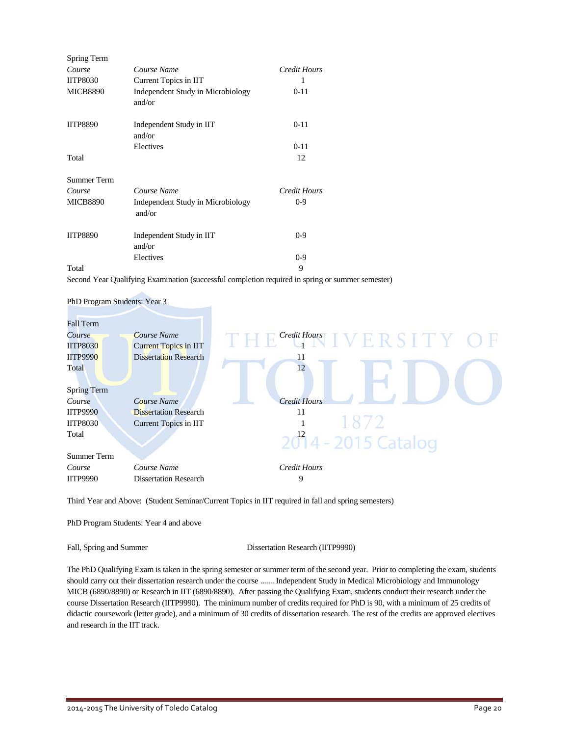| Spring Term        |                                             |              |
|--------------------|---------------------------------------------|--------------|
| Course             | Course Name                                 | Credit Hours |
| <b>IITP8030</b>    | Current Topics in IIT                       |              |
| <b>MICB8890</b>    | Independent Study in Microbiology<br>and/or | $0 - 11$     |
| <b>IITP8890</b>    | Independent Study in IIT<br>and/or          | $0 - 11$     |
|                    | Electives                                   | $0 - 11$     |
| Total              |                                             | 12           |
| <b>Summer Term</b> |                                             |              |
| Course             | Course Name                                 | Credit Hours |
| <b>MICB8890</b>    | Independent Study in Microbiology<br>and/or | $0 - 9$      |
| <b>IITP8890</b>    | Independent Study in IIT<br>and/or          | $0 - 9$      |
|                    | Electives                                   | $0 - 9$      |
| Total              |                                             | 9            |

Second Year Qualifying Examination (successful completion required in spring or summer semester)



Third Year and Above: (Student Seminar/Current Topics in IIT required in fall and spring semesters)

PhD Program Students: Year 4 and above

Fall, Spring and Summer Dissertation Research (IITP9990)

The PhD Qualifying Exam is taken in the spring semester or summer term of the second year. Prior to completing the exam, students should carry out their dissertation research under the course .......Independent Study in Medical Microbiology and Immunology MICB (6890/8890) or Research in IIT (6890/8890). After passing the Qualifying Exam, students conduct their research under the course Dissertation Research (IITP9990). The minimum number of credits required for PhD is 90, with a minimum of 25 credits of didactic coursework (letter grade), and a minimum of 30 credits of dissertation research. The rest of the credits are approved electives and research in the IIT track.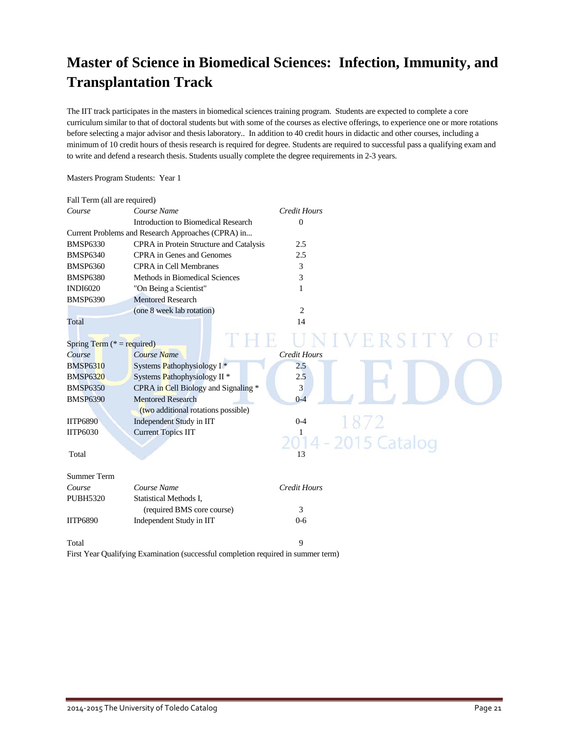## **Master of Science in Biomedical Sciences: Infection, Immunity, and Transplantation Track**

The IIT track participates in the masters in biomedical sciences training program. Students are expected to complete a core curriculum similar to that of doctoral students but with some of the courses as elective offerings, to experience one or more rotations before selecting a major advisor and thesis laboratory.. In addition to 40 credit hours in didactic and other courses, including a minimum of 10 credit hours of thesis research is required for degree. Students are required to successful pass a qualifying exam and to write and defend a research thesis. Students usually complete the degree requirements in 2-3 years.

### Masters Program Students: Year 1

| Fall Term (all are required) |                                                                                   |                         |  |
|------------------------------|-----------------------------------------------------------------------------------|-------------------------|--|
| Course                       | Course Name                                                                       | <b>Credit Hours</b>     |  |
|                              | Introduction to Biomedical Research                                               | $\Omega$                |  |
|                              | Current Problems and Research Approaches (CPRA) in                                |                         |  |
| <b>BMSP6330</b>              | CPRA in Protein Structure and Catalysis                                           | 2.5                     |  |
| <b>BMSP6340</b>              | CPRA in Genes and Genomes                                                         | 2.5                     |  |
| <b>BMSP6360</b>              | <b>CPRA</b> in Cell Membranes                                                     | 3                       |  |
| <b>BMSP6380</b>              | Methods in Biomedical Sciences                                                    | 3                       |  |
| <b>INDI6020</b>              | "On Being a Scientist"                                                            | 1                       |  |
| <b>BMSP6390</b>              | <b>Mentored Research</b>                                                          |                         |  |
|                              | (one 8 week lab rotation)                                                         | $\overline{2}$          |  |
| Total                        |                                                                                   | 14                      |  |
| Spring Term $(* = required)$ |                                                                                   | VERSITY                 |  |
| Course                       | Course Name                                                                       | <b>Credit Hours</b>     |  |
| <b>BMSP6310</b>              | Systems Pathophysiology I*                                                        | 2.5                     |  |
| <b>BMSP6320</b>              | Systems Pathophysiology II <sup>*</sup>                                           | 2.5                     |  |
| <b>BMSP6350</b>              | CPRA in Cell Biology and Signaling *                                              | $\overline{\mathbf{3}}$ |  |
| <b>BMSP6390</b>              | <b>Mentored Research</b>                                                          | $0 - 4$                 |  |
|                              | (two additional rotations possible)                                               |                         |  |
| <b>IITP6890</b>              | Independent Study in IIT                                                          | 18/2<br>$0 - 4$         |  |
| <b>IITP6030</b>              | <b>Current Topics IIT</b>                                                         |                         |  |
|                              |                                                                                   | 2014 - 2015 Catalog     |  |
| Total                        |                                                                                   | 13                      |  |
| <b>Summer Term</b>           |                                                                                   |                         |  |
| Course                       | Course Name                                                                       | <b>Credit Hours</b>     |  |
| <b>PUBH5320</b>              | <b>Statistical Methods I,</b>                                                     |                         |  |
|                              | (required BMS core course)                                                        | 3                       |  |
| <b>IITP6890</b>              | Independent Study in IIT                                                          | $0 - 6$                 |  |
| Total                        |                                                                                   | 9                       |  |
|                              | First Year Qualifying Examination (successful completion required in summer term) |                         |  |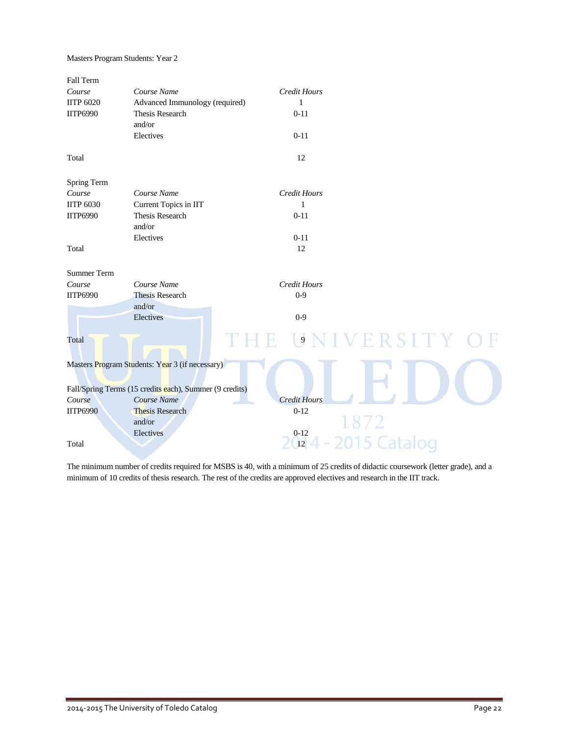Masters Program Students: Year 2

| Fall Term        |                                                         |                                    |  |
|------------------|---------------------------------------------------------|------------------------------------|--|
| Course           | Course Name                                             | <b>Credit Hours</b>                |  |
| <b>IITP 6020</b> | Advanced Immunology (required)                          | $\mathbf{1}$                       |  |
| <b>IITP6990</b>  | Thesis Research                                         | $0 - 11$                           |  |
|                  | and/or                                                  |                                    |  |
|                  | Electives                                               | $0 - 11$                           |  |
| Total            |                                                         | 12                                 |  |
|                  |                                                         |                                    |  |
| Spring Term      |                                                         |                                    |  |
| Course           | Course Name                                             | <b>Credit Hours</b>                |  |
| <b>IITP 6030</b> | Current Topics in IIT                                   | $\mathbf{1}$                       |  |
| <b>IITP6990</b>  | Thesis Research                                         | $0 - 11$                           |  |
|                  | and/or                                                  |                                    |  |
|                  | Electives                                               | $0 - 11$                           |  |
| Total            |                                                         | 12                                 |  |
| Summer Term      |                                                         |                                    |  |
| Course           | Course Name                                             | Credit Hours                       |  |
| <b>IITP6990</b>  | <b>Thesis Research</b>                                  | $0 - 9$                            |  |
|                  | and/or                                                  |                                    |  |
|                  | Electives                                               | $0 - 9$                            |  |
| Total            |                                                         | $\vert 9 \vert$<br>R S I T Y<br>H. |  |
|                  | Masters Program Students: Year 3 (if necessary)         |                                    |  |
|                  | Fall/Spring Terms (15 credits each), Summer (9 credits) |                                    |  |
| Course           | Course Name                                             | <b>Credit Hours</b>                |  |
| <b>IITP6990</b>  | <b>Thesis Research</b>                                  | $0 - 12$                           |  |
|                  | and/or                                                  |                                    |  |
|                  | Electives                                               | $0 - 12$                           |  |
| Total            |                                                         | 5 Catalog<br>12                    |  |
|                  |                                                         |                                    |  |

The minimum number of credits required for MSBS is 40, with a minimum of 25 credits of didactic coursework (letter grade), and a minimum of 10 credits of thesis research. The rest of the credits are approved electives and research in the IIT track.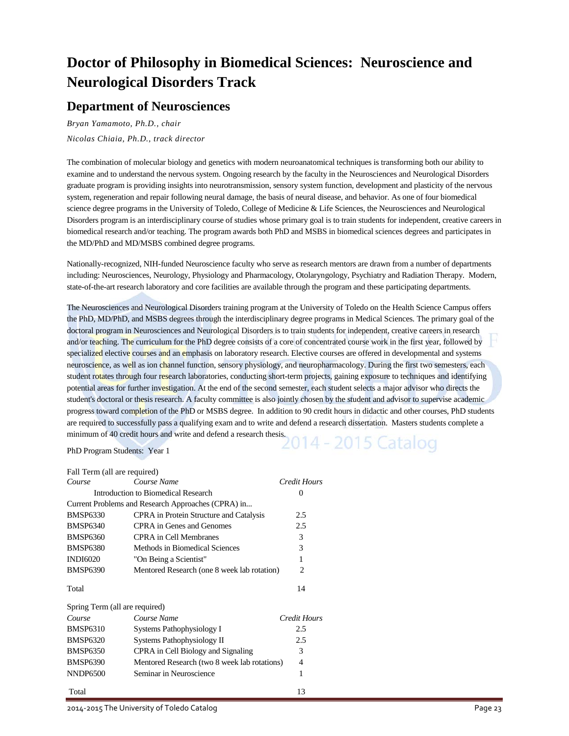## **Doctor of Philosophy in Biomedical Sciences: Neuroscience and Neurological Disorders Track**

### **Department of Neurosciences**

*Bryan Yamamoto, Ph.D., chair Nicolas Chiaia, Ph.D., track director*

The combination of molecular biology and genetics with modern neuroanatomical techniques is transforming both our ability to examine and to understand the nervous system. Ongoing research by the faculty in the Neurosciences and Neurological Disorders graduate program is providing insights into neurotransmission, sensory system function, development and plasticity of the nervous system, regeneration and repair following neural damage, the basis of neural disease, and behavior. As one of four biomedical science degree programs in the University of Toledo, College of Medicine & Life Sciences, the Neurosciences and Neurological Disorders program is an interdisciplinary course of studies whose primary goal is to train students for independent, creative careers in biomedical research and/or teaching. The program awards both PhD and MSBS in biomedical sciences degrees and participates in the MD/PhD and MD/MSBS combined degree programs.

Nationally-recognized, NIH-funded Neuroscience faculty who serve as research mentors are drawn from a number of departments including: Neurosciences, Neurology, Physiology and Pharmacology, Otolaryngology, Psychiatry and Radiation Therapy. Modern, state-of-the-art research laboratory and core facilities are available through the program and these participating departments.

The Neurosciences and Neurological Disorders training program at the University of Toledo on the Health Science Campus offers the PhD, MD/PhD, and MSBS degrees through the interdisciplinary degree programs in Medical Sciences. The primary goal of the doctoral program in Neurosciences and Neurological Disorders is to train students for independent, creative careers in research and/or teaching. The curriculum for the PhD degree consists of a core of concentrated course work in the first year, followed by specialized elective courses and an emphasis on laboratory research. Elective courses are offered in developmental and systems neuroscience, as well as ion channel function, sensory physiology, and neuropharmacology. During the first two semesters, each student rotates through four research laboratories, conducting short-term projects, gaining exposure to techniques and identifying potential areas for further investigation. At the end of the second semester, each student selects a major advisor who directs the student's doctoral or thesis research. A faculty committee is also jointly chosen by the student and advisor to supervise academic progress toward completion of the PhD or MSBS degree. In addition to 90 credit hours in didactic and other courses, PhD students are required to successfully pass a qualifying exam and to write and defend a research dissertation. Masters students complete a minimum of 40 credit hours and write and defend a research thesis.<br> $2014 - 2015$  Catalog

PhD Program Students: Year 1

| Fall Term (all are required)   |                                                    |              |
|--------------------------------|----------------------------------------------------|--------------|
| Course                         | Course Name                                        | Credit Hours |
|                                | Introduction to Biomedical Research                | 0            |
|                                | Current Problems and Research Approaches (CPRA) in |              |
| <b>BMSP6330</b>                | CPRA in Protein Structure and Catalysis            | 2.5          |
| <b>BMSP6340</b>                | CPRA in Genes and Genomes                          | 2.5          |
| <b>BMSP6360</b>                | <b>CPRA</b> in Cell Membranes                      | 3            |
| <b>BMSP6380</b>                | Methods in Biomedical Sciences                     | 3            |
| <b>INDI6020</b>                | "On Being a Scientist"                             | 1            |
| <b>BMSP6390</b>                | Mentored Research (one 8 week lab rotation)        | 2            |
| Total                          |                                                    | 14           |
| Spring Term (all are required) |                                                    |              |
| Course                         | Course Name                                        | Credit Hours |
| <b>BMSP6310</b>                | Systems Pathophysiology I                          | 2.5          |
| <b>BMSP6320</b>                | Systems Pathophysiology II                         | 2.5          |
| <b>BMSP6350</b>                | CPRA in Cell Biology and Signaling                 | 3            |
| <b>BMSP6390</b>                | Mentored Research (two 8 week lab rotations)       | 4            |
| <b>NNDP6500</b>                | Seminar in Neuroscience                            | 1            |
| Total                          |                                                    | 13           |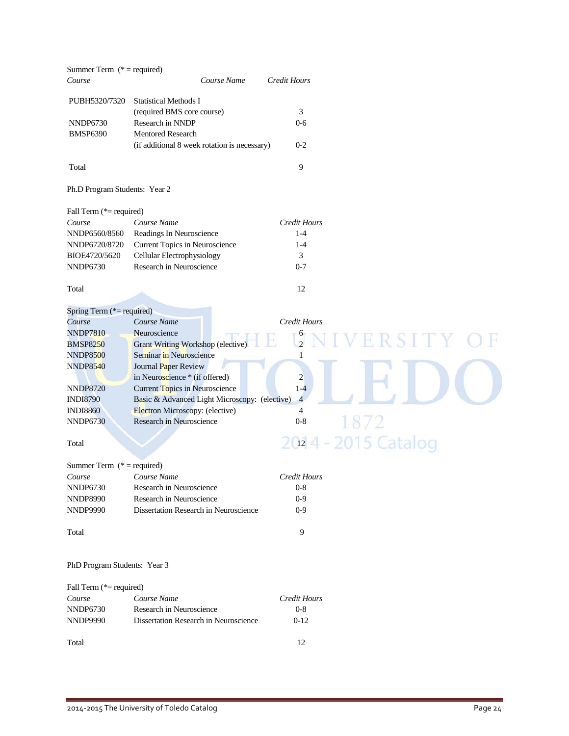| Summer Term $(* = required)$  |                                               |                     |                     |
|-------------------------------|-----------------------------------------------|---------------------|---------------------|
| Course                        | Course Name                                   | Credit Hours        |                     |
|                               |                                               |                     |                     |
| PUBH5320/7320                 | <b>Statistical Methods I</b>                  |                     |                     |
|                               | (required BMS core course)                    | 3                   |                     |
| <b>NNDP6730</b>               | Research in NNDP                              | $0 - 6$             |                     |
| <b>BMSP6390</b>               | <b>Mentored Research</b>                      |                     |                     |
|                               | (if additional 8 week rotation is necessary)  | $0 - 2$             |                     |
|                               |                                               |                     |                     |
| Total                         |                                               | 9                   |                     |
|                               |                                               |                     |                     |
| Ph.D Program Students: Year 2 |                                               |                     |                     |
|                               |                                               |                     |                     |
| Fall Term (*= required)       |                                               |                     |                     |
| Course                        | Course Name                                   | <b>Credit Hours</b> |                     |
| NNDP6560/8560                 | Readings In Neuroscience                      | $1 - 4$             |                     |
| NNDP6720/8720                 | Current Topics in Neuroscience                | $1 - 4$             |                     |
|                               |                                               |                     |                     |
| BIOE4720/5620                 | Cellular Electrophysiology                    | 3                   |                     |
| <b>NNDP6730</b>               | Research in Neuroscience                      | $0 - 7$             |                     |
|                               |                                               |                     |                     |
| Total                         |                                               | 12                  |                     |
|                               |                                               |                     |                     |
| Spring Term (*= required)     |                                               |                     |                     |
| Course                        | Course Name                                   | <b>Credit Hours</b> |                     |
| <b>NNDP7810</b>               | Neuroscience                                  | $\frac{6}{2}$       | ERSIT               |
| <b>BMSP8250</b>               | <b>Grant Writing Workshop (elective)</b>      |                     |                     |
| <b>NNDP8500</b>               | Seminar in Neuroscience                       | 1                   |                     |
| <b>NNDP8540</b>               | Journal Paper Review                          |                     |                     |
|                               | in Neuroscience * (if offered)                | $\overline{2}$      |                     |
| <b>NNDP8720</b>               | Current Topics in Neuroscience                | $1-4$               |                     |
| <b>INDI8790</b>               | Basic & Advanced Light Microscopy: (elective) | $\overline{4}$      |                     |
| <b>INDI8860</b>               | Electron Microscopy: (elective)               | 4                   |                     |
| <b>NNDP6730</b>               | Research in Neuroscience                      | $0 - 8$             |                     |
|                               |                                               |                     |                     |
| Total                         |                                               |                     | 2014 - 2015 Catalog |
|                               |                                               |                     |                     |
| Summer Term $(* = required)$  |                                               |                     |                     |
| Course                        | Course Name                                   | Credit Hours        |                     |
| <b>NNDP6730</b>               | Research in Neuroscience                      | $0 - 8$             |                     |
|                               |                                               |                     |                     |
| <b>NNDP8990</b>               | Research in Neuroscience                      | $0-9$               |                     |
| <b>NNDP9990</b>               | Dissertation Research in Neuroscience         | $0-9$               |                     |
|                               |                                               |                     |                     |
| Total                         |                                               | 9                   |                     |
|                               |                                               |                     |                     |
|                               |                                               |                     |                     |
| PhD Program Students: Year 3  |                                               |                     |                     |
|                               |                                               |                     |                     |
| Fall Term (*= required)       |                                               |                     |                     |
| Course                        | Course Name                                   | <b>Credit Hours</b> |                     |
| <b>NNDP6730</b>               | Research in Neuroscience                      | $0 - 8$             |                     |
| <b>NNDP9990</b>               | Dissertation Research in Neuroscience         | $0 - 12$            |                     |
|                               |                                               |                     |                     |
| Total                         |                                               | 12                  |                     |
|                               |                                               |                     |                     |
|                               |                                               |                     |                     |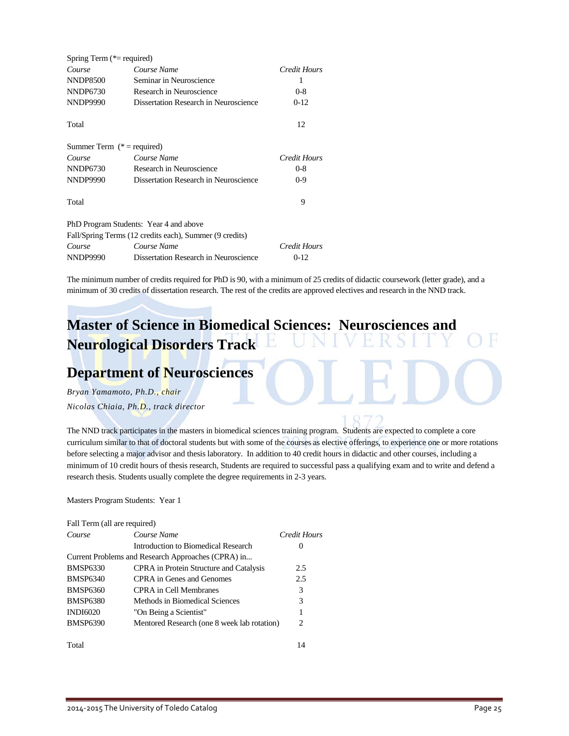| Spring Term $(*=$ required)  |                                                         |              |
|------------------------------|---------------------------------------------------------|--------------|
| Course                       | Course Name                                             | Credit Hours |
| <b>NNDP8500</b>              | Seminar in Neuroscience                                 | 1            |
| NNDP6730                     | Research in Neuroscience                                | $0 - 8$      |
| <b>NNDP9990</b>              | Dissertation Research in Neuroscience                   | $0-12$       |
| Total                        |                                                         | 12           |
| Summer Term $(* = required)$ |                                                         |              |
| Course                       | Course Name                                             | Credit Hours |
| <b>NNDP6730</b>              | Research in Neuroscience                                | $0 - 8$      |
| <b>NNDP9990</b>              | Dissertation Research in Neuroscience                   | $0 - 9$      |
| Total                        |                                                         | 9            |
|                              | PhD Program Students: Year 4 and above                  |              |
|                              | Fall/Spring Terms (12 credits each), Summer (9 credits) |              |
| Course                       | Course Name                                             | Credit Hours |
| <b>NNDP9990</b>              | Dissertation Research in Neuroscience                   | $0-12$       |

The minimum number of credits required for PhD is 90, with a minimum of 25 credits of didactic coursework (letter grade), and a minimum of 30 credits of dissertation research. The rest of the credits are approved electives and research in the NND track.

### **Master of Science in Biomedical Sciences: Neurosciences and Neurological Disorders Track** E,

## **Department of Neurosciences**

*Bryan Yamamoto, Ph.D., chair Nicolas Chiaia, Ph.D., track director*

The NND track participates in the masters in biomedical sciences training program. Students are expected to complete a core curriculum similar to that of doctoral students but with some of the courses as elective offerings, to experience one or more rotations before selecting a major advisor and thesis laboratory. In addition to 40 credit hours in didactic and other courses, including a minimum of 10 credit hours of thesis research, Students are required to successful pass a qualifying exam and to write and defend a research thesis. Students usually complete the degree requirements in 2-3 years.

Masters Program Students: Year 1

| Fall Term (all are required) |                                                    |                             |
|------------------------------|----------------------------------------------------|-----------------------------|
| Course                       | Course Name                                        | Credit Hours                |
|                              | Introduction to Biomedical Research                | $\theta$                    |
|                              | Current Problems and Research Approaches (CPRA) in |                             |
| <b>BMSP6330</b>              | CPRA in Protein Structure and Catalysis            | 2.5                         |
| <b>BMSP6340</b>              | CPRA in Genes and Genomes                          | 2.5                         |
| <b>BMSP6360</b>              | CPRA in Cell Membranes                             | 3                           |
| <b>BMSP6380</b>              | Methods in Biomedical Sciences                     | 3                           |
| <b>INDI6020</b>              | "On Being a Scientist"                             | 1                           |
| <b>BMSP6390</b>              | Mentored Research (one 8 week lab rotation)        | $\mathcal{D}_{\mathcal{L}}$ |
| Total                        |                                                    | 14                          |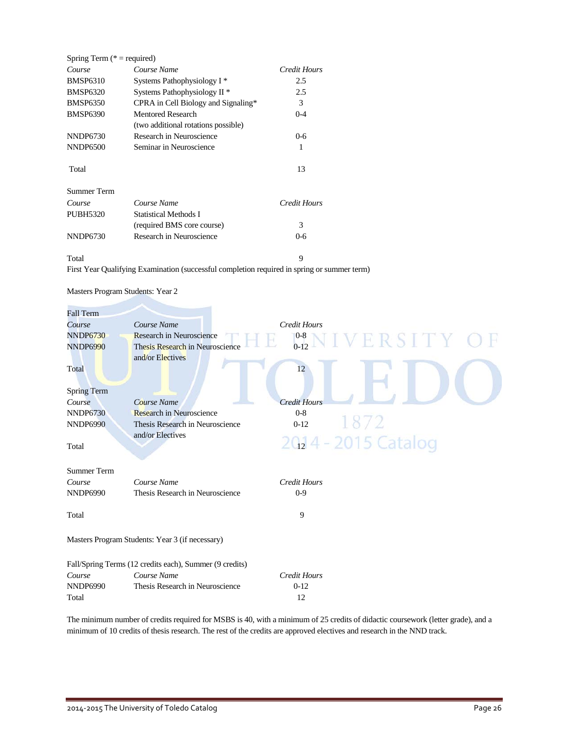| Spring Term ( $* =$ required) |                                         |              |
|-------------------------------|-----------------------------------------|--------------|
| Course                        | Course Name                             | Credit Hours |
| <b>BMSP6310</b>               | Systems Pathophysiology I <sup>*</sup>  | 2.5          |
| <b>BMSP6320</b>               | Systems Pathophysiology II <sup>*</sup> | 2.5          |
| <b>BMSP6350</b>               | CPRA in Cell Biology and Signaling*     | 3            |
| <b>BMSP6390</b>               | Mentored Research                       | $0 - 4$      |
|                               | (two additional rotations possible)     |              |
| NNDP6730                      | Research in Neuroscience                | $0 - 6$      |
| <b>NNDP6500</b>               | Seminar in Neuroscience                 | 1            |
| Total                         |                                         | 13           |
| Summer Term                   |                                         |              |
| Course                        | Course Name                             | Credit Hours |
| PUBH5320                      | Statistical Methods I                   |              |
|                               | (required BMS core course)              | 3            |
| NNDP6730                      | Research in Neuroscience                | 0-6          |
|                               |                                         |              |

#### Total 9

First Year Qualifying Examination (successful completion required in spring or summer term)

| Masters Program Students: Year 2 |  |
|----------------------------------|--|
|----------------------------------|--|

| <b>Fall Term</b>   |                                                         |                                                  |
|--------------------|---------------------------------------------------------|--------------------------------------------------|
| Course             | Course Name                                             | <b>Credit Hours</b>                              |
| <b>NNDP6730</b>    | Research in Neuroscience                                | $_{0\text{-}12}^{0\text{-}8}\text{N}$ IVERSITY C |
| <b>NNDP6990</b>    | Thesis Research in Neuroscience                         |                                                  |
|                    | and/or Electives                                        |                                                  |
| Total              |                                                         | 12                                               |
|                    |                                                         |                                                  |
| <b>Spring Term</b> |                                                         |                                                  |
| Course             | Course Name                                             | <b>Credit Hours</b>                              |
| <b>NNDP6730</b>    | Research in Neuroscience                                | $0 - 8$                                          |
| <b>NNDP6990</b>    | Thesis Research in Neuroscience                         | 1872<br>$0 - 12$                                 |
|                    | and/or Electives                                        |                                                  |
| Total              |                                                         | 2014 - 2015 Catalog                              |
|                    |                                                         |                                                  |
| <b>Summer Term</b> |                                                         |                                                  |
| Course             | Course Name                                             | <b>Credit Hours</b>                              |
| <b>NNDP6990</b>    | Thesis Research in Neuroscience                         | $0-9$                                            |
|                    |                                                         |                                                  |
| Total              |                                                         | 9                                                |
|                    |                                                         |                                                  |
|                    | Masters Program Students: Year 3 (if necessary)         |                                                  |
|                    |                                                         |                                                  |
|                    | Fall/Spring Terms (12 credits each), Summer (9 credits) |                                                  |
| Course             | Course Name                                             | Credit Hours                                     |
| <b>NNDP6990</b>    | Thesis Research in Neuroscience                         | $0-12$                                           |
| Total              |                                                         | 12                                               |
|                    |                                                         |                                                  |

The minimum number of credits required for MSBS is 40, with a minimum of 25 credits of didactic coursework (letter grade), and a minimum of 10 credits of thesis research. The rest of the credits are approved electives and research in the NND track.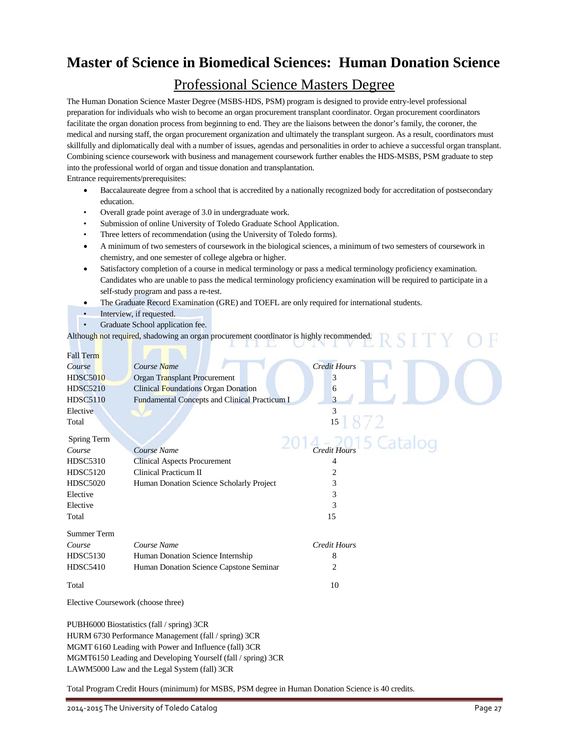## **Master of Science in Biomedical Sciences: Human Donation Science**

### Professional Science Masters Degree

The Human Donation Science Master Degree (MSBS-HDS, PSM) program is designed to provide entry-level professional preparation for individuals who wish to become an organ procurement transplant coordinator. Organ procurement coordinators facilitate the organ donation process from beginning to end. They are the liaisons between the donor's family, the coroner, the medical and nursing staff, the organ procurement organization and ultimately the transplant surgeon. As a result, coordinators must skillfully and diplomatically deal with a number of issues, agendas and personalities in order to achieve a successful organ transplant. Combining science coursework with business and management coursework further enables the HDS-MSBS, PSM graduate to step into the professional world of organ and tissue donation and transplantation.

Entrance requirements/prerequisites:

- Baccalaureate degree from a school that is accredited by a nationally recognized body for accreditation of postsecondary education.
- Overall grade point average of 3.0 in undergraduate work.
- Submission of online University of Toledo Graduate School Application.
- Three letters of recommendation (using the University of Toledo forms).
- A minimum of two semesters of coursework in the biological sciences, a minimum of two semesters of coursework in chemistry, and one semester of college algebra or higher.
- Satisfactory completion of a course in medical terminology or pass a medical terminology proficiency examination. Candidates who are unable to pass the medical terminology proficiency examination will be required to participate in a self-study program and pass a re-test.
- The Graduate Record Examination (GRE) and TOEFL are only required for international students.
- Interview, if requested.
- Graduate School application fee.

Although not required, shadowing an organ procurement coordinator is highly recommended.

| <b>Fall Term</b>                   |                                               |                     |
|------------------------------------|-----------------------------------------------|---------------------|
| Course                             | Course Name                                   | <b>Credit Hours</b> |
| <b>HDSC5010</b>                    | Organ Transplant Procurement                  | 3                   |
| <b>HDSC5210</b>                    | <b>Clinical Foundations Organ Donation</b>    | 6                   |
| <b>HDSC5110</b>                    | Fundamental Concepts and Clinical Practicum I | 3                   |
| Elective                           |                                               | 3                   |
| Total                              |                                               | 15                  |
| Spring Term                        |                                               | 5 Catalog           |
| Course                             | Course Name                                   | <b>Credit Hours</b> |
| <b>HDSC5310</b>                    | <b>Clinical Aspects Procurement</b>           | 4                   |
| <b>HDSC5120</b>                    | Clinical Practicum II                         | 2                   |
| <b>HDSC5020</b>                    | Human Donation Science Scholarly Project      | 3                   |
| Elective                           |                                               | 3                   |
| Elective                           |                                               | 3                   |
| Total                              |                                               | 15                  |
| <b>Summer Term</b>                 |                                               |                     |
| Course                             | Course Name                                   | <b>Credit Hours</b> |
| <b>HDSC5130</b>                    | Human Donation Science Internship             | 8                   |
| <b>HDSC5410</b>                    | Human Donation Science Capstone Seminar       | 2                   |
| Total                              |                                               | 10                  |
| Elective Coursework (choose three) |                                               |                     |
|                                    |                                               |                     |

PUBH6000 Biostatistics (fall / spring) 3CR HURM 6730 Performance Management (fall / spring) 3CR MGMT 6160 Leading with Power and Influence (fall) 3CR MGMT6150 Leading and Developing Yourself (fall / spring) 3CR LAWM5000 Law and the Legal System (fall) 3CR

Total Program Credit Hours (minimum) for MSBS, PSM degree in Human Donation Science is 40 credits.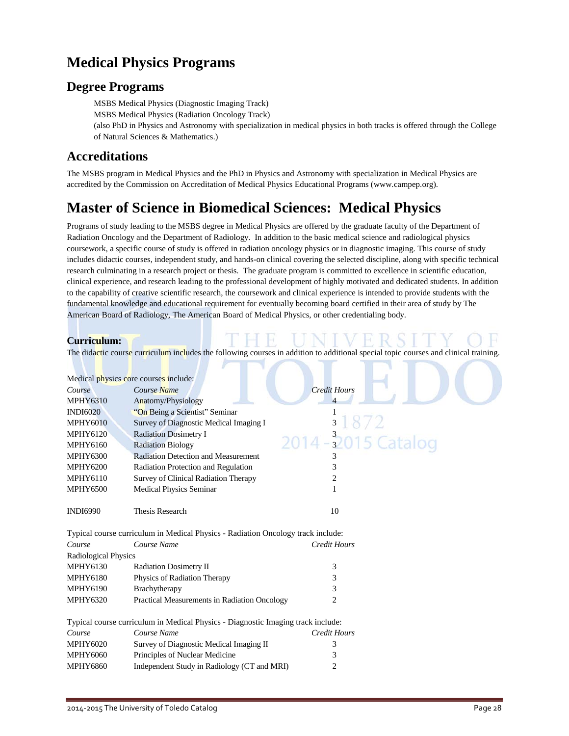## **Medical Physics Programs**

### **Degree Programs**

MSBS Medical Physics (Diagnostic Imaging Track)

MSBS Medical Physics (Radiation Oncology Track)

(also PhD in Physics and Astronomy with specialization in medical physics in both tracks is offered through the College of Natural Sciences & Mathematics.)

### **Accreditations**

The MSBS program in Medical Physics and the PhD in Physics and Astronomy with specialization in Medical Physics are accredited by the Commission on Accreditation of Medical Physics Educational Programs (www.campep.org).

## **Master of Science in Biomedical Sciences: Medical Physics**

Programs of study leading to the MSBS degree in Medical Physics are offered by the graduate faculty of the Department of Radiation Oncology and the Department of Radiology. In addition to the basic medical science and radiological physics coursework, a specific course of study is offered in radiation oncology physics or in diagnostic imaging. This course of study includes didactic courses, independent study, and hands-on clinical covering the selected discipline, along with specific technical research culminating in a research project or thesis. The graduate program is committed to excellence in scientific education, clinical experience, and research leading to the professional development of highly motivated and dedicated students. In addition to the capability of creative scientific research, the coursework and clinical experience is intended to provide students with the fundamental knowledge and educational requirement for eventually becoming board certified in their area of study by The American Board of Radiology, The American Board of Medical Physics, or other credentialing body.

### **Curriculum:**

The didactic course curriculum includes the following courses in addition to additional special topic courses and clinical training.

|                      | Medical <i>physics</i> core courses include:                                     |                      |
|----------------------|----------------------------------------------------------------------------------|----------------------|
| Course               | Course Name                                                                      | <b>Credit Hours</b>  |
| <b>MPHY6310</b>      | Anatomy/Physiology                                                               |                      |
| <b>INDI6020</b>      | "On Being a Scientist" Seminar                                                   |                      |
| <b>MPHY6010</b>      | Survey of Diagnostic Medical Imaging I                                           | 31872                |
| <b>MPHY6120</b>      | <b>Radiation Dosimetry I</b>                                                     | 2014 - 32015 Catalog |
| MPHY6160             | <b>Radiation Biology</b>                                                         |                      |
| <b>MPHY6300</b>      | <b>Radiation Detection and Measurement</b>                                       |                      |
| <b>MPHY6200</b>      | Radiation Protection and Regulation                                              | 3                    |
| <b>MPHY6110</b>      | Survey of Clinical Radiation Therapy                                             | $\overline{c}$       |
| <b>MPHY6500</b>      | Medical Physics Seminar                                                          | 1                    |
|                      |                                                                                  |                      |
| <b>INDI6990</b>      | <b>Thesis Research</b>                                                           | 10                   |
|                      |                                                                                  |                      |
|                      | Typical course curriculum in Medical Physics - Radiation Oncology track include: |                      |
| Course               | Course Name                                                                      | <b>Credit Hours</b>  |
| Radiological Physics |                                                                                  |                      |
| <b>MPHY6130</b>      | Radiation Dosimetry II                                                           | 3                    |
| <b>MPHY6180</b>      | Physics of Radiation Therapy                                                     | 3                    |
| <b>MPHY6190</b>      | Brachytherapy                                                                    | 3                    |
| <b>MPHY6320</b>      | Practical Measurements in Radiation Oncology                                     | $\overline{c}$       |
|                      |                                                                                  |                      |
|                      | Typical course curriculum in Medical Physics - Diagnostic Imaging track include: |                      |
| Course               | Course Name                                                                      | <b>Credit Hours</b>  |
| <b>MPHY6020</b>      | Survey of Diagnostic Medical Imaging II                                          | 3                    |
| <b>MPHY6060</b>      | Principles of Nuclear Medicine                                                   | 3                    |
| <b>MPHY6860</b>      | Independent Study in Radiology (CT and MRI)                                      | 2                    |
|                      |                                                                                  |                      |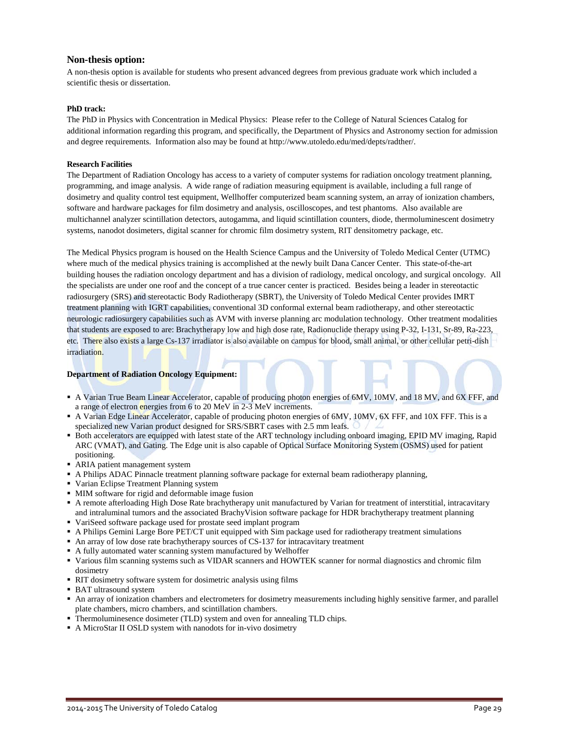### **Non-thesis option:**

A non-thesis option is available for students who present advanced degrees from previous graduate work which included a scientific thesis or dissertation.

### **PhD track:**

The PhD in Physics with Concentration in Medical Physics: Please refer to the College of Natural Sciences Catalog for additional information regarding this program, and specifically, the Department of Physics and Astronomy section for admission and degree requirements. Information also may be found a[t http://www.utoledo.edu/med/depts/radther/.](http://www.utoledo.edu/med/depts/radther/)

### **Research Facilities**

The Department of Radiation Oncology has access to a variety of computer systems for radiation oncology treatment planning, programming, and image analysis. A wide range of radiation measuring equipment is available, including a full range of dosimetry and quality control test equipment, Wellhoffer computerized beam scanning system, an array of ionization chambers, software and hardware packages for film dosimetry and analysis, oscilloscopes, and test phantoms. Also available are multichannel analyzer scintillation detectors, autogamma, and liquid scintillation counters, diode, thermoluminescent dosimetry systems, nanodot dosimeters, digital scanner for chromic film dosimetry system, RIT densitometry package, etc.

The Medical Physics program is housed on the Health Science Campus and the University of Toledo Medical Center (UTMC) where much of the medical physics training is accomplished at the newly built Dana Cancer Center. This state-of-the-art building houses the radiation oncology department and has a division of radiology, medical oncology, and surgical oncology. All the specialists are under one roof and the concept of a true cancer center is practiced. Besides being a leader in stereotactic radiosurgery (SRS) and stereotactic Body Radiotherapy (SBRT), the University of Toledo Medical Center provides IMRT treatment planning with IGRT capabilities, conventional 3D conformal external beam radiotherapy, and other stereotactic neurologic radiosurgery capabilities such as AVM with inverse planning arc modulation technology. Other treatment modalities that students are exposed to are: Brachytherapy low and high dose rate, Radionuclide therapy using P-32, I-131, Sr-89, Ra-223, etc. There also exists a large Cs-137 irradiator is also available on campus for blood, small animal, or other cellular petri-dish irradiation.

### **Department of Radiation Oncology Equipment:**

- A Varian True Beam Linear Accelerator, capable of producing photon energies of 6MV, 10MV, and 18 MV, and 6X FFF, and a range of electron energies from 6 to 20 MeV in 2-3 MeV increments.
- A Varian Edge Linear Accelerator, capable of producing photon energies of 6MV, 10MV, 6X FFF, and 10X FFF. This is a specialized new Varian product designed for SRS/SBRT cases with 2.5 mm leafs.
- Both accelerators are equipped with latest state of the ART technology including onboard imaging, EPID MV imaging, Rapid ARC (VMAT), and Gating. The Edge unit is also capable of Optical Surface Monitoring System (OSMS) used for patient positioning.
- ARIA patient management system
- A Philips ADAC Pinnacle treatment planning software package for external beam radiotherapy planning,
- Varian Eclipse Treatment Planning system
- MIM software for rigid and deformable image fusion
- A remote afterloading High Dose Rate brachytherapy unit manufactured by Varian for treatment of interstitial, intracavitary and intraluminal tumors and the associated BrachyVision software package for HDR brachytherapy treatment planning
- VariSeed software package used for prostate seed implant program
- A Philips Gemini Large Bore PET/CT unit equipped with Sim package used for radiotherapy treatment simulations
- An array of low dose rate brachytherapy sources of CS-137 for intracavitary treatment
- A fully automated water scanning system manufactured by Welhoffer
- Various film scanning systems such as VIDAR scanners and HOWTEK scanner for normal diagnostics and chromic film dosimetry
- RIT dosimetry software system for dosimetric analysis using films
- **BAT** ultrasound system
- An array of ionization chambers and electrometers for dosimetry measurements including highly sensitive farmer, and parallel plate chambers, micro chambers, and scintillation chambers.
- Thermoluminesence dosimeter (TLD) system and oven for annealing TLD chips.
- A MicroStar II OSLD system with nanodots for in-vivo dosimetry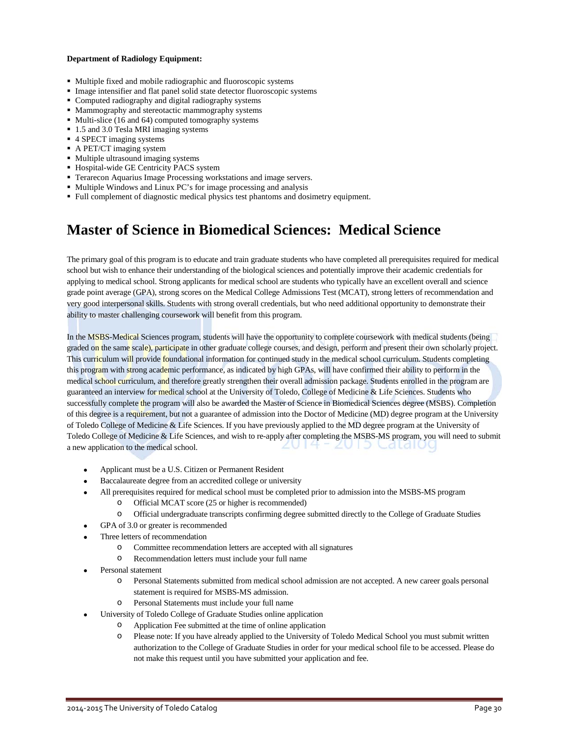#### **Department of Radiology Equipment:**

- Multiple fixed and mobile radiographic and fluoroscopic systems
- Image intensifier and flat panel solid state detector fluoroscopic systems
- Computed radiography and digital radiography systems
- Mammography and stereotactic mammography systems
- Multi-slice (16 and 64) computed tomography systems
- 1.5 and 3.0 Tesla MRI imaging systems
- 4 SPECT imaging systems
- A PET/CT imaging system
- Multiple ultrasound imaging systems
- **Hospital-wide GE Centricity PACS system**
- Terarecon Aquarius Image Processing workstations and image servers.
- Multiple Windows and Linux PC's for image processing and analysis
- Full complement of diagnostic medical physics test phantoms and dosimetry equipment.

## **Master of Science in Biomedical Sciences: Medical Science**

The primary goal of this program is to educate and train graduate students who have completed all prerequisites required for medical school but wish to enhance their understanding of the biological sciences and potentially improve their academic credentials for applying to medical school. Strong applicants for medical school are students who typically have an excellent overall and science grade point average (GPA), strong scores on the Medical College Admissions Test (MCAT), strong letters of recommendation and very good interpersonal skills. Students with strong overall credentials, but who need additional opportunity to demonstrate their ability to master challenging coursework will benefit from this program.

In the MSBS-Medical Sciences program, students will have the opportunity to complete coursework with medical students (being graded on the same scale), participate in other graduate college courses, and design, perform and present their own scholarly project. This curriculum will provide foundational information for continued study in the medical school curriculum. Students completing this program with strong academic performance, as indicated by high GPAs, will have confirmed their ability to perform in the medical school curriculum, and therefore greatly strengthen their overall admission package. Students enrolled in the program are guaranteed an interview for medical school at the University of Toledo, College of Medicine & Life Sciences. Students who successfully complete the program will also be awarded the Master of Science in Biomedical Sciences degree (MSBS). Completion of this degree is a requirement, but not a guarantee of admission into the Doctor of Medicine (MD) degree program at the University of Toledo College of Medicine & Life Sciences. If you have previously applied to the MD degree program at the University of Toledo College of Medicine & Life Sciences, and wish to re-apply after completing the MSBS-MS program, you will need to submit U I D. Catalo a new application to the medical school.

- Applicant must be a U.S. Citizen or Permanent Resident
- Baccalaureate degree from an accredited college or university
- All prerequisites required for medical school must be completed prior to admission into the MSBS-MS program
	- o Official MCAT score (25 or higher is recommended)
	- o Official undergraduate transcripts confirming degree submitted directly to the College of Graduate Studies
- GPA of 3.0 or greater is recommended
- Three letters of recommendation
	- o Committee recommendation letters are accepted with all signatures
	- o Recommendation letters must include your full name
- Personal statement
	- o Personal Statements submitted from medical school admission are not accepted. A new career goals personal statement is required for MSBS-MS admission.
	- o Personal Statements must include your full name
- University of Toledo College of Graduate Studies online application
	- o Application Fee submitted at the time of online application
	- o Please note: If you have already applied to the University of Toledo Medical School you must submit written authorization to the College of Graduate Studies in order for your medical school file to be accessed. Please do not make this request until you have submitted your application and fee.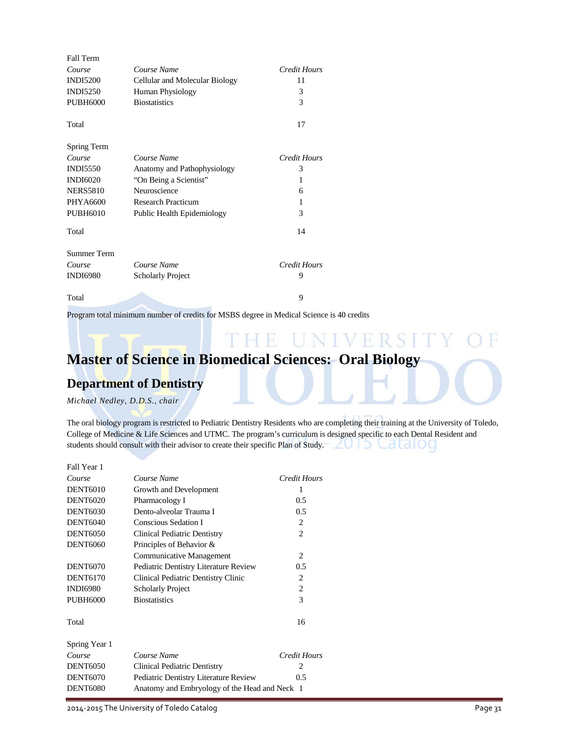| <b>Fall Term</b>   |                                |              |
|--------------------|--------------------------------|--------------|
| Course             | Course Name                    | Credit Hours |
| <b>INDI5200</b>    | Cellular and Molecular Biology | 11           |
| <b>INDI5250</b>    | Human Physiology               | 3            |
| <b>PUBH6000</b>    | <b>Biostatistics</b>           | 3            |
| Total              |                                | 17           |
| Spring Term        |                                |              |
| Course             | Course Name                    | Credit Hours |
| <b>INDI5550</b>    | Anatomy and Pathophysiology    | 3            |
| <b>INDI6020</b>    | "On Being a Scientist"         | 1            |
| <b>NERS5810</b>    | Neuroscience                   | 6            |
| PHYA6600           | <b>Research Practicum</b>      | 1            |
| <b>PUBH6010</b>    | Public Health Epidemiology     | 3            |
| Total              |                                | 14           |
| <b>Summer Term</b> |                                |              |
| Course             | Course Name                    | Credit Hours |
| <b>INDI6980</b>    | <b>Scholarly Project</b>       | 9            |
| Total              |                                | 9            |

Program total minimum number of credits for MSBS degree in Medical Science is 40 credits

### NIVERSI H **Master of Science in Biomedical Sciences: Oral Biology**

### **Department of Dentistry**

*Michael Nedley, D.D.S., chair*

The oral biology program is restricted to Pediatric Dentistry Residents who are completing their training at the University of Toledo, College of Medicine & Life Sciences and UTMC. The program's curriculum is designed specific to each Dental Resident and students should consult with their advisor to create their specific Plan of Study.  $\angle \cup \cup \triangle \Box \cup \cup$ 

| Fall Year 1     |                                               |                |
|-----------------|-----------------------------------------------|----------------|
| Course          | Course Name                                   | Credit Hours   |
| <b>DENT6010</b> | Growth and Development                        | 1              |
| <b>DENT6020</b> | Pharmacology I                                | 0.5            |
| <b>DENT6030</b> | Dento-alveolar Trauma I                       | 0.5            |
| <b>DENT6040</b> | Conscious Sedation I                          | 2              |
| <b>DENT6050</b> | Clinical Pediatric Dentistry                  | $\overline{c}$ |
| <b>DENT6060</b> | Principles of Behavior &                      |                |
|                 | <b>Communicative Management</b>               | 2              |
| <b>DENT6070</b> | Pediatric Dentistry Literature Review         | 0.5            |
| <b>DENT6170</b> | Clinical Pediatric Dentistry Clinic           | 2              |
| <b>INDI6980</b> | <b>Scholarly Project</b>                      | 2              |
| <b>PUBH6000</b> | <b>Biostatistics</b>                          | 3              |
| Total           |                                               | 16             |
| Spring Year 1   |                                               |                |
| Course          | Course Name                                   | Credit Hours   |
| <b>DENT6050</b> | Clinical Pediatric Dentistry                  | 2              |
| <b>DENT6070</b> | Pediatric Dentistry Literature Review         | 0.5            |
| <b>DENT6080</b> | Anatomy and Embryology of the Head and Neck 1 |                |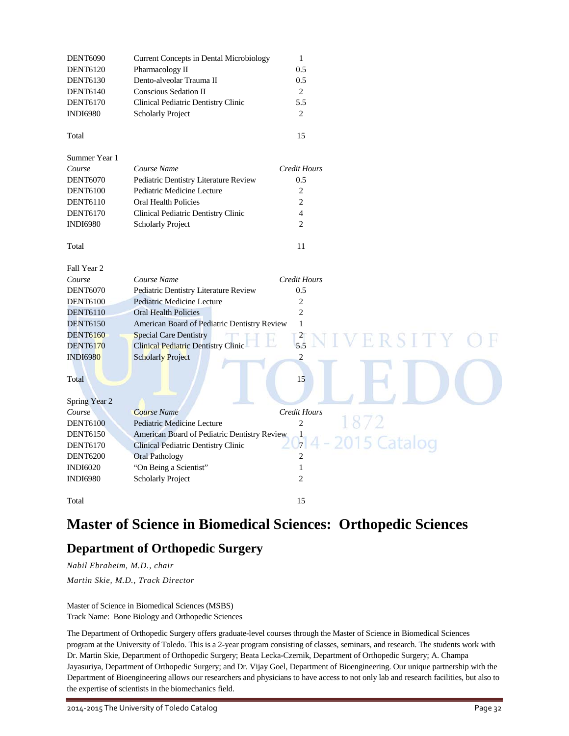| <b>DENT6090</b> | <b>Current Concepts in Dental Microbiology</b> | $\mathbf{1}$                 |
|-----------------|------------------------------------------------|------------------------------|
| <b>DENT6120</b> | Pharmacology II                                | 0.5                          |
| <b>DENT6130</b> | Dento-alveolar Trauma II                       | 0.5                          |
| <b>DENT6140</b> | Conscious Sedation II                          | 2                            |
| <b>DENT6170</b> | Clinical Pediatric Dentistry Clinic            | 5.5                          |
| <b>INDI6980</b> | <b>Scholarly Project</b>                       | 2                            |
| Total           |                                                | 15                           |
| Summer Year 1   |                                                |                              |
| Course          | Course Name                                    | <b>Credit Hours</b>          |
| <b>DENT6070</b> | Pediatric Dentistry Literature Review          | 0.5                          |
| <b>DENT6100</b> | Pediatric Medicine Lecture                     | 2                            |
| <b>DENT6110</b> | <b>Oral Health Policies</b>                    | $\overline{c}$               |
| <b>DENT6170</b> | Clinical Pediatric Dentistry Clinic            | $\overline{4}$               |
| <b>INDI6980</b> | <b>Scholarly Project</b>                       | $\overline{c}$               |
|                 |                                                | 11                           |
| Total           |                                                |                              |
| Fall Year 2     |                                                |                              |
| Course          | Course Name                                    | <b>Credit Hours</b>          |
| <b>DENT6070</b> | Pediatric Dentistry Literature Review          | 0.5                          |
| <b>DENT6100</b> | Pediatric Medicine Lecture                     | $\overline{c}$               |
| <b>DENT6110</b> | <b>Oral Health Policies</b>                    | $\overline{2}$               |
| <b>DENT6150</b> | American Board of Pediatric Dentistry Review   | $\mathbf{1}$                 |
| <b>DENT6160</b> | <b>Special Care Dentistry</b>                  | $\frac{2}{5.5}$<br>RSITY     |
| <b>DENT6170</b> | <b>Clinical Pediatric Dentistry Clinic</b>     |                              |
| <b>INDI6980</b> | <b>Scholarly Project</b>                       | $\overline{c}$               |
|                 |                                                |                              |
| Total           |                                                | 15                           |
| Spring Year 2   |                                                |                              |
| Course          | <b>Course Name</b>                             | Credit Hours                 |
| <b>DENT6100</b> | Pediatric Medicine Lecture                     | $\overline{c}$               |
| <b>DENT6150</b> | American Board of Pediatric Dentistry Review   |                              |
| <b>DENT6170</b> | Clinical Pediatric Dentistry Clinic            | 15 Catalog<br>$\overline{7}$ |
| <b>DENT6200</b> | <b>Oral Pathology</b>                          | $\overline{c}$               |
| <b>INDI6020</b> | "On Being a Scientist"                         | $\mathbf{1}$                 |
| <b>INDI6980</b> | <b>Scholarly Project</b>                       | $\overline{c}$               |
|                 |                                                |                              |
| Total           |                                                | 15                           |

## **Master of Science in Biomedical Sciences: Orthopedic Sciences**

### **Department of Orthopedic Surgery**

*Nabil Ebraheim, M.D., chair Martin Skie, M.D., Track Director*

Master of Science in Biomedical Sciences (MSBS) Track Name: Bone Biology and Orthopedic Sciences

The Department of Orthopedic Surgery offers graduate-level courses through the Master of Science in Biomedical Sciences program at the University of Toledo. This is a 2-year program consisting of classes, seminars, and research. The students work with Dr. Martin Skie, Department of Orthopedic Surgery; Beata Lecka-Czernik, Department of Orthopedic Surgery; A. Champa Jayasuriya, Department of Orthopedic Surgery; and Dr. Vijay Goel, Department of Bioengineering. Our unique partnership with the Department of Bioengineering allows our researchers and physicians to have access to not only lab and research facilities, but also to the expertise of scientists in the biomechanics field.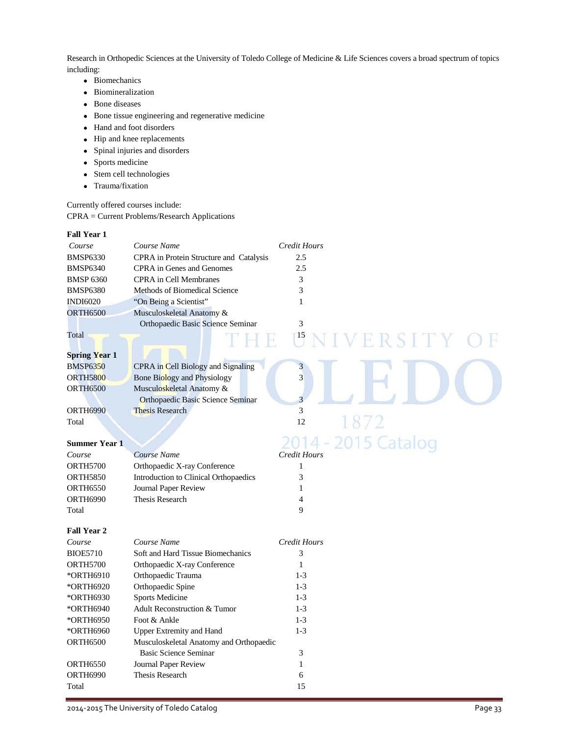Research in Orthopedic Sciences at the University of Toledo College of Medicine & Life Sciences covers a broad spectrum of topics including:

- Biomechanics
- Biomineralization
- Bone diseases
- Bone tissue engineering and regenerative medicine
- Hand and foot disorders
- Hip and knee replacements
- Spinal injuries and disorders
- Sports medicine
- Stem cell technologies
- Trauma/fixation

Currently offered courses include: CPRA = Current Problems/Research Applications

| <b>Fall Year 1</b>   |                                          |                                |
|----------------------|------------------------------------------|--------------------------------|
| Course               | Course Name                              | <b>Credit Hours</b>            |
| <b>BMSP6330</b>      | CPRA in Protein Structure and Catalysis  | 2.5                            |
| <b>BMSP6340</b>      | <b>CPRA</b> in Genes and Genomes         | 2.5                            |
| <b>BMSP 6360</b>     | <b>CPRA</b> in Cell Membranes            | 3                              |
| <b>BMSP6380</b>      | Methods of Biomedical Science            | 3                              |
| <b>INDI6020</b>      | "On Being a Scientist"                   | 1                              |
| <b>ORTH6500</b>      | Musculoskeletal Anatomy &                |                                |
|                      | Orthopaedic Basic Science Seminar        | 3                              |
| Total                | TI HI R                                  | $\mathbb{T}^{15}$<br>NIVERSITY |
|                      |                                          |                                |
| <b>Spring Year 1</b> |                                          |                                |
| <b>BMSP6350</b>      | CPRA in Cell Biology and Signaling       | 3                              |
| <b>ORTH5800</b>      | <b>Bone Biology and Physiology</b>       | $\overline{3}$                 |
| <b>ORTH6500</b>      | Musculoskeletal Anatomy &                |                                |
|                      | <b>Orthopaedic Basic Science Seminar</b> | 3                              |
| <b>ORTH6990</b>      | <b>Thesis Research</b>                   | 3                              |
| Total                |                                          | 187<br>12                      |
|                      |                                          |                                |
| <b>Summer Year 1</b> |                                          | 2014 - 2015 Catalog            |
| Course               | Course Name                              | <b>Credit Hours</b>            |
| <b>ORTH5700</b>      | Orthopaedic X-ray Conference             | $\mathbf{1}$                   |
| <b>ORTH5850</b>      | Introduction to Clinical Orthopaedics    | 3                              |
| <b>ORTH6550</b>      | Journal Paper Review                     | $\mathbf{1}$                   |
| <b>ORTH6990</b>      | <b>Thesis Research</b>                   | $\overline{4}$                 |
| Total                |                                          | 9                              |
|                      |                                          |                                |
| <b>Fall Year 2</b>   |                                          |                                |
| Course               | Course Name                              | <b>Credit Hours</b>            |
| <b>BIOE5710</b>      | Soft and Hard Tissue Biomechanics        | 3                              |
| <b>ORTH5700</b>      | Orthopaedic X-ray Conference             | $\mathbf{1}$                   |
| *ORTH6910            | Orthopaedic Trauma                       | $1-3$                          |
| *ORTH6920            | Orthopaedic Spine                        | $1-3$                          |
| *ORTH6930            | Sports Medicine                          | $1 - 3$                        |
| *ORTH6940            | Adult Reconstruction & Tumor             | $1 - 3$                        |
| *ORTH6950            | Foot & Ankle                             | $1-3$                          |
| *ORTH6960            | <b>Upper Extremity and Hand</b>          | $1-3$                          |
| <b>ORTH6500</b>      | Musculoskeletal Anatomy and Orthopaedic  |                                |
|                      | <b>Basic Science Seminar</b>             | 3                              |
| <b>ORTH6550</b>      | Journal Paper Review                     | $\mathbf{1}$                   |
| ORTH6990             | <b>Thesis Research</b>                   | 6                              |
| Total                |                                          | 15                             |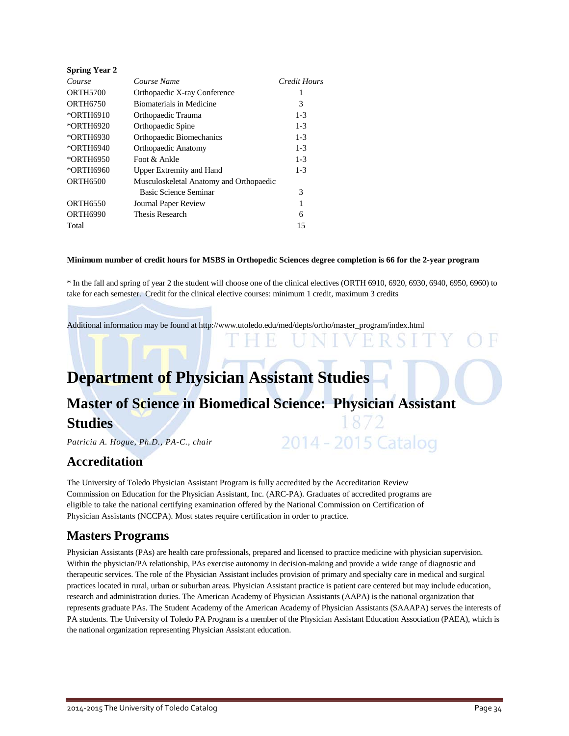| <b>Spring Year 2</b> |                                         |              |
|----------------------|-----------------------------------------|--------------|
| Course               | Course Name                             | Credit Hours |
| <b>ORTH5700</b>      | Orthopaedic X-ray Conference            | 1            |
| <b>ORTH6750</b>      | <b>Biomaterials in Medicine</b>         | 3            |
| *ORTH6910            | Orthopaedic Trauma                      | $1 - 3$      |
| *ORTH6920            | Orthopaedic Spine                       | $1 - 3$      |
| *ORTH6930            | Orthopaedic Biomechanics                | $1 - 3$      |
| *ORTH6940            | Orthopaedic Anatomy                     | $1 - 3$      |
| *ORTH6950            | Foot & Ankle                            | $1 - 3$      |
| *ORTH6960            | <b>Upper Extremity and Hand</b>         | $1 - 3$      |
| <b>ORTH6500</b>      | Musculoskeletal Anatomy and Orthopaedic |              |
|                      | Basic Science Seminar                   | 3            |
| <b>ORTH6550</b>      | Journal Paper Review                    | 1            |
| <b>ORTH6990</b>      | Thesis Research                         | 6            |
| Total                |                                         | 15           |

### **Minimum number of credit hours for MSBS in Orthopedic Sciences degree completion is 66 for the 2-year program**

\* In the fall and spring of year 2 the student will choose one of the clinical electives (ORTH 6910, 6920, 6930, 6940, 6950, 6960) to take for each semester. Credit for the clinical elective courses: minimum 1 credit, maximum 3 credits

Additional information may be found at [http://www.utoledo.edu/med/depts/ortho/master\\_program/index.html](http://www.utoledo.edu/med/depts/ortho/master_program/index.html)

## **Department of Physician Assistant Studies**

## **Master of Science in Biomedical Science: Physician Assistant Studies** 2014 - 2015 Catalog

*Patricia A. Hogue, Ph.D., PA-C., chair*

### **Accreditation**

The University of Toledo Physician Assistant Program is fully accredited by the Accreditation Review Commission on Education for the Physician Assistant, Inc. (ARC-PA). Graduates of accredited programs are eligible to take the national certifying examination offered by the National Commission on Certification of Physician Assistants (NCCPA). Most states require certification in order to practice.

### **Masters Programs**

Physician Assistants (PAs) are health care professionals, prepared and licensed to practice medicine with physician supervision. Within the physician/PA relationship, PAs exercise autonomy in decision-making and provide a wide range of diagnostic and therapeutic services. The role of the Physician Assistant includes provision of primary and specialty care in medical and surgical practices located in rural, urban or suburban areas. Physician Assistant practice is patient care centered but may include education, research and administration duties. The American Academy of Physician Assistants (AAPA) is the national organization that represents graduate PAs. The Student Academy of the American Academy of Physician Assistants (SAAAPA) serves the interests of PA students. The University of Toledo PA Program is a member of the Physician Assistant Education Association (PAEA), which is the national organization representing Physician Assistant education.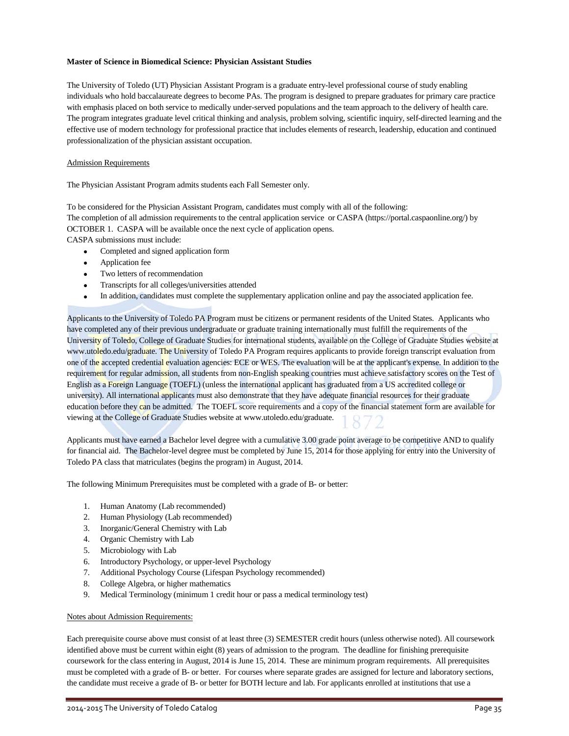### **Master of Science in Biomedical Science: Physician Assistant Studies**

The University of Toledo (UT) Physician Assistant Program is a graduate entry-level professional course of study enabling individuals who hold baccalaureate degrees to become PAs. The program is designed to prepare graduates for primary care practice with emphasis placed on both service to medically under-served populations and the team approach to the delivery of health care. The program integrates graduate level critical thinking and analysis, problem solving, scientific inquiry, self-directed learning and the effective use of modern technology for professional practice that includes elements of research, leadership, education and continued professionalization of the physician assistant occupation.

### Admission Requirements

The Physician Assistant Program admits students each Fall Semester only.

To be considered for the Physician Assistant Program, candidates must comply with all of the following:

The completion of all admission requirements to the central application service or CASPA (https://portal.caspaonline.org/) by OCTOBER 1. CASPA will be available once the next cycle of application opens.

CASPA submissions must include:

- Completed and signed application form
- Application fee
- Two letters of recommendation
- Transcripts for all colleges/universities attended
- In addition, candidates must complete the supplementary application online and pay the associated application fee.

Applicants to the University of Toledo PA Program must be citizens or permanent residents of the United States. Applicants who have completed any of their previous undergraduate or graduate training internationally must fulfill the requirements of the University of Toledo, College of Graduate Studies for international students, available on the College of Graduate Studies website at www.utoledo.edu/graduate. The University of Toledo PA Program requires applicants to provide foreign transcript evaluation from one of the accepted credential evaluation agencies: ECE or WES. The evaluation will be at the applicant's expense. In addition to the requirement for regular admission, all students from non-English speaking countries must achieve satisfactory scores on the Test of English as a Foreign Language (TOEFL) (unless the international applicant has graduated from a US accredited college or university). All international applicants must also demonstrate that they have adequate financial resources for their graduate education before they can be admitted. The TOEFL score requirements and a copy of the financial statement form are available for viewing at the College of Graduate Studies website at www.utoledo.edu/graduate.

Applicants must have earned a Bachelor level degree with a cumulative 3.00 grade point average to be competitive AND to qualify for financial aid. The Bachelor-level degree must be completed by June 15, 2014 for those applying for entry into the University of Toledo PA class that matriculates (begins the program) in August, 2014.

The following Minimum Prerequisites must be completed with a grade of B- or better:

- 1. Human Anatomy (Lab recommended)
- 2. Human Physiology (Lab recommended)
- 3. Inorganic/General Chemistry with Lab
- 4. Organic Chemistry with Lab
- 5. Microbiology with Lab
- 6. Introductory Psychology, or upper-level Psychology
- 7. Additional Psychology Course (Lifespan Psychology recommended)
- 8. College Algebra, or higher mathematics
- 9. Medical Terminology (minimum 1 credit hour or pass a medical terminology test)

#### Notes about Admission Requirements:

Each prerequisite course above must consist of at least three (3) SEMESTER credit hours (unless otherwise noted). All coursework identified above must be current within eight (8) years of admission to the program. The deadline for finishing prerequisite coursework for the class entering in August, 2014 is June 15, 2014. These are minimum program requirements. All prerequisites must be completed with a grade of B- or better. For courses where separate grades are assigned for lecture and laboratory sections, the candidate must receive a grade of B- or better for BOTH lecture and lab. For applicants enrolled at institutions that use a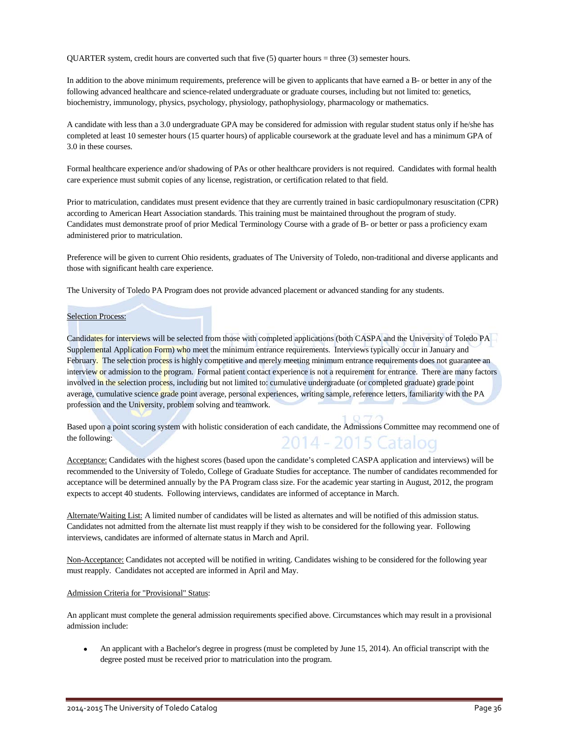QUARTER system, credit hours are converted such that five (5) quarter hours = three (3) semester hours.

In addition to the above minimum requirements, preference will be given to applicants that have earned a B- or better in any of the following advanced healthcare and science-related undergraduate or graduate courses, including but not limited to: genetics, biochemistry, immunology, physics, psychology, physiology, pathophysiology, pharmacology or mathematics.

A candidate with less than a 3.0 undergraduate GPA may be considered for admission with regular student status only if he/she has completed at least 10 semester hours (15 quarter hours) of applicable coursework at the graduate level and has a minimum GPA of 3.0 in these courses.

Formal healthcare experience and/or shadowing of PAs or other healthcare providers is not required. Candidates with formal health care experience must submit copies of any license, registration, or certification related to that field.

Prior to matriculation, candidates must present evidence that they are currently trained in basic cardiopulmonary resuscitation (CPR) according to American Heart Association standards. This training must be maintained throughout the program of study. Candidates must demonstrate proof of prior Medical Terminology Course with a grade of B- or better or pass a proficiency exam administered prior to matriculation.

Preference will be given to current Ohio residents, graduates of The University of Toledo, non-traditional and diverse applicants and those with significant health care experience.

The University of Toledo PA Program does not provide advanced placement or advanced standing for any students.

#### Selection Process:

Candidates for interviews will be selected from those with completed applications (both CASPA and the University of Toledo PA Supplemental Application Form) who meet the minimum entrance requirements. Interviews typically occur in January and February. The selection process is highly competitive and merely meeting minimum entrance requirements does not guarantee an interview or admission to the program. Formal patient contact experience is not a requirement for entrance. There are many factors involved in the selection process, including but not limited to: cumulative undergraduate (or completed graduate) grade point average, cumulative science grade point average, personal experiences, writing sample, reference letters, familiarity with the PA profession and the University, problem solving and teamwork.

Based upon a point scoring system with holistic consideration of each candidate, the Admissions Committee may recommend one of the following: 2014 - 2015 Catalog

Acceptance: Candidates with the highest scores (based upon the candidate's completed CASPA application and interviews) will be recommended to the University of Toledo, College of Graduate Studies for acceptance. The number of candidates recommended for acceptance will be determined annually by the PA Program class size. For the academic year starting in August, 2012, the program expects to accept 40 students. Following interviews, candidates are informed of acceptance in March.

Alternate/Waiting List: A limited number of candidates will be listed as alternates and will be notified of this admission status. Candidates not admitted from the alternate list must reapply if they wish to be considered for the following year. Following interviews, candidates are informed of alternate status in March and April.

Non-Acceptance: Candidates not accepted will be notified in writing. Candidates wishing to be considered for the following year must reapply. Candidates not accepted are informed in April and May.

### Admission Criteria for "Provisional" Status:

An applicant must complete the general admission requirements specified above. Circumstances which may result in a provisional admission include:

• An applicant with a Bachelor's degree in progress (must be completed by June 15, 2014). An official transcript with the degree posted must be received prior to matriculation into the program.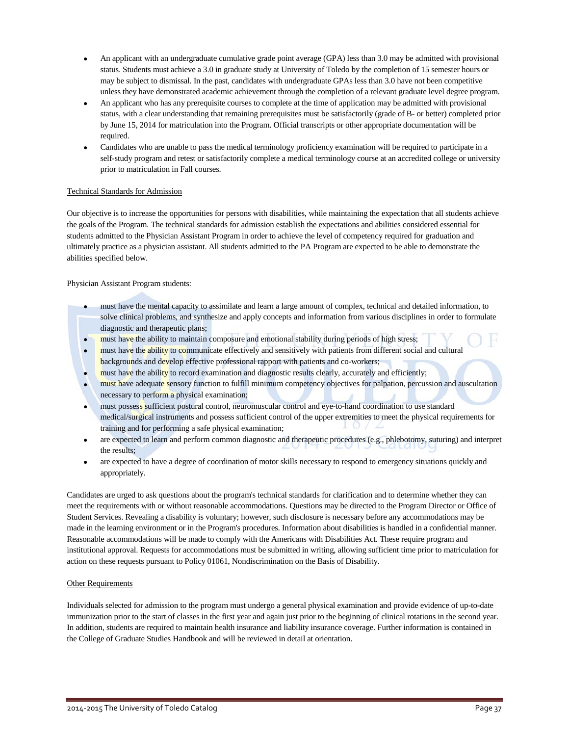- An applicant with an undergraduate cumulative grade point average (GPA) less than 3.0 may be admitted with provisional status. Students must achieve a 3.0 in graduate study at University of Toledo by the completion of 15 semester hours or may be subject to dismissal. In the past, candidates with undergraduate GPAs less than 3.0 have not been competitive unless they have demonstrated academic achievement through the completion of a relevant graduate level degree program.
- An applicant who has any prerequisite courses to complete at the time of application may be admitted with provisional status, with a clear understanding that remaining prerequisites must be satisfactorily (grade of B- or better) completed prior by June 15, 2014 for matriculation into the Program. Official transcripts or other appropriate documentation will be required.
- Candidates who are unable to pass the medical terminology proficiency examination will be required to participate in a self-study program and retest or satisfactorily complete a medical terminology course at an accredited college or university prior to matriculation in Fall courses.

### Technical Standards for Admission

Our objective is to increase the opportunities for persons with disabilities, while maintaining the expectation that all students achieve the goals of the Program. The technical standards for admission establish the expectations and abilities considered essential for students admitted to the Physician Assistant Program in order to achieve the level of competency required for graduation and ultimately practice as a physician assistant. All students admitted to the PA Program are expected to be able to demonstrate the abilities specified below.

Physician Assistant Program students:

- must have the mental capacity to assimilate and learn a large amount of complex, technical and detailed information, to solve clinical problems, and synthesize and apply concepts and information from various disciplines in order to formulate diagnostic and therapeutic plans;
- must have the ability to maintain composure and emotional stability during periods of high stress;
- must have the ability to communicate effectively and sensitively with patients from different social and cultural backgrounds and develop effective professional rapport with patients and co-workers;
- must have the ability to record examination and diagnostic results clearly, accurately and efficiently;
- must have adequate sensory function to fulfill minimum competency objectives for palpation, percussion and auscultation necessary to perform a physical examination;
- must possess sufficient postural control, neuromuscular control and eye-to-hand coordination to use standard medical/surgical instruments and possess sufficient control of the upper extremities to meet the physical requirements for training and for performing a safe physical examination;
- are expected to learn and perform common diagnostic and therapeutic procedures (e.g., phlebotomy, suturing) and interpret the results;
- are expected to have a degree of coordination of motor skills necessary to respond to emergency situations quickly and appropriately.

Candidates are urged to ask questions about the program's technical standards for clarification and to determine whether they can meet the requirements with or without reasonable accommodations. Questions may be directed to the Program Director or Office of Student Services. Revealing a disability is voluntary; however, such disclosure is necessary before any accommodations may be made in the learning environment or in the Program's procedures. Information about disabilities is handled in a confidential manner. Reasonable accommodations will be made to comply with the Americans with Disabilities Act. These require program and institutional approval. Requests for accommodations must be submitted in writing, allowing sufficient time prior to matriculation for action on these requests pursuant to Policy 01061, Nondiscrimination on the Basis of Disability.

### **Other Requirements**

Individuals selected for admission to the program must undergo a general physical examination and provide evidence of up-to-date immunization prior to the start of classes in the first year and again just prior to the beginning of clinical rotations in the second year. In addition, students are required to maintain health insurance and liability insurance coverage. Further information is contained in the College of Graduate Studies Handbook and will be reviewed in detail at orientation.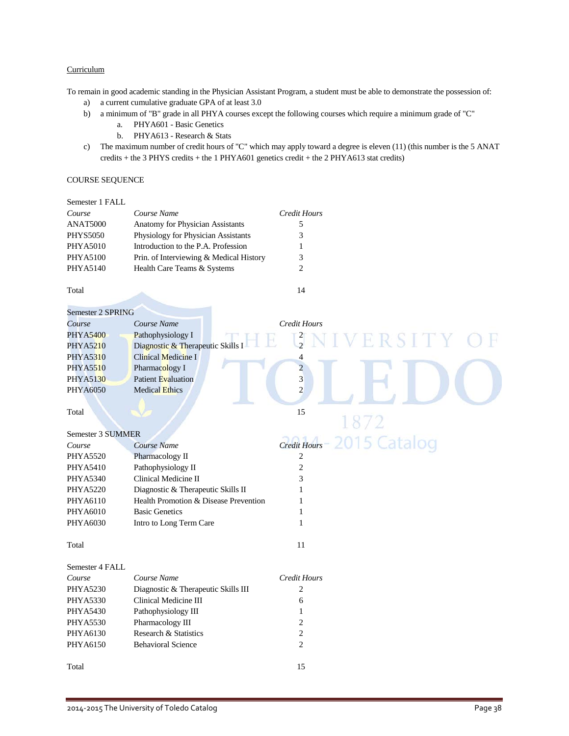### **Curriculum**

To remain in good academic standing in the Physician Assistant Program, a student must be able to demonstrate the possession of:

- a) a current cumulative graduate GPA of at least 3.0
- b) a minimum of "B" grade in all PHYA courses except the following courses which require a minimum grade of "C"
	- a. PHYA601 Basic Genetics
	- b. PHYA613 Research & Stats
- c) The maximum number of credit hours of "C" which may apply toward a degree is eleven (11) (this number is the 5 ANAT credits + the 3 PHYS credits + the 1 PHYA601 genetics credit + the 2 PHYA613 stat credits)

### COURSE SEQUENCE

| Semester 1 FALL |                                         |              |
|-----------------|-----------------------------------------|--------------|
| Course          | Course Name                             | Credit Hours |
| <b>ANAT5000</b> | <b>Anatomy for Physician Assistants</b> |              |
| <b>PHYS5050</b> | Physiology for Physician Assistants     | 3            |
| <b>PHYA5010</b> | Introduction to the P.A. Profession     |              |
| <b>PHYA5100</b> | Prin. of Interviewing & Medical History | 3            |
| <b>PHYA5140</b> | Health Care Teams & Systems             | 2            |
|                 |                                         |              |

Total 14

| Semester 2 SPRING        |                                       |                              |
|--------------------------|---------------------------------------|------------------------------|
| Course                   | Course Name                           | <b>Credit Hours</b>          |
| <b>PHYA5400</b>          | Pathophysiology I                     | ERSITY                       |
| <b>PHYA5210</b>          | Diagnostic & Therapeutic Skills I     | $\frac{2}{2}$                |
| <b>PHYA5310</b>          | Clinical Medicine I                   | 4                            |
| <b>PHYA5510</b>          | Pharmacology I                        | $\overline{c}$               |
| <b>PHYA5130</b>          | <b>Patient Evaluation</b>             | $\overline{3}$               |
| <b>PHYA6050</b>          | <b>Medical Ethics</b>                 | $\overline{2}$               |
|                          |                                       |                              |
| Total                    |                                       | 15                           |
|                          |                                       | 1872                         |
| <b>Semester 3 SUMMER</b> |                                       |                              |
| Course                   | Course Name                           | 2015 Catalog<br>Credit Hours |
| <b>PHYA5520</b>          | Pharmacology II                       | $\boldsymbol{2}$             |
| <b>PHYA5410</b>          | Pathophysiology II                    | $\overline{c}$               |
| <b>PHYA5340</b>          | Clinical Medicine II                  | 3                            |
| <b>PHYA5220</b>          | Diagnostic & Therapeutic Skills II    | 1                            |
| PHYA6110                 | Health Promotion & Disease Prevention | 1                            |
| PHYA6010                 | <b>Basic Genetics</b>                 | 1                            |
| PHYA6030                 | Intro to Long Term Care               | 1                            |
|                          |                                       |                              |
| Total                    |                                       | 11                           |
|                          |                                       |                              |
| Semester 4 FALL          |                                       |                              |
| Course                   | Course Name                           | <b>Credit Hours</b>          |
| <b>PHYA5230</b>          | Diagnostic & Therapeutic Skills III   | $\overline{c}$               |
| <b>PHYA5330</b>          | Clinical Medicine III                 | 6                            |
| <b>PHYA5430</b>          | Pathophysiology III                   | 1                            |
| <b>PHYA5530</b>          | Pharmacology III                      | $\overline{\mathbf{c}}$      |
| PHYA6130                 | Research & Statistics                 | $\overline{c}$               |
| PHYA6150                 | <b>Behavioral Science</b>             | $\overline{c}$               |
|                          |                                       |                              |
| Total                    |                                       | 15                           |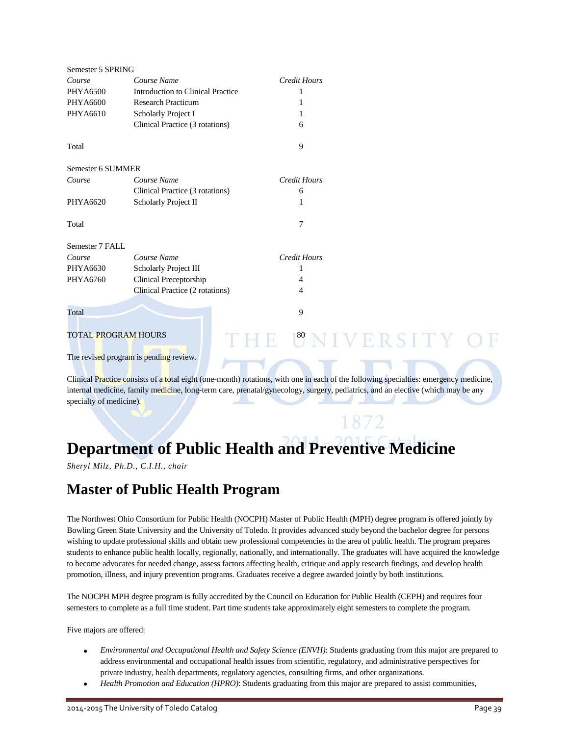| Semester 5 SPRING          |                                          |                                                                                                                                      |  |
|----------------------------|------------------------------------------|--------------------------------------------------------------------------------------------------------------------------------------|--|
| Course                     | Course Name                              | <b>Credit Hours</b>                                                                                                                  |  |
| <b>PHYA6500</b>            | <b>Introduction to Clinical Practice</b> | 1                                                                                                                                    |  |
| <b>PHYA6600</b>            | <b>Research Practicum</b>                | 1                                                                                                                                    |  |
| <b>PHYA6610</b>            | Scholarly Project I                      |                                                                                                                                      |  |
|                            | Clinical Practice (3 rotations)          | 6                                                                                                                                    |  |
| Total                      |                                          | 9                                                                                                                                    |  |
| Semester 6 SUMMER          |                                          |                                                                                                                                      |  |
| Course                     | Course Name                              | <b>Credit Hours</b>                                                                                                                  |  |
|                            | Clinical Practice (3 rotations)          | 6                                                                                                                                    |  |
| <b>PHYA6620</b>            | Scholarly Project II                     | 1                                                                                                                                    |  |
| Total                      |                                          | $\overline{7}$                                                                                                                       |  |
| Semester 7 FALL            |                                          |                                                                                                                                      |  |
| Course                     | Course Name                              | <b>Credit Hours</b>                                                                                                                  |  |
| PHYA6630                   | Scholarly Project III                    | 1                                                                                                                                    |  |
| PHYA6760                   | Clinical Preceptorship                   | 4                                                                                                                                    |  |
|                            | Clinical Practice (2 rotations)          | 4                                                                                                                                    |  |
| Total                      |                                          | 9                                                                                                                                    |  |
| <b>TOTAL PROGRAM HOURS</b> |                                          | THE UNIVERSITY OF                                                                                                                    |  |
|                            | The revised program is pending review.   |                                                                                                                                      |  |
|                            |                                          | Clinical Practice consists of a total eight (one-month) rotations, with one in each of the following specialties: emergency medicine |  |

ists of a total eight (one-month) rotations, with one in each of the following specialties: emergency medicine, internal medicine, family medicine, long-term care, prenatal/gynecology, surgery, pediatrics, and an elective (which may be any specialty of medicine).

1872

## **Department of Public Health and Preventive Medicine**

*Sheryl Milz, Ph.D., C.I.H., chair*

## **Master of Public Health Program**

The Northwest Ohio Consortium for Public Health (NOCPH) Master of Public Health (MPH) degree program is offered jointly by Bowling Green State University and the University of Toledo. It provides advanced study beyond the bachelor degree for persons wishing to update professional skills and obtain new professional competencies in the area of public health. The program prepares students to enhance public health locally, regionally, nationally, and internationally. The graduates will have acquired the knowledge to become advocates for needed change, assess factors affecting health, critique and apply research findings, and develop health promotion, illness, and injury prevention programs. Graduates receive a degree awarded jointly by both institutions.

The NOCPH MPH degree program is fully accredited by the Council on Education for Public Health (CEPH) and requires four semesters to complete as a full time student. Part time students take approximately eight semesters to complete the program.

Five majors are offered:

- *Environmental and Occupational Health and Safety Science (ENVH)*: Students graduating from this major are prepared to address environmental and occupational health issues from scientific, regulatory, and administrative perspectives for private industry, health departments, regulatory agencies, consulting firms, and other organizations.
- *Health Promotion and Education (HPRO)*: Students graduating from this major are prepared to assist communities,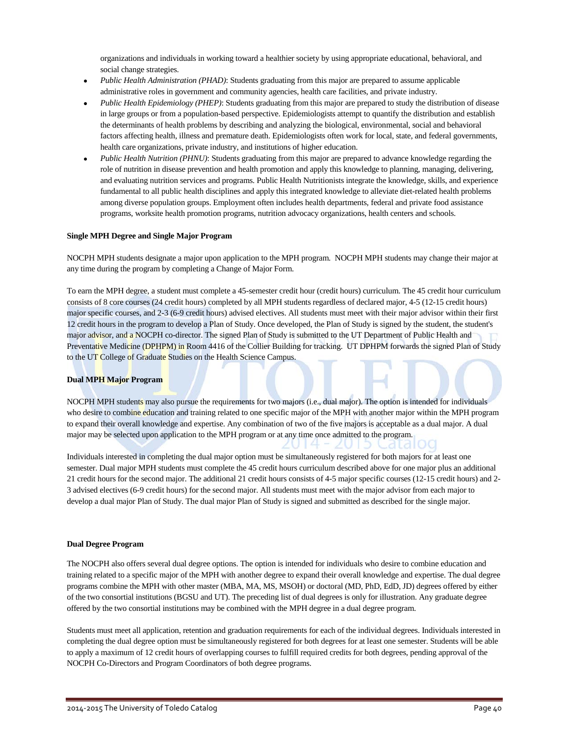organizations and individuals in working toward a healthier society by using appropriate educational, behavioral, and social change strategies.

- *Public Health Administration (PHAD)*: Students graduating from this major are prepared to assume applicable administrative roles in government and community agencies, health care facilities, and private industry.
- *Public Health Epidemiology (PHEP)*: Students graduating from this major are prepared to study the distribution of disease in large groups or from a population-based perspective. Epidemiologists attempt to quantify the distribution and establish the determinants of health problems by describing and analyzing the biological, environmental, social and behavioral factors affecting health, illness and premature death. Epidemiologists often work for local, state, and federal governments, health care organizations, private industry, and institutions of higher education.
- *Public Health Nutrition (PHNU)*: Students graduating from this major are prepared to advance knowledge regarding the role of nutrition in disease prevention and health promotion and apply this knowledge to planning, managing, delivering, and evaluating nutrition services and programs. Public Health Nutritionists integrate the knowledge, skills, and experience fundamental to all public health disciplines and apply this integrated knowledge to alleviate diet-related health problems among diverse population groups. Employment often includes health departments, federal and private food assistance programs, worksite health promotion programs, nutrition advocacy organizations, health centers and schools.

### **Single MPH Degree and Single Major Program**

NOCPH MPH students designate a major upon application to the MPH program. NOCPH MPH students may change their major at any time during the program by completing a Change of Major Form.

To earn the MPH degree, a student must complete a 45-semester credit hour (credit hours) curriculum. The 45 credit hour curriculum consists of 8 core courses (24 credit hours) completed by all MPH students regardless of declared major, 4-5 (12-15 credit hours) major specific courses, and 2-3 (6-9 credit hours) advised electives. All students must meet with their major advisor within their first 12 credit hours in the program to develop a Plan of Study. Once developed, the Plan of Study is signed by the student, the student's major advisor, and a NOCPH co-director. The signed Plan of Study is submitted to the UT Department of Public Health and Preventative Medicine (DPHPM) in Room 4416 of the Collier Building for tracking. UT DPHPM forwards the signed Plan of Study to the UT College of Graduate Studies on the Health Science Campus.

#### **Dual MPH Major Program**

NOCPH MPH students may also pursue the requirements for two majors (i.e., dual major). The option is intended for individuals who desire to combine education and training related to one specific major of the MPH with another major within the MPH program to expand their overall knowledge and expertise. Any combination of two of the five majors is acceptable as a dual major. A dual major may be selected upon application to the MPH program or at any time once admitted to the program.

Individuals interested in completing the dual major option must be simultaneously registered for both majors for at least one semester. Dual major MPH students must complete the 45 credit hours curriculum described above for one major plus an additional 21 credit hours for the second major. The additional 21 credit hours consists of 4-5 major specific courses (12-15 credit hours) and 2- 3 advised electives (6-9 credit hours) for the second major. All students must meet with the major advisor from each major to develop a dual major Plan of Study. The dual major Plan of Study is signed and submitted as described for the single major.

#### **Dual Degree Program**

The NOCPH also offers several dual degree options. The option is intended for individuals who desire to combine education and training related to a specific major of the MPH with another degree to expand their overall knowledge and expertise. The dual degree programs combine the MPH with other master (MBA, MA, MS, MSOH) or doctoral (MD, PhD, EdD, JD) degrees offered by either of the two consortial institutions (BGSU and UT). The preceding list of dual degrees is only for illustration. Any graduate degree offered by the two consortial institutions may be combined with the MPH degree in a dual degree program.

Students must meet all application, retention and graduation requirements for each of the individual degrees. Individuals interested in completing the dual degree option must be simultaneously registered for both degrees for at least one semester. Students will be able to apply a maximum of 12 credit hours of overlapping courses to fulfill required credits for both degrees, pending approval of the NOCPH Co-Directors and Program Coordinators of both degree programs.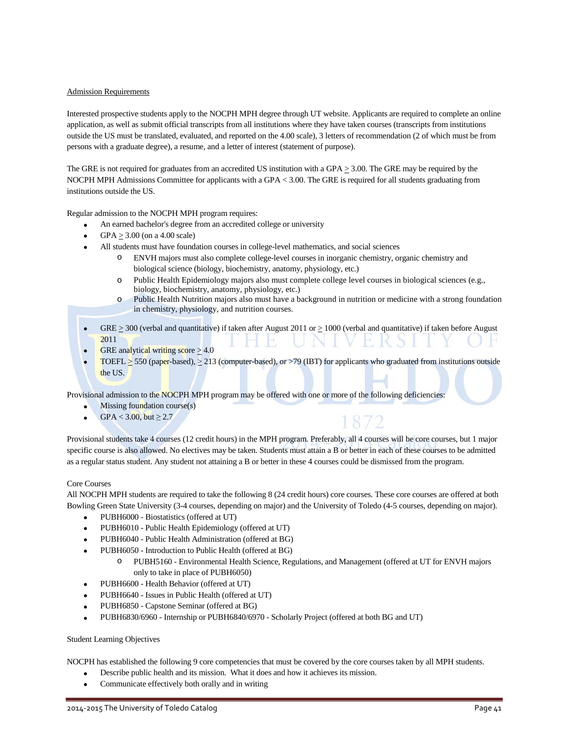### Admission Requirements

Interested prospective students apply to the NOCPH MPH degree through UT website. Applicants are required to complete an online application, as well as submit official transcripts from all institutions where they have taken courses (transcripts from institutions outside the US must be translated, evaluated, and reported on the 4.00 scale), 3 letters of recommendation (2 of which must be from persons with a graduate degree), a resume, and a letter of interest (statement of purpose).

The GRE is not required for graduates from an accredited US institution with a GPA  $\geq$  3.00. The GRE may be required by the NOCPH MPH Admissions Committee for applicants with a GPA < 3.00. The GRE is required for all students graduating from institutions outside the US.

Regular admission to the NOCPH MPH program requires:

- An earned bachelor's degree from an accredited college or university
- GPA  $\geq$  3.00 (on a 4.00 scale)
- All students must have foundation courses in college-level mathematics, and social sciences
	- o ENVH majors must also complete college-level courses in inorganic chemistry, organic chemistry and biological science (biology, biochemistry, anatomy, physiology, etc.)
	- o Public Health Epidemiology majors also must complete college level courses in biological sciences (e.g., biology, biochemistry, anatomy, physiology, etc.)
	- o Public Health Nutrition majors also must have a background in nutrition or medicine with a strong foundation in chemistry, physiology, and nutrition courses.

1872

- $GRE > 300$  (verbal and quantitative) if taken after August 2011 or  $> 1000$  (verbal and quantitative) if taken before August 2011
- GRE analytical writing score  $>4.0$
- TOEFL  $\geq$  550 (paper-based),  $\geq$  213 (computer-based), or >79 (IBT) for applicants who graduated from institutions outside the US.

Provisional admission to the NOCPH MPH program may be offered with one or more of the following deficiencies:

- Missing foundation course $(s)$
- GPA <  $3.00$ , but  $\geq 2.7$

Provisional students take 4 courses (12 credit hours) in the MPH program. Preferably, all 4 courses will be core courses, but 1 major specific course is also allowed. No electives may be taken. Students must attain a B or better in each of these courses to be admitted as a regular status student. Any student not attaining a B or better in these 4 courses could be dismissed from the program.

#### Core Courses

All NOCPH MPH students are required to take the following 8 (24 credit hours) core courses. These core courses are offered at both Bowling Green State University (3-4 courses, depending on major) and the University of Toledo (4-5 courses, depending on major).

- PUBH6000 Biostatistics (offered at UT)
- PUBH6010 Public Health Epidemiology (offered at UT)
- PUBH6040 Public Health Administration (offered at BG)
- PUBH6050 Introduction to Public Health (offered at BG)
	- o PUBH5160 Environmental Health Science, Regulations, and Management (offered at UT for ENVH majors only to take in place of PUBH6050)
- PUBH6600 Health Behavior (offered at UT)
- PUBH6640 Issues in Public Health (offered at UT)
- PUBH6850 Capstone Seminar (offered at BG)
- PUBH6830/6960 Internship or PUBH6840/6970 Scholarly Project (offered at both BG and UT)

#### Student Learning Objectives

NOCPH has established the following 9 core competencies that must be covered by the core courses taken by all MPH students.

- Describe public health and its mission. What it does and how it achieves its mission.
- Communicate effectively both orally and in writing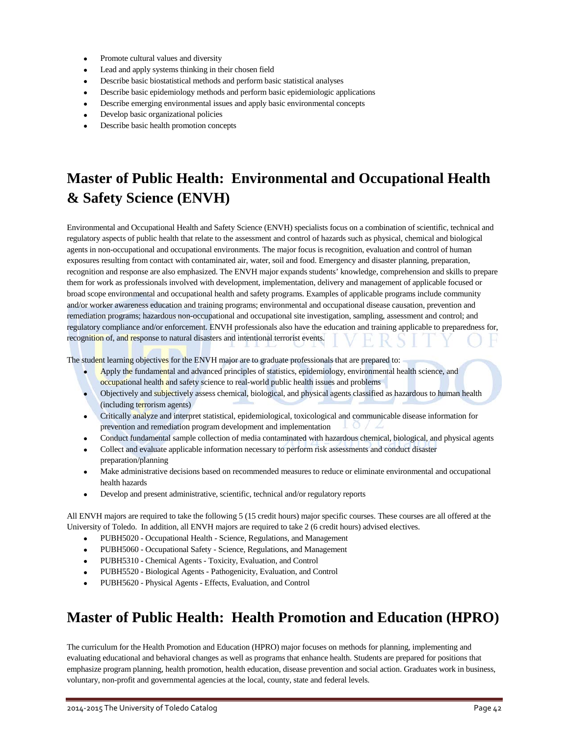- Promote cultural values and diversity
- Lead and apply systems thinking in their chosen field
- Describe basic biostatistical methods and perform basic statistical analyses
- Describe basic epidemiology methods and perform basic epidemiologic applications
- Describe emerging environmental issues and apply basic environmental concepts
- Develop basic organizational policies
- Describe basic health promotion concepts

## **Master of Public Health: Environmental and Occupational Health & Safety Science (ENVH)**

Environmental and Occupational Health and Safety Science (ENVH) specialists focus on a combination of scientific, technical and regulatory aspects of public health that relate to the assessment and control of hazards such as physical, chemical and biological agents in non-occupational and occupational environments. The major focus is recognition, evaluation and control of human exposures resulting from contact with contaminated air, water, soil and food. Emergency and disaster planning, preparation, recognition and response are also emphasized. The ENVH major expands students' knowledge, comprehension and skills to prepare them for work as professionals involved with development, implementation, delivery and management of applicable focused or broad scope environmental and occupational health and safety programs. Examples of applicable programs include community and/or worker awareness education and training programs; environmental and occupational disease causation, prevention and remediation programs; hazardous non-occupational and occupational site investigation, sampling, assessment and control; and regulatory compliance and/or enforcement. ENVH professionals also have the education and training applicable to preparedness for, recognition of, and response to natural disasters and intentional terrorist events.

The student learning objectives for the ENVH major are to graduate professionals that are prepared to:

- Apply the fundamental and advanced principles of statistics, epidemiology, environmental health science, and occupational health and safety science to real-world public health issues and problems
- Objectively and subjectively assess chemical, biological, and physical agents classified as hazardous to human health (including terrorism agents)
- Critically analyze and interpret statistical, epidemiological, toxicological and communicable disease information for prevention and remediation program development and implementation  $\Box$   $\Box$
- Conduct fundamental sample collection of media contaminated with hazardous chemical, biological, and physical agents
- Collect and evaluate applicable information necessary to perform risk assessments and conduct disaster preparation/planning
- Make administrative decisions based on recommended measures to reduce or eliminate environmental and occupational health hazards
- Develop and present administrative, scientific, technical and/or regulatory reports

All ENVH majors are required to take the following 5 (15 credit hours) major specific courses. These courses are all offered at the University of Toledo. In addition, all ENVH majors are required to take 2 (6 credit hours) advised electives.

- PUBH5020 Occupational Health Science, Regulations, and Management
- PUBH5060 Occupational Safety Science, Regulations, and Management
- PUBH5310 Chemical Agents Toxicity, Evaluation, and Control
- PUBH5520 Biological Agents Pathogenicity, Evaluation, and Control
- PUBH5620 Physical Agents Effects, Evaluation, and Control

## **Master of Public Health: Health Promotion and Education (HPRO)**

The curriculum for the Health Promotion and Education (HPRO) major focuses on methods for planning, implementing and evaluating educational and behavioral changes as well as programs that enhance health. Students are prepared for positions that emphasize program planning, health promotion, health education, disease prevention and social action. Graduates work in business, voluntary, non-profit and governmental agencies at the local, county, state and federal levels.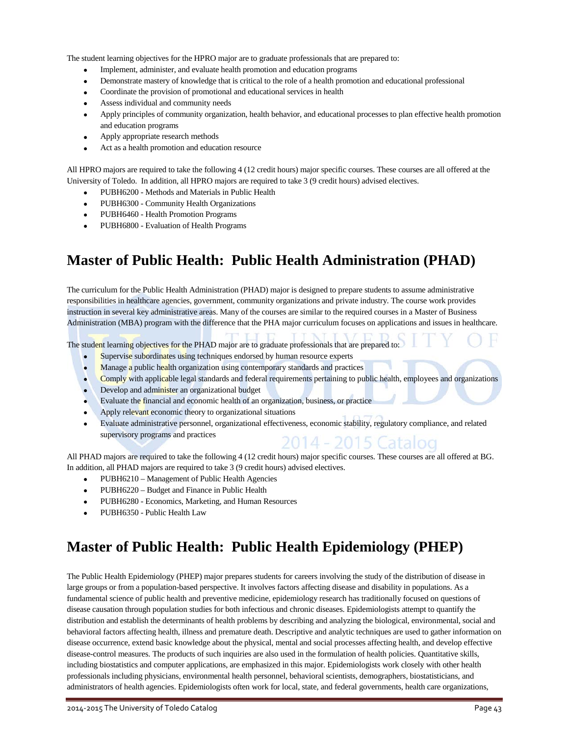The student learning objectives for the HPRO major are to graduate professionals that are prepared to:

- Implement, administer, and evaluate health promotion and education programs
- Demonstrate mastery of knowledge that is critical to the role of a health promotion and educational professional
- Coordinate the provision of promotional and educational services in health
- Assess individual and community needs
- Apply principles of community organization, health behavior, and educational processes to plan effective health promotion and education programs
- Apply appropriate research methods
- Act as a health promotion and education resource

All HPRO majors are required to take the following 4 (12 credit hours) major specific courses. These courses are all offered at the University of Toledo. In addition, all HPRO majors are required to take 3 (9 credit hours) advised electives.

- PUBH6200 Methods and Materials in Public Health
- PUBH6300 Community Health Organizations
- PUBH6460 Health Promotion Programs
- PUBH6800 Evaluation of Health Programs

## **Master of Public Health: Public Health Administration (PHAD)**

The curriculum for the Public Health Administration (PHAD) major is designed to prepare students to assume administrative responsibilities in healthcare agencies, government, community organizations and private industry. The course work provides instruction in several key administrative areas. Many of the courses are similar to the required courses in a Master of Business Administration (MBA) program with the difference that the PHA major curriculum focuses on applications and issues in healthcare.

The student learning objectives for the PHAD major are to graduate professionals that are prepared to:

- Supervise subordinates using techniques endorsed by human resource experts
- Manage a public health organization using contemporary standards and practices
- Comply with applicable legal standards and federal requirements pertaining to public health, employees and organizations
- Develop and administer an organizational budget
- Evaluate the financial and economic health of an organization, business, or practice
- Apply relevant economic theory to organizational situations
- Evaluate administrative personnel, organizational effectiveness, economic stability, regulatory compliance, and related supervisory programs and practices 2014 - 2015 Catalog

All PHAD majors are required to take the following 4 (12 credit hours) major specific courses. These courses are all offered at BG. In addition, all PHAD majors are required to take 3 (9 credit hours) advised electives.

- PUBH6210 Management of Public Health Agencies
- PUBH6220 Budget and Finance in Public Health
- PUBH6280 Economics, Marketing, and Human Resources
- PUBH6350 Public Health Law

## **Master of Public Health: Public Health Epidemiology (PHEP)**

The Public Health Epidemiology (PHEP) major prepares students for careers involving the study of the distribution of disease in large groups or from a population-based perspective. It involves factors affecting disease and disability in populations. As a fundamental science of public health and preventive medicine, epidemiology research has traditionally focused on questions of disease causation through population studies for both infectious and chronic diseases. Epidemiologists attempt to quantify the distribution and establish the determinants of health problems by describing and analyzing the biological, environmental, social and behavioral factors affecting health, illness and premature death. Descriptive and analytic techniques are used to gather information on disease occurrence, extend basic knowledge about the physical, mental and social processes affecting health, and develop effective disease-control measures. The products of such inquiries are also used in the formulation of health policies. Quantitative skills, including biostatistics and computer applications, are emphasized in this major. Epidemiologists work closely with other health professionals including physicians, environmental health personnel, behavioral scientists, demographers, biostatisticians, and administrators of health agencies. Epidemiologists often work for local, state, and federal governments, health care organizations,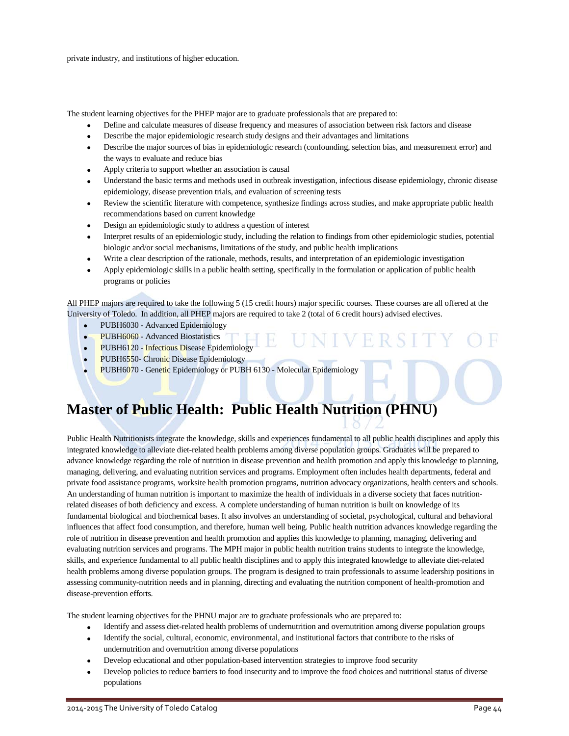private industry, and institutions of higher education.

The student learning objectives for the PHEP major are to graduate professionals that are prepared to:

- Define and calculate measures of disease frequency and measures of association between risk factors and disease
- Describe the major epidemiologic research study designs and their advantages and limitations
- Describe the major sources of bias in epidemiologic research (confounding, selection bias, and measurement error) and the ways to evaluate and reduce bias
- Apply criteria to support whether an association is causal
- Understand the basic terms and methods used in outbreak investigation, infectious disease epidemiology, chronic disease epidemiology, disease prevention trials, and evaluation of screening tests
- Review the scientific literature with competence, synthesize findings across studies, and make appropriate public health recommendations based on current knowledge
- Design an epidemiologic study to address a question of interest
- Interpret results of an epidemiologic study, including the relation to findings from other epidemiologic studies, potential biologic and/or social mechanisms, limitations of the study, and public health implications
- Write a clear description of the rationale, methods, results, and interpretation of an epidemiologic investigation
- Apply epidemiologic skills in a public health setting, specifically in the formulation or application of public health programs or policies

All PHEP majors are required to take the following 5 (15 credit hours) major specific courses. These courses are all offered at the University of Toledo. In addition, all PHEP majors are required to take 2 (total of 6 credit hours) advised electives.

- PUBH6030 Advanced Epidemiology
- PUBH6060 Advanced Biostatistics
- PUBH6120 Infectious Disease Epidemiology
- PUBH6550- Chronic Disease Epidemiology
- PUBH6070 Genetic Epidemiology or PUBH 6130 Molecular Epidemiology

## **Master of Public Health: Public Health Nutrition (PHNU)**

Public Health Nutritionists integrate the knowledge, skills and experiences fundamental to all public health disciplines and apply this integrated knowledge to alleviate diet-related health problems among diverse population groups. Graduates will be prepared to advance knowledge regarding the role of nutrition in disease prevention and health promotion and apply this knowledge to planning, managing, delivering, and evaluating nutrition services and programs. Employment often includes health departments, federal and private food assistance programs, worksite health promotion programs, nutrition advocacy organizations, health centers and schools. An understanding of human nutrition is important to maximize the health of individuals in a diverse society that faces nutritionrelated diseases of both deficiency and excess. A complete understanding of human nutrition is built on knowledge of its fundamental biological and biochemical bases. It also involves an understanding of societal, psychological, cultural and behavioral influences that affect food consumption, and therefore, human well being. Public health nutrition advances knowledge regarding the role of nutrition in disease prevention and health promotion and applies this knowledge to planning, managing, delivering and evaluating nutrition services and programs. The MPH major in public health nutrition trains students to integrate the knowledge, skills, and experience fundamental to all public health disciplines and to apply this integrated knowledge to alleviate diet-related health problems among diverse population groups. The program is designed to train professionals to assume leadership positions in assessing community-nutrition needs and in planning, directing and evaluating the nutrition component of health-promotion and disease-prevention efforts.

The student learning objectives for the PHNU major are to graduate professionals who are prepared to:

- Identify and assess diet-related health problems of undernutrition and overnutrition among diverse population groups
- Identify the social, cultural, economic, environmental, and institutional factors that contribute to the risks of undernutrition and overnutrition among diverse populations
- Develop educational and other population-based intervention strategies to improve food security
- Develop policies to reduce barriers to food insecurity and to improve the food choices and nutritional status of diverse populations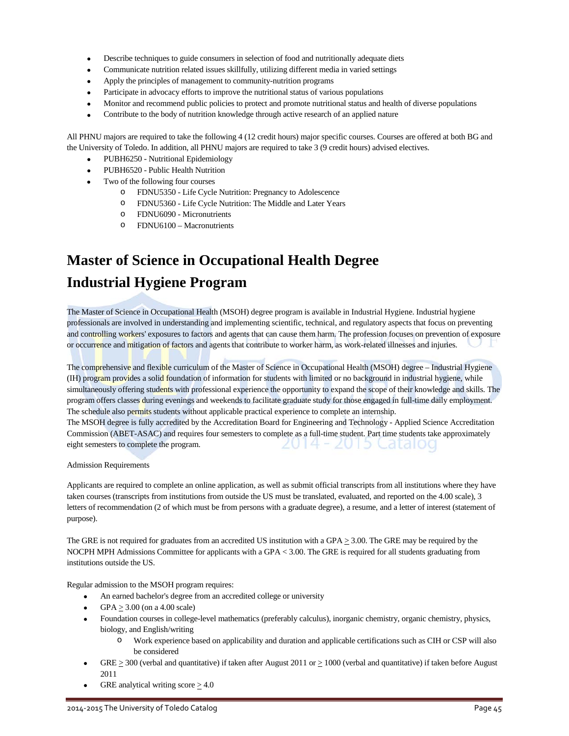- Describe techniques to guide consumers in selection of food and nutritionally adequate diets
- Communicate nutrition related issues skillfully, utilizing different media in varied settings
- Apply the principles of management to community-nutrition programs
- Participate in advocacy efforts to improve the nutritional status of various populations
- Monitor and recommend public policies to protect and promote nutritional status and health of diverse populations
- Contribute to the body of nutrition knowledge through active research of an applied nature

All PHNU majors are required to take the following 4 (12 credit hours) major specific courses. Courses are offered at both BG and the University of Toledo. In addition, all PHNU majors are required to take 3 (9 credit hours) advised electives.

- PUBH6250 Nutritional Epidemiology
- PUBH6520 Public Health Nutrition
- Two of the following four courses
	- o FDNU5350 Life Cycle Nutrition: Pregnancy to Adolescence
	- o FDNU5360 Life Cycle Nutrition: The Middle and Later Years
	- o FDNU6090 Micronutrients
	- o FDNU6100 Macronutrients

## **Master of Science in Occupational Health Degree Industrial Hygiene Program**

The Master of Science in Occupational Health (MSOH) degree program is available in Industrial Hygiene. Industrial hygiene professionals are involved in understanding and implementing scientific, technical, and regulatory aspects that focus on preventing and controlling workers' exposures to factors and agents that can cause them harm. The profession focuses on prevention of exposure or occurrence and mitigation of factors and agents that contribute to worker harm, as work-related illnesses and injuries.

The comprehensive and flexible curriculum of the Master of Science in Occupational Health (MSOH) degree – Industrial Hygiene (IH) program provides a solid foundation of information for students with limited or no background in industrial hygiene, while simultaneously offering students with professional experience the opportunity to expand the scope of their knowledge and skills. The program offers classes during evenings and weekends to facilitate graduate study for those engaged in full-time daily employment. The schedule also permits students without applicable practical experience to complete an internship.

The MSOH degree is fully accredited by the Accreditation Board for Engineering and Technology - Applied Science Accreditation Commission (ABET-ASAC) and requires four semesters to complete as a full-time student. Part time students take approximately 2014 - 2015 Catalog eight semesters to complete the program.

Admission Requirements

Applicants are required to complete an online application, as well as submit official transcripts from all institutions where they have taken courses (transcripts from institutions from outside the US must be translated, evaluated, and reported on the 4.00 scale), 3 letters of recommendation (2 of which must be from persons with a graduate degree), a resume, and a letter of interest (statement of purpose).

The GRE is not required for graduates from an accredited US institution with a GPA  $\geq$  3.00. The GRE may be required by the NOCPH MPH Admissions Committee for applicants with a GPA < 3.00. The GRE is required for all students graduating from institutions outside the US.

Regular admission to the MSOH program requires:

- An earned bachelor's degree from an accredited college or university
- $GPA > 3.00$  (on a 4.00 scale)
- Foundation courses in college-level mathematics (preferably calculus), inorganic chemistry, organic chemistry, physics, biology, and English/writing
	- o Work experience based on applicability and duration and applicable certifications such as CIH or CSP will also be considered
- GRE  $\geq$  300 (verbal and quantitative) if taken after August 2011 or  $\geq$  1000 (verbal and quantitative) if taken before August 2011
- GRE analytical writing score  $\geq 4.0$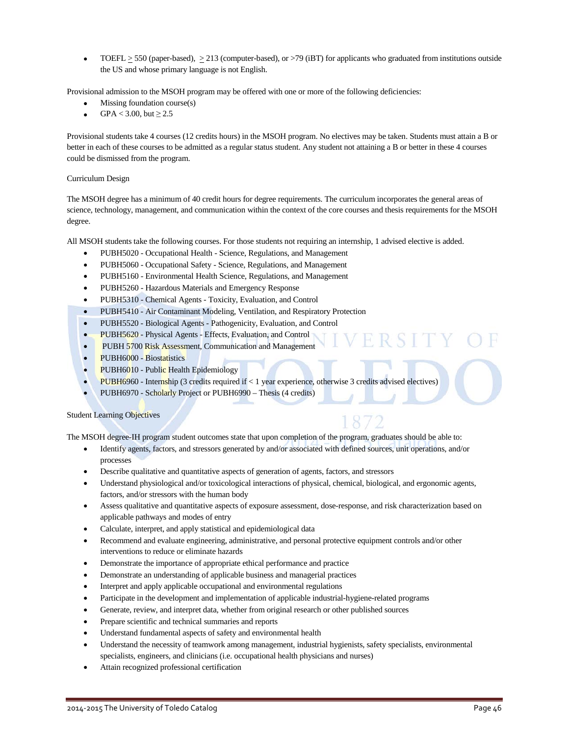• TOEFL > 550 (paper-based), > 213 (computer-based), or >79 (iBT) for applicants who graduated from institutions outside the US and whose primary language is not English.

Provisional admission to the MSOH program may be offered with one or more of the following deficiencies:

- Missing foundation course(s)
- GPA < 3.00, but  $\geq 2.5$

Provisional students take 4 courses (12 credits hours) in the MSOH program. No electives may be taken. Students must attain a B or better in each of these courses to be admitted as a regular status student. Any student not attaining a B or better in these 4 courses could be dismissed from the program.

### Curriculum Design

The MSOH degree has a minimum of 40 credit hours for degree requirements. The curriculum incorporates the general areas of science, technology, management, and communication within the context of the core courses and thesis requirements for the MSOH degree.

All MSOH students take the following courses. For those students not requiring an internship, 1 advised elective is added.

- PUBH5020 Occupational Health Science, Regulations, and Management
- PUBH5060 Occupational Safety Science, Regulations, and Management
- PUBH5160 Environmental Health Science, Regulations, and Management
- PUBH5260 Hazardous Materials and Emergency Response
- PUBH5310 Chemical Agents Toxicity, Evaluation, and Control
- PUBH5410 Air Contaminant Modeling, Ventilation, and Respiratory Protection
- PUBH5520 Biological Agents Pathogenicity, Evaluation, and Control
- PUBH5620 Physical Agents Effects, Evaluation, and Control
- PUBH 5700 Risk Assessment, Communication and Management
- PUBH6000 Biostatistics
- PUBH6010 Public Health Epidemiology
- PUBH6960 Internship (3 credits required if < 1 year experience, otherwise 3 credits advised electives)
- PUBH6970 Scholarly Project or PUBH6990 Thesis (4 credits)

### Student Learning Objectives

The MSOH degree-IH program student outcomes state that upon completion of the program, graduates should be able to:

- Identify agents, factors, and stressors generated by and/or associated with defined sources, unit operations, and/or processes
- Describe qualitative and quantitative aspects of generation of agents, factors, and stressors
- Understand physiological and/or toxicological interactions of physical, chemical, biological, and ergonomic agents, factors, and/or stressors with the human body
- Assess qualitative and quantitative aspects of exposure assessment, dose-response, and risk characterization based on applicable pathways and modes of entry
- Calculate, interpret, and apply statistical and epidemiological data
- Recommend and evaluate engineering, administrative, and personal protective equipment controls and/or other interventions to reduce or eliminate hazards
- Demonstrate the importance of appropriate ethical performance and practice
- Demonstrate an understanding of applicable business and managerial practices
- Interpret and apply applicable occupational and environmental regulations
- Participate in the development and implementation of applicable industrial-hygiene-related programs
- Generate, review, and interpret data, whether from original research or other published sources
- Prepare scientific and technical summaries and reports
- Understand fundamental aspects of safety and environmental health
- Understand the necessity of teamwork among management, industrial hygienists, safety specialists, environmental specialists, engineers, and clinicians (i.e. occupational health physicians and nurses)
- Attain recognized professional certification

### 2014-2015 The University of Toledo Catalog Page 46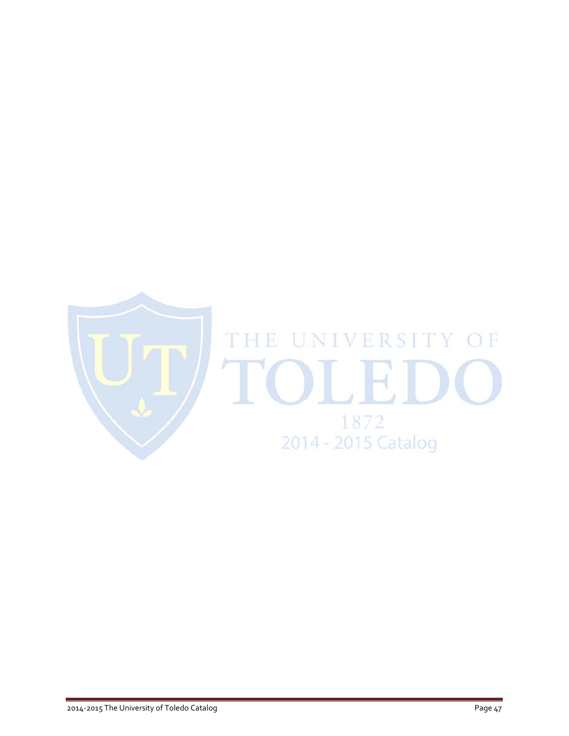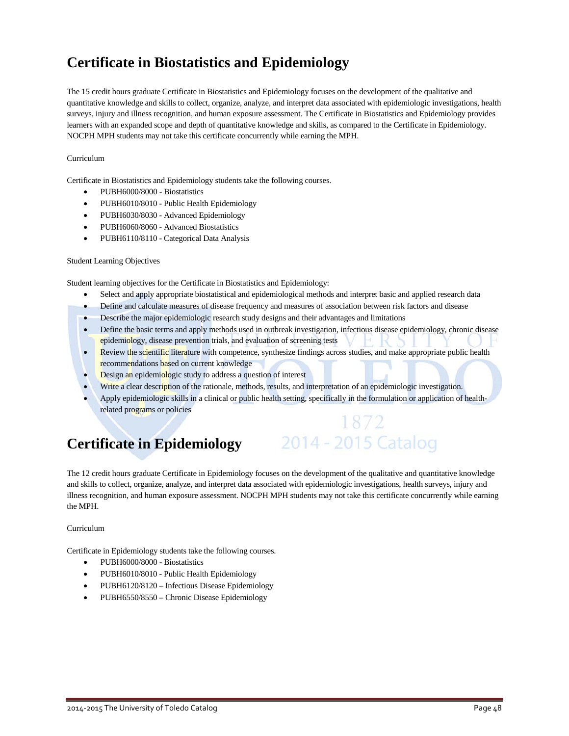## **Certificate in Biostatistics and Epidemiology**

The 15 credit hours graduate Certificate in Biostatistics and Epidemiology focuses on the development of the qualitative and quantitative knowledge and skills to collect, organize, analyze, and interpret data associated with epidemiologic investigations, health surveys, injury and illness recognition, and human exposure assessment. The Certificate in Biostatistics and Epidemiology provides learners with an expanded scope and depth of quantitative knowledge and skills, as compared to the Certificate in Epidemiology. NOCPH MPH students may not take this certificate concurrently while earning the MPH.

### Curriculum

Certificate in Biostatistics and Epidemiology students take the following courses.

- PUBH6000/8000 Biostatistics
- PUBH6010/8010 Public Health Epidemiology
- PUBH6030/8030 Advanced Epidemiology
- PUBH6060/8060 Advanced Biostatistics
- PUBH6110/8110 Categorical Data Analysis

#### Student Learning Objectives

Student learning objectives for the Certificate in Biostatistics and Epidemiology:

- Select and apply appropriate biostatistical and epidemiological methods and interpret basic and applied research data
- Define and calculate measures of disease frequency and measures of association between risk factors and disease
- Describe the major epidemiologic research study designs and their advantages and limitations
- Define the basic terms and apply methods used in outbreak investigation, infectious disease epidemiology, chronic disease epidemiology, disease prevention trials, and evaluation of screening tests
- Review the scientific literature with competence, synthesize findings across studies, and make appropriate public health recommendations based on current knowledge
- Design an epidemiologic study to address a question of interest
- Write a clear description of the rationale, methods, results, and interpretation of an epidemiologic investigation.
- Apply epidemiologic skills in a clinical or public health setting, specifically in the formulation or application of healthrelated programs or policies

1872

2014 - 2015 Catalog

## **Certificate in Epidemiology**

The 12 credit hours graduate Certificate in Epidemiology focuses on the development of the qualitative and quantitative knowledge and skills to collect, organize, analyze, and interpret data associated with epidemiologic investigations, health surveys, injury and illness recognition, and human exposure assessment. NOCPH MPH students may not take this certificate concurrently while earning the MPH.

#### Curriculum

Certificate in Epidemiology students take the following courses.

- PUBH6000/8000 Biostatistics
- PUBH6010/8010 Public Health Epidemiology
- PUBH6120/8120 Infectious Disease Epidemiology
- PUBH6550/8550 Chronic Disease Epidemiology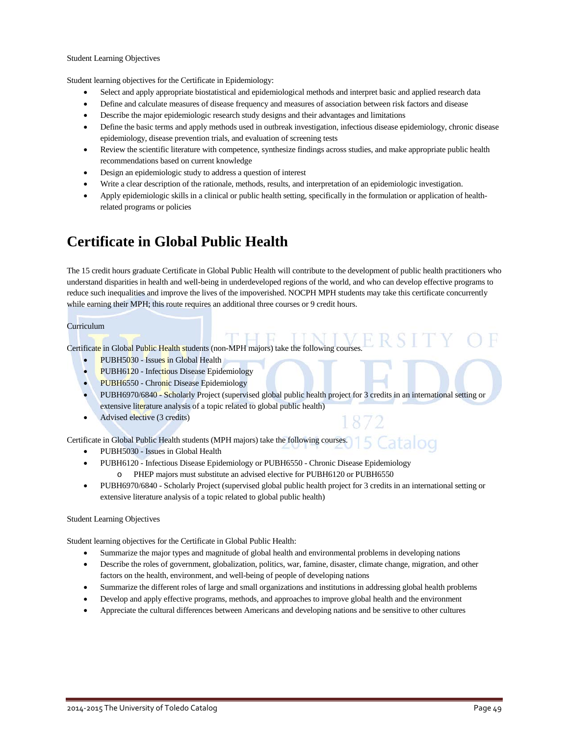#### Student Learning Objectives

Student learning objectives for the Certificate in Epidemiology:

- Select and apply appropriate biostatistical and epidemiological methods and interpret basic and applied research data
- Define and calculate measures of disease frequency and measures of association between risk factors and disease
- Describe the major epidemiologic research study designs and their advantages and limitations
- Define the basic terms and apply methods used in outbreak investigation, infectious disease epidemiology, chronic disease epidemiology, disease prevention trials, and evaluation of screening tests
- Review the scientific literature with competence, synthesize findings across studies, and make appropriate public health recommendations based on current knowledge
- Design an epidemiologic study to address a question of interest
- Write a clear description of the rationale, methods, results, and interpretation of an epidemiologic investigation.
- Apply epidemiologic skills in a clinical or public health setting, specifically in the formulation or application of healthrelated programs or policies

## **Certificate in Global Public Health**

The 15 credit hours graduate Certificate in Global Public Health will contribute to the development of public health practitioners who understand disparities in health and well-being in underdeveloped regions of the world, and who can develop effective programs to reduce such inequalities and improve the lives of the impoverished. NOCPH MPH students may take this certificate concurrently while earning their MPH; this route requires an additional three courses or 9 credit hours.

### Curriculum

Certificate in Global Public Health students (non-MPH majors) take the following courses.

- PUBH5030 Issues in Global Health
- PUBH6120 Infectious Disease Epidemiology
- PUBH6550 Chronic Disease Epidemiology
- PUBH6970/6840 Scholarly Project (supervised global public health project for 3 credits in an international setting or extensive literature analysis of a topic related to global public health)
- Advised elective (3 credits)

Catalog Certificate in Global Public Health students (MPH majors) take the following courses.

- PUBH5030 Issues in Global Health
- PUBH6120 Infectious Disease Epidemiology or PUBH6550 Chronic Disease Epidemiology o PHEP majors must substitute an advised elective for PUBH6120 or PUBH6550
- PUBH6970/6840 Scholarly Project (supervised global public health project for 3 credits in an international setting or extensive literature analysis of a topic related to global public health)

#### Student Learning Objectives

Student learning objectives for the Certificate in Global Public Health:

- Summarize the major types and magnitude of global health and environmental problems in developing nations
- Describe the roles of government, globalization, politics, war, famine, disaster, climate change, migration, and other factors on the health, environment, and well-being of people of developing nations
- Summarize the different roles of large and small organizations and institutions in addressing global health problems
- Develop and apply effective programs, methods, and approaches to improve global health and the environment
- Appreciate the cultural differences between Americans and developing nations and be sensitive to other cultures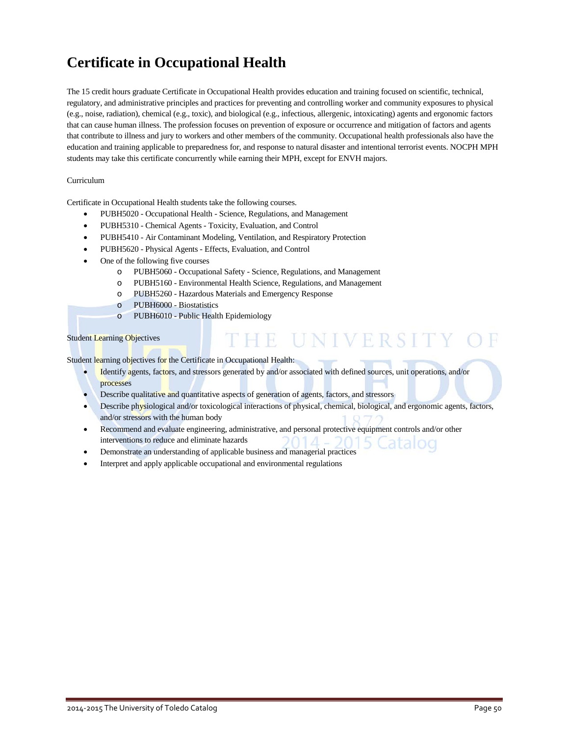## **Certificate in Occupational Health**

The 15 credit hours graduate Certificate in Occupational Health provides education and training focused on scientific, technical, regulatory, and administrative principles and practices for preventing and controlling worker and community exposures to physical (e.g., noise, radiation), chemical (e.g., toxic), and biological (e.g., infectious, allergenic, intoxicating) agents and ergonomic factors that can cause human illness. The profession focuses on prevention of exposure or occurrence and mitigation of factors and agents that contribute to illness and jury to workers and other members of the community. Occupational health professionals also have the education and training applicable to preparedness for, and response to natural disaster and intentional terrorist events. NOCPH MPH students may take this certificate concurrently while earning their MPH, except for ENVH majors.

### Curriculum

Certificate in Occupational Health students take the following courses.

- PUBH5020 Occupational Health Science, Regulations, and Management
- PUBH5310 Chemical Agents Toxicity, Evaluation, and Control
- PUBH5410 Air Contaminant Modeling, Ventilation, and Respiratory Protection
- PUBH5620 Physical Agents Effects, Evaluation, and Control
- One of the following five courses
	- o PUBH5060 Occupational Safety Science, Regulations, and Management
	- o PUBH5160 Environmental Health Science, Regulations, and Management
	- o PUBH5260 Hazardous Materials and Emergency Response
	- o PUBH6000 Biostatistics
	- o PUBH6010 Public Health Epidemiology

#### Student Learning Objectives

Student learning objectives for the Certificate in Occupational Health:

- Identify agents, factors, and stressors generated by and/or associated with defined sources, unit operations, and/or processes
- Describe qualitative and quantitative aspects of generation of agents, factors, and stressors
- Describe physiological and/or toxicological interactions of physical, chemical, biological, and ergonomic agents, factors, and/or stressors with the human body

HE UNIVERSITY

- Recommend and evaluate engineering, administrative, and personal protective equipment controls and/or other interventions to reduce and eliminate hazards
- Demonstrate an understanding of applicable business and managerial practices
- Interpret and apply applicable occupational and environmental regulations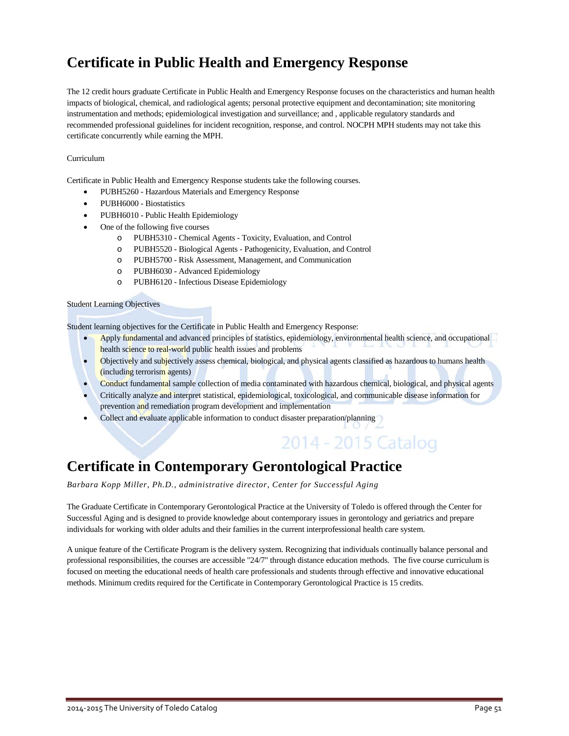## **Certificate in Public Health and Emergency Response**

The 12 credit hours graduate Certificate in Public Health and Emergency Response focuses on the characteristics and human health impacts of biological, chemical, and radiological agents; personal protective equipment and decontamination; site monitoring instrumentation and methods; epidemiological investigation and surveillance; and , applicable regulatory standards and recommended professional guidelines for incident recognition, response, and control. NOCPH MPH students may not take this certificate concurrently while earning the MPH.

### Curriculum

Certificate in Public Health and Emergency Response students take the following courses.

- PUBH5260 Hazardous Materials and Emergency Response
- PUBH6000 Biostatistics
- PUBH6010 Public Health Epidemiology
- One of the following five courses
	- o PUBH5310 Chemical Agents Toxicity, Evaluation, and Control
	- o PUBH5520 Biological Agents Pathogenicity, Evaluation, and Control
	- o PUBH5700 Risk Assessment, Management, and Communication
	- o PUBH6030 Advanced Epidemiology
	- o PUBH6120 Infectious Disease Epidemiology

#### Student Learning Objectives

Student learning objectives for the Certificate in Public Health and Emergency Response:

- Apply fundamental and advanced principles of statistics, epidemiology, environmental health science, and occupational health science to real-world public health issues and problems
- Objectively and subjectively assess chemical, biological, and physical agents classified as hazardous to humans health (including terrorism agents)
- Conduct fundamental sample collection of media contaminated with hazardous chemical, biological, and physical agents
- Critically analyze and interpret statistical, epidemiological, toxicological, and communicable disease information for prevention and remediation program development and implementation

2014 - 2015 Catalog

• Collect and evaluate applicable information to conduct disaster preparation/planning

## **Certificate in Contemporary Gerontological Practice**

*Barbara Kopp Miller, Ph.D., administrative director, Center for Successful Aging*

The Graduate Certificate in Contemporary Gerontological Practice at the University of Toledo is offered through the Center for Successful Aging and is designed to provide knowledge about contemporary issues in gerontology and geriatrics and prepare individuals for working with older adults and their families in the current interprofessional health care system.

A unique feature of the Certificate Program is the delivery system. Recognizing that individuals continually balance personal and professional responsibilities, the courses are accessible "24/7" through distance education methods. The five course curriculum is focused on meeting the educational needs of health care professionals and students through effective and innovative educational methods. Minimum credits required for the Certificate in Contemporary Gerontological Practice is 15 credits.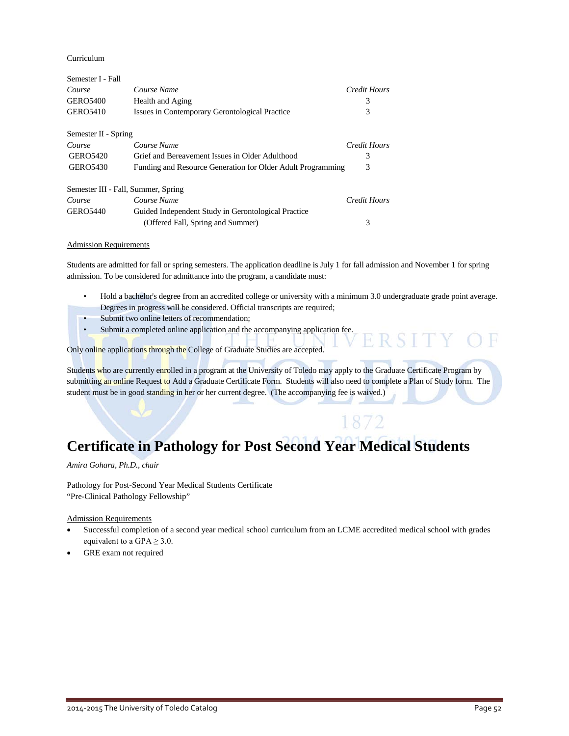Curriculum

| Semester I - Fall                   |                                                             |                     |
|-------------------------------------|-------------------------------------------------------------|---------------------|
| Course                              | Course Name                                                 | Credit Hours        |
| <b>GERO5400</b>                     | Health and Aging                                            | 3                   |
| <b>GERO5410</b>                     | Issues in Contemporary Gerontological Practice              | 3                   |
| Semester II - Spring                |                                                             |                     |
| Course                              | Course Name                                                 | Credit Hours        |
| <b>GERO5420</b>                     | Grief and Bereavement Issues in Older Adulthood             | 3                   |
| <b>GERO5430</b>                     | Funding and Resource Generation for Older Adult Programming | 3                   |
| Semester III - Fall, Summer, Spring |                                                             |                     |
| Course                              | Course Name                                                 | <b>Credit Hours</b> |
| <b>GERO5440</b>                     | Guided Independent Study in Gerontological Practice         |                     |
|                                     | (Offered Fall, Spring and Summer)                           | 3                   |

#### Admission Requirements

Students are admitted for fall or spring semesters. The application deadline is July 1 for fall admission and November 1 for spring admission. To be considered for admittance into the program, a candidate must:

- Hold a bachelor's degree from an accredited college or university with a minimum 3.0 undergraduate grade point average. Degrees in progress will be considered. Official transcripts are required;
- Submit two online letters of recommendation;
- Submit a completed online application and the accompanying application fee.

Only online applications through the College of Graduate Studies are accepted.

Students who are currently enrolled in a program at the University of Toledo may apply to the Graduate Certificate Program by submitting an online Request to Add a Graduate Certificate Form. Students will also need to complete a Plan of Study form. The student must be in good standing in her or her current degree. (The accompanying fee is waived.)

1872

## **Certificate in Pathology for Post Second Year Medical Students**

*Amira Gohara, Ph.D., chair*

Pathology for Post-Second Year Medical Students Certificate "Pre-Clinical Pathology Fellowship"

Admission Requirements

- Successful completion of a second year medical school curriculum from an LCME accredited medical school with grades equivalent to a GPA  $\geq$  3.0.
- GRE exam not required